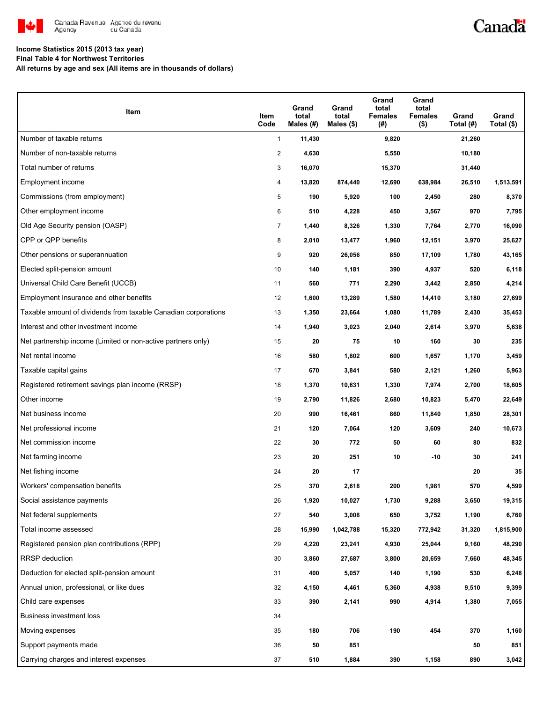

### Canadä

### **Income Statistics 2015 (2013 tax year)**

**Final Table 4 for Northwest Territories**

**All returns by age and sex (All items are in thousands of dollars)**

| Item                                                           | Item<br>Code   | Grand<br>total<br>Males (#) | Grand<br>total<br>Males $($)$ | Grand<br>total<br><b>Females</b><br>(#) | Grand<br>total<br><b>Females</b><br>$($ \$) | Grand<br>Total (#) | Grand<br>Total (\$) |
|----------------------------------------------------------------|----------------|-----------------------------|-------------------------------|-----------------------------------------|---------------------------------------------|--------------------|---------------------|
| Number of taxable returns                                      | $\mathbf{1}$   | 11,430                      |                               | 9,820                                   |                                             | 21,260             |                     |
| Number of non-taxable returns                                  | $\overline{c}$ | 4,630                       |                               | 5,550                                   |                                             | 10,180             |                     |
| Total number of returns                                        | 3              | 16,070                      |                               | 15,370                                  |                                             | 31,440             |                     |
| Employment income                                              | 4              | 13,820                      | 874,440                       | 12,690                                  | 638,984                                     | 26,510             | 1,513,591           |
| Commissions (from employment)                                  | 5              | 190                         | 5,920                         | 100                                     | 2,450                                       | 280                | 8,370               |
| Other employment income                                        | 6              | 510                         | 4,228                         | 450                                     | 3,567                                       | 970                | 7,795               |
| Old Age Security pension (OASP)                                | $\overline{7}$ | 1,440                       | 8,326                         | 1,330                                   | 7,764                                       | 2,770              | 16,090              |
| CPP or QPP benefits                                            | 8              | 2,010                       | 13,477                        | 1,960                                   | 12,151                                      | 3,970              | 25,627              |
| Other pensions or superannuation                               | 9              | 920                         | 26,056                        | 850                                     | 17,109                                      | 1,780              | 43,165              |
| Elected split-pension amount                                   | 10             | 140                         | 1,181                         | 390                                     | 4,937                                       | 520                | 6,118               |
| Universal Child Care Benefit (UCCB)                            | 11             | 560                         | 771                           | 2,290                                   | 3,442                                       | 2,850              | 4,214               |
| Employment Insurance and other benefits                        | 12             | 1,600                       | 13,289                        | 1,580                                   | 14,410                                      | 3,180              | 27,699              |
| Taxable amount of dividends from taxable Canadian corporations | 13             | 1,350                       | 23,664                        | 1,080                                   | 11,789                                      | 2,430              | 35,453              |
| Interest and other investment income                           | 14             | 1,940                       | 3,023                         | 2,040                                   | 2,614                                       | 3,970              | 5,638               |
| Net partnership income (Limited or non-active partners only)   | 15             | 20                          | 75                            | 10                                      | 160                                         | 30                 | 235                 |
| Net rental income                                              | 16             | 580                         | 1,802                         | 600                                     | 1,657                                       | 1,170              | 3,459               |
| Taxable capital gains                                          | 17             | 670                         | 3,841                         | 580                                     | 2,121                                       | 1,260              | 5,963               |
| Registered retirement savings plan income (RRSP)               | 18             | 1,370                       | 10,631                        | 1,330                                   | 7,974                                       | 2,700              | 18,605              |
| Other income                                                   | 19             | 2,790                       | 11,826                        | 2,680                                   | 10,823                                      | 5,470              | 22,649              |
| Net business income                                            | 20             | 990                         | 16,461                        | 860                                     | 11,840                                      | 1,850              | 28,301              |
| Net professional income                                        | 21             | 120                         | 7,064                         | 120                                     | 3,609                                       | 240                | 10,673              |
| Net commission income                                          | 22             | 30                          | 772                           | 50                                      | 60                                          | 80                 | 832                 |
| Net farming income                                             | 23             | 20                          | 251                           | 10                                      | -10                                         | 30                 | 241                 |
| Net fishing income                                             | 24             | 20                          | 17                            |                                         |                                             | 20                 | 35                  |
| Workers' compensation benefits                                 | 25             | 370                         | 2,618                         | 200                                     | 1,981                                       | 570                | 4,599               |
| Social assistance payments                                     | 26             | 1,920                       | 10,027                        | 1,730                                   | 9,288                                       | 3,650              | 19,315              |
| Net federal supplements                                        | 27             | 540                         | 3,008                         | 650                                     | 3,752                                       | 1,190              | 6,760               |
| Total income assessed                                          | 28             | 15,990                      | 1,042,788                     | 15,320                                  | 772,942                                     | 31,320             | 1,815,900           |
| Registered pension plan contributions (RPP)                    | 29             | 4,220                       | 23,241                        | 4,930                                   | 25,044                                      | 9,160              | 48,290              |
| RRSP deduction                                                 | 30             | 3,860                       | 27,687                        | 3,800                                   | 20,659                                      | 7,660              | 48,345              |
| Deduction for elected split-pension amount                     | 31             | 400                         | 5,057                         | 140                                     | 1,190                                       | 530                | 6,248               |
| Annual union, professional, or like dues                       | 32             | 4,150                       | 4,461                         | 5,360                                   | 4,938                                       | 9,510              | 9,399               |
| Child care expenses                                            | 33             | 390                         | 2,141                         | 990                                     | 4,914                                       | 1,380              | 7,055               |
| Business investment loss                                       | 34             |                             |                               |                                         |                                             |                    |                     |
| Moving expenses                                                | 35             | 180                         | 706                           | 190                                     | 454                                         | 370                | 1,160               |
| Support payments made                                          | 36             | ${\bf 50}$                  | 851                           |                                         |                                             | 50                 | 851                 |
| Carrying charges and interest expenses                         | 37             | 510                         | 1,884                         | 390                                     | 1,158                                       | 890                | 3,042               |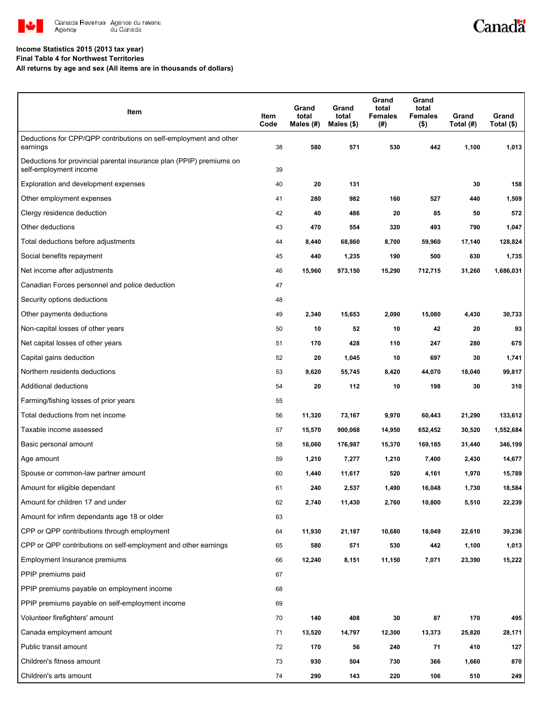

# Canadä

#### **Income Statistics 2015 (2013 tax year)**

**Final Table 4 for Northwest Territories**

**All returns by age and sex (All items are in thousands of dollars)**

| Item                                                                                           | Item<br>Code | Grand<br>total<br>Males (#) | Grand<br>total<br>Males (\$) | Grand<br>total<br><b>Females</b><br>(#) | Grand<br>total<br><b>Females</b><br>$($ \$) | Grand<br>Total (#) | Grand<br>Total (\$) |
|------------------------------------------------------------------------------------------------|--------------|-----------------------------|------------------------------|-----------------------------------------|---------------------------------------------|--------------------|---------------------|
| Deductions for CPP/QPP contributions on self-employment and other<br>earnings                  | 38           | 580                         | 571                          | 530                                     | 442                                         | 1,100              | 1,013               |
| Deductions for provincial parental insurance plan (PPIP) premiums on<br>self-employment income | 39           |                             |                              |                                         |                                             |                    |                     |
| Exploration and development expenses                                                           | 40           | 20                          | 131                          |                                         |                                             | 30                 | 158                 |
| Other employment expenses                                                                      | 41           | 280                         | 982                          | 160                                     | 527                                         | 440                | 1,509               |
| Clergy residence deduction                                                                     | 42           | 40                          | 486                          | 20                                      | 85                                          | 50                 | 572                 |
| Other deductions                                                                               | 43           | 470                         | 554                          | 320                                     | 493                                         | 790                | 1,047               |
| Total deductions before adjustments                                                            | 44           | 8,440                       | 68,860                       | 8,700                                   | 59,960                                      | 17,140             | 128,824             |
| Social benefits repayment                                                                      | 45           | 440                         | 1,235                        | 190                                     | 500                                         | 630                | 1,735               |
| Net income after adjustments                                                                   | 46           | 15,960                      | 973,150                      | 15,290                                  | 712,715                                     | 31,260             | 1,686,031           |
| Canadian Forces personnel and police deduction                                                 | 47           |                             |                              |                                         |                                             |                    |                     |
| Security options deductions                                                                    | 48           |                             |                              |                                         |                                             |                    |                     |
| Other payments deductions                                                                      | 49           | 2,340                       | 15,653                       | 2,090                                   | 15,080                                      | 4,430              | 30,733              |
| Non-capital losses of other years                                                              | 50           | 10                          | 52                           | 10                                      | 42                                          | 20                 | 93                  |
| Net capital losses of other years                                                              | 51           | 170                         | 428                          | 110                                     | 247                                         | 280                | 675                 |
| Capital gains deduction                                                                        | 52           | 20                          | 1,045                        | 10                                      | 697                                         | 30                 | 1,741               |
| Northern residents deductions                                                                  | 53           | 9,620                       | 55,745                       | 8,420                                   | 44,070                                      | 18,040             | 99,817              |
| Additional deductions                                                                          | 54           | 20                          | 112                          | 10                                      | 198                                         | 30                 | 310                 |
| Farming/fishing losses of prior years                                                          | 55           |                             |                              |                                         |                                             |                    |                     |
| Total deductions from net income                                                               | 56           | 11,320                      | 73,167                       | 9,970                                   | 60,443                                      | 21,290             | 133,612             |
| Taxable income assessed                                                                        | 57           | 15,570                      | 900,068                      | 14,950                                  | 652,452                                     | 30,520             | 1,552,684           |
| Basic personal amount                                                                          | 58           | 16,060                      | 176,987                      | 15,370                                  | 169,185                                     | 31,440             | 346,199             |
| Age amount                                                                                     | 59           | 1,210                       | 7,277                        | 1,210                                   | 7,400                                       | 2,430              | 14,677              |
| Spouse or common-law partner amount                                                            | 60           | 1,440                       | 11,617                       | 520                                     | 4,161                                       | 1,970              | 15,789              |
| Amount for eligible dependant                                                                  | 61           | 240                         | 2,537                        | 1,490                                   | 16,048                                      | 1,730              | 18,584              |
| Amount for children 17 and under                                                               | 62           | 2,740                       | 11,430                       | 2,760                                   | 10,800                                      | 5,510              | 22,239              |
| Amount for infirm dependants age 18 or older                                                   | 63           |                             |                              |                                         |                                             |                    |                     |
| CPP or QPP contributions through employment                                                    | 64           | 11,930                      | 21,187                       | 10,680                                  | 18,049                                      | 22,610             | 39,236              |
| CPP or QPP contributions on self-employment and other earnings                                 | 65           | 580                         | 571                          | 530                                     | 442                                         | 1,100              | 1,013               |
| Employment Insurance premiums                                                                  | 66           | 12,240                      | 8,151                        | 11,150                                  | 7,071                                       | 23,390             | 15,222              |
| PPIP premiums paid                                                                             | 67           |                             |                              |                                         |                                             |                    |                     |
| PPIP premiums payable on employment income                                                     | 68           |                             |                              |                                         |                                             |                    |                     |
| PPIP premiums payable on self-employment income                                                | 69           |                             |                              |                                         |                                             |                    |                     |
| Volunteer firefighters' amount                                                                 | 70           | 140                         | 408                          | 30                                      | 87                                          | 170                | 495                 |
| Canada employment amount                                                                       | 71           | 13,520                      | 14,797                       | 12,300                                  | 13,373                                      | 25,820             | 28,171              |
| Public transit amount                                                                          | 72           | 170                         | 56                           | 240                                     | 71                                          | 410                | 127                 |
| Children's fitness amount                                                                      | 73           | 930                         | 504                          | 730                                     | 366                                         | 1,660              | 870                 |
| Children's arts amount                                                                         | 74           | 290                         | 143                          | 220                                     | 106                                         | 510                | 249                 |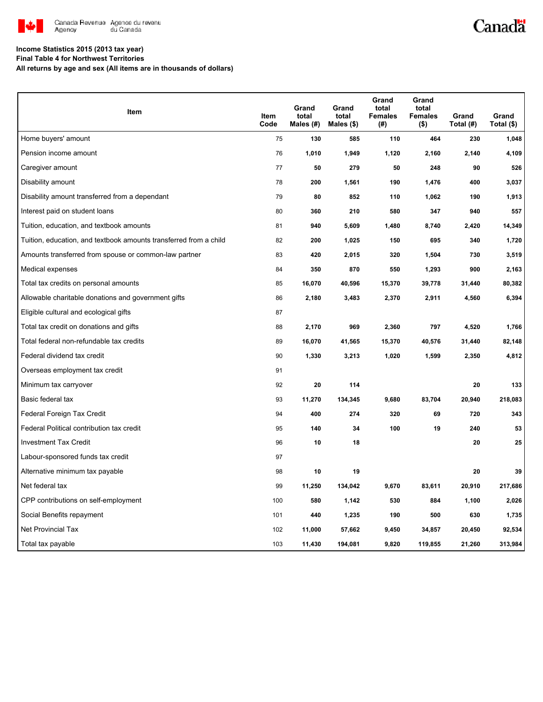

# Canadä

#### **Income Statistics 2015 (2013 tax year)**

**Final Table 4 for Northwest Territories**

**All returns by age and sex (All items are in thousands of dollars)**

| Item                                                              | Item<br>Code | Grand<br>total<br>Males (#) | Grand<br>total<br>Males $(\$)$ | Grand<br>total<br><b>Females</b><br>(#) | Grand<br>total<br><b>Females</b><br>$($ \$) | Grand<br>Total (#) | Grand<br>Total (\$) |
|-------------------------------------------------------------------|--------------|-----------------------------|--------------------------------|-----------------------------------------|---------------------------------------------|--------------------|---------------------|
| Home buyers' amount                                               | 75           | 130                         | 585                            | 110                                     | 464                                         | 230                | 1,048               |
| Pension income amount                                             | 76           | 1,010                       | 1,949                          | 1,120                                   | 2,160                                       | 2,140              | 4,109               |
| Caregiver amount                                                  | 77           | 50                          | 279                            | 50                                      | 248                                         | 90                 | 526                 |
| Disability amount                                                 | 78           | 200                         | 1,561                          | 190                                     | 1,476                                       | 400                | 3,037               |
| Disability amount transferred from a dependant                    | 79           | 80                          | 852                            | 110                                     | 1,062                                       | 190                | 1,913               |
| Interest paid on student loans                                    | 80           | 360                         | 210                            | 580                                     | 347                                         | 940                | 557                 |
| Tuition, education, and textbook amounts                          | 81           | 940                         | 5,609                          | 1,480                                   | 8,740                                       | 2,420              | 14,349              |
| Tuition, education, and textbook amounts transferred from a child | 82           | 200                         | 1,025                          | 150                                     | 695                                         | 340                | 1,720               |
| Amounts transferred from spouse or common-law partner             | 83           | 420                         | 2,015                          | 320                                     | 1,504                                       | 730                | 3,519               |
| Medical expenses                                                  | 84           | 350                         | 870                            | 550                                     | 1,293                                       | 900                | 2,163               |
| Total tax credits on personal amounts                             | 85           | 16,070                      | 40,596                         | 15,370                                  | 39,778                                      | 31,440             | 80,382              |
| Allowable charitable donations and government gifts               | 86           | 2,180                       | 3,483                          | 2,370                                   | 2,911                                       | 4,560              | 6,394               |
| Eligible cultural and ecological gifts                            | 87           |                             |                                |                                         |                                             |                    |                     |
| Total tax credit on donations and gifts                           | 88           | 2,170                       | 969                            | 2,360                                   | 797                                         | 4,520              | 1,766               |
| Total federal non-refundable tax credits                          | 89           | 16,070                      | 41,565                         | 15,370                                  | 40,576                                      | 31,440             | 82,148              |
| Federal dividend tax credit                                       | 90           | 1,330                       | 3,213                          | 1,020                                   | 1,599                                       | 2,350              | 4,812               |
| Overseas employment tax credit                                    | 91           |                             |                                |                                         |                                             |                    |                     |
| Minimum tax carryover                                             | 92           | 20                          | 114                            |                                         |                                             | 20                 | 133                 |
| Basic federal tax                                                 | 93           | 11,270                      | 134,345                        | 9,680                                   | 83,704                                      | 20,940             | 218,083             |
| Federal Foreign Tax Credit                                        | 94           | 400                         | 274                            | 320                                     | 69                                          | 720                | 343                 |
| Federal Political contribution tax credit                         | 95           | 140                         | 34                             | 100                                     | 19                                          | 240                | 53                  |
| <b>Investment Tax Credit</b>                                      | 96           | 10                          | 18                             |                                         |                                             | 20                 | 25                  |
| Labour-sponsored funds tax credit                                 | 97           |                             |                                |                                         |                                             |                    |                     |
| Alternative minimum tax payable                                   | 98           | 10                          | 19                             |                                         |                                             | 20                 | 39                  |
| Net federal tax                                                   | 99           | 11,250                      | 134,042                        | 9,670                                   | 83,611                                      | 20,910             | 217,686             |
| CPP contributions on self-employment                              | 100          | 580                         | 1,142                          | 530                                     | 884                                         | 1,100              | 2,026               |
| Social Benefits repayment                                         | 101          | 440                         | 1,235                          | 190                                     | 500                                         | 630                | 1,735               |
| <b>Net Provincial Tax</b>                                         | 102          | 11,000                      | 57,662                         | 9,450                                   | 34,857                                      | 20,450             | 92,534              |
| Total tax payable                                                 | 103          | 11,430                      | 194,081                        | 9,820                                   | 119,855                                     | 21,260             | 313,984             |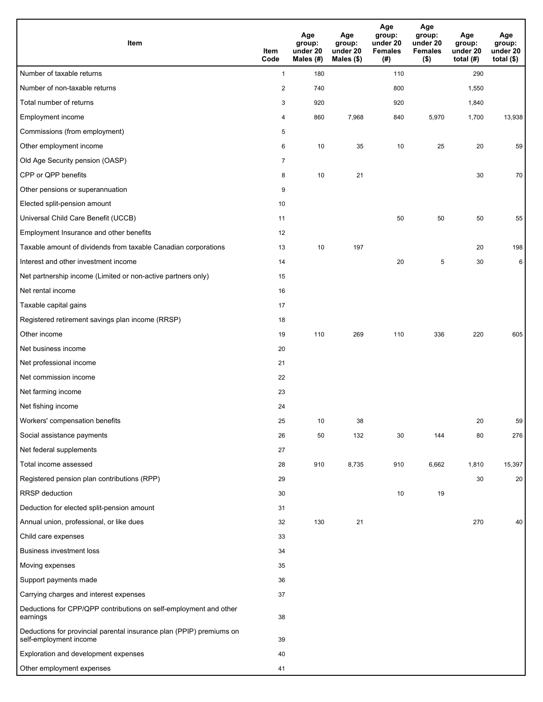| <b>Item</b>                                                                                    | Item<br>Code   | Age<br>group:<br>under 20<br>Males (#) | Age<br>group:<br>under 20<br>Males (\$) | Age<br>group:<br>under 20<br><b>Females</b><br>(# ) | Age<br>group:<br>under 20<br><b>Females</b><br>$($ \$) | Age<br>group:<br>under 20<br>total $(H)$ | Age<br>group:<br>under 20<br>total $($)$ |
|------------------------------------------------------------------------------------------------|----------------|----------------------------------------|-----------------------------------------|-----------------------------------------------------|--------------------------------------------------------|------------------------------------------|------------------------------------------|
| Number of taxable returns                                                                      | $\mathbf{1}$   | 180                                    |                                         | 110                                                 |                                                        | 290                                      |                                          |
| Number of non-taxable returns                                                                  | $\overline{c}$ | 740                                    |                                         | 800                                                 |                                                        | 1,550                                    |                                          |
| Total number of returns                                                                        | 3              | 920                                    |                                         | 920                                                 |                                                        | 1,840                                    |                                          |
| Employment income                                                                              | 4              | 860                                    | 7,968                                   | 840                                                 | 5,970                                                  | 1,700                                    | 13,938                                   |
| Commissions (from employment)                                                                  | 5              |                                        |                                         |                                                     |                                                        |                                          |                                          |
| Other employment income                                                                        | 6              | 10                                     | 35                                      | 10                                                  | 25                                                     | 20                                       | 59                                       |
| Old Age Security pension (OASP)                                                                | $\overline{7}$ |                                        |                                         |                                                     |                                                        |                                          |                                          |
| CPP or QPP benefits                                                                            | 8              | 10                                     | 21                                      |                                                     |                                                        | 30                                       | 70                                       |
| Other pensions or superannuation                                                               | 9              |                                        |                                         |                                                     |                                                        |                                          |                                          |
| Elected split-pension amount                                                                   | 10             |                                        |                                         |                                                     |                                                        |                                          |                                          |
| Universal Child Care Benefit (UCCB)                                                            | 11             |                                        |                                         | 50                                                  | 50                                                     | 50                                       | 55                                       |
| Employment Insurance and other benefits                                                        | 12             |                                        |                                         |                                                     |                                                        |                                          |                                          |
| Taxable amount of dividends from taxable Canadian corporations                                 | 13             | 10                                     | 197                                     |                                                     |                                                        | 20                                       | 198                                      |
| Interest and other investment income                                                           | 14             |                                        |                                         | 20                                                  | 5                                                      | 30                                       | 6                                        |
| Net partnership income (Limited or non-active partners only)                                   | 15             |                                        |                                         |                                                     |                                                        |                                          |                                          |
| Net rental income                                                                              | 16             |                                        |                                         |                                                     |                                                        |                                          |                                          |
| Taxable capital gains                                                                          | 17             |                                        |                                         |                                                     |                                                        |                                          |                                          |
| Registered retirement savings plan income (RRSP)                                               | 18             |                                        |                                         |                                                     |                                                        |                                          |                                          |
| Other income                                                                                   | 19             | 110                                    | 269                                     | 110                                                 | 336                                                    | 220                                      | 605                                      |
| Net business income                                                                            | 20             |                                        |                                         |                                                     |                                                        |                                          |                                          |
| Net professional income                                                                        | 21             |                                        |                                         |                                                     |                                                        |                                          |                                          |
| Net commission income                                                                          | 22             |                                        |                                         |                                                     |                                                        |                                          |                                          |
| Net farming income                                                                             | 23             |                                        |                                         |                                                     |                                                        |                                          |                                          |
| Net fishing income                                                                             | 24             |                                        |                                         |                                                     |                                                        |                                          |                                          |
| Workers' compensation benefits                                                                 | 25             | 10                                     | 38                                      |                                                     |                                                        | 20                                       | 59                                       |
| Social assistance payments                                                                     | 26             | 50                                     | 132                                     | 30                                                  | 144                                                    | 80                                       | 276                                      |
| Net federal supplements                                                                        | 27             |                                        |                                         |                                                     |                                                        |                                          |                                          |
| Total income assessed                                                                          | 28             | 910                                    | 8,735                                   | 910                                                 | 6,662                                                  | 1,810                                    | 15,397                                   |
| Registered pension plan contributions (RPP)                                                    | 29             |                                        |                                         |                                                     |                                                        | 30                                       | 20                                       |
| RRSP deduction                                                                                 | 30             |                                        |                                         | 10                                                  | 19                                                     |                                          |                                          |
| Deduction for elected split-pension amount                                                     | 31             |                                        |                                         |                                                     |                                                        |                                          |                                          |
| Annual union, professional, or like dues                                                       | 32             | 130                                    | 21                                      |                                                     |                                                        | 270                                      | 40                                       |
| Child care expenses                                                                            | 33             |                                        |                                         |                                                     |                                                        |                                          |                                          |
| Business investment loss                                                                       | 34             |                                        |                                         |                                                     |                                                        |                                          |                                          |
| Moving expenses                                                                                | 35             |                                        |                                         |                                                     |                                                        |                                          |                                          |
| Support payments made                                                                          | 36             |                                        |                                         |                                                     |                                                        |                                          |                                          |
| Carrying charges and interest expenses                                                         | 37             |                                        |                                         |                                                     |                                                        |                                          |                                          |
| Deductions for CPP/QPP contributions on self-employment and other<br>earnings                  | 38             |                                        |                                         |                                                     |                                                        |                                          |                                          |
| Deductions for provincial parental insurance plan (PPIP) premiums on<br>self-employment income | 39             |                                        |                                         |                                                     |                                                        |                                          |                                          |
| Exploration and development expenses                                                           | 40             |                                        |                                         |                                                     |                                                        |                                          |                                          |
| Other employment expenses                                                                      | 41             |                                        |                                         |                                                     |                                                        |                                          |                                          |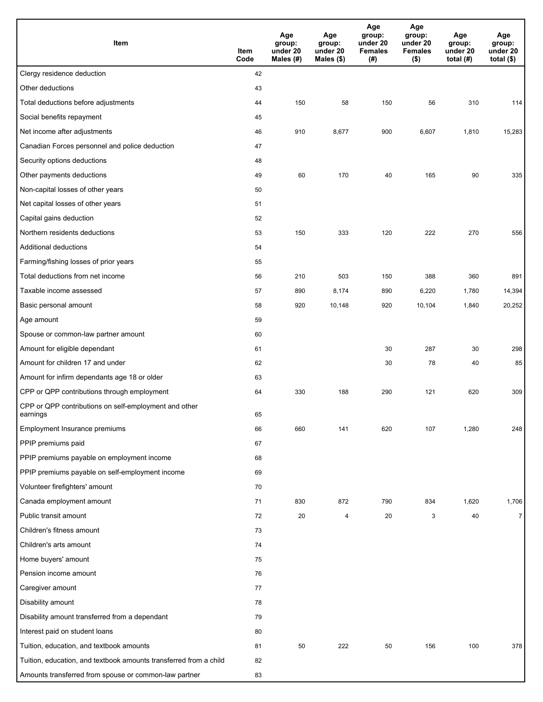| Item                                                              | Item<br>Code | Age<br>group:<br>under 20<br>Males (#) | Age<br>group:<br>under 20<br>Males (\$) | Age<br>group:<br>under 20<br><b>Females</b><br>(# ) | Age<br>group:<br>under 20<br><b>Females</b><br>$($ \$) | Age<br>group:<br>under 20<br>total $(H)$ | Age<br>group:<br>under 20<br>total $($)$ |
|-------------------------------------------------------------------|--------------|----------------------------------------|-----------------------------------------|-----------------------------------------------------|--------------------------------------------------------|------------------------------------------|------------------------------------------|
| Clergy residence deduction                                        | 42           |                                        |                                         |                                                     |                                                        |                                          |                                          |
| Other deductions                                                  | 43           |                                        |                                         |                                                     |                                                        |                                          |                                          |
| Total deductions before adjustments                               | 44           | 150                                    | 58                                      | 150                                                 | 56                                                     | 310                                      | 114                                      |
| Social benefits repayment                                         | 45           |                                        |                                         |                                                     |                                                        |                                          |                                          |
| Net income after adjustments                                      | 46           | 910                                    | 8,677                                   | 900                                                 | 6,607                                                  | 1,810                                    | 15,283                                   |
| Canadian Forces personnel and police deduction                    | 47           |                                        |                                         |                                                     |                                                        |                                          |                                          |
| Security options deductions                                       | 48           |                                        |                                         |                                                     |                                                        |                                          |                                          |
| Other payments deductions                                         | 49           | 60                                     | 170                                     | 40                                                  | 165                                                    | 90                                       | 335                                      |
| Non-capital losses of other years                                 | 50           |                                        |                                         |                                                     |                                                        |                                          |                                          |
| Net capital losses of other years                                 | 51           |                                        |                                         |                                                     |                                                        |                                          |                                          |
| Capital gains deduction                                           | 52           |                                        |                                         |                                                     |                                                        |                                          |                                          |
| Northern residents deductions                                     | 53           | 150                                    | 333                                     | 120                                                 | 222                                                    | 270                                      | 556                                      |
| Additional deductions                                             | 54           |                                        |                                         |                                                     |                                                        |                                          |                                          |
| Farming/fishing losses of prior years                             | 55           |                                        |                                         |                                                     |                                                        |                                          |                                          |
| Total deductions from net income                                  | 56           | 210                                    | 503                                     | 150                                                 | 388                                                    | 360                                      | 891                                      |
| Taxable income assessed                                           | 57           | 890                                    | 8,174                                   | 890                                                 | 6,220                                                  | 1,780                                    | 14,394                                   |
| Basic personal amount                                             | 58           | 920                                    | 10,148                                  | 920                                                 | 10,104                                                 | 1,840                                    | 20,252                                   |
| Age amount                                                        | 59           |                                        |                                         |                                                     |                                                        |                                          |                                          |
| Spouse or common-law partner amount                               | 60           |                                        |                                         |                                                     |                                                        |                                          |                                          |
| Amount for eligible dependant                                     | 61           |                                        |                                         | 30                                                  | 287                                                    | 30                                       | 298                                      |
| Amount for children 17 and under                                  | 62           |                                        |                                         | 30                                                  | 78                                                     | 40                                       | 85                                       |
| Amount for infirm dependants age 18 or older                      | 63           |                                        |                                         |                                                     |                                                        |                                          |                                          |
| CPP or QPP contributions through employment                       | 64           | 330                                    | 188                                     | 290                                                 | 121                                                    | 620                                      | 309                                      |
| CPP or QPP contributions on self-employment and other<br>earnings | 65           |                                        |                                         |                                                     |                                                        |                                          |                                          |
| Employment Insurance premiums                                     | 66           | 660                                    | 141                                     | 620                                                 | 107                                                    | 1,280                                    | 248                                      |
| PPIP premiums paid                                                | 67           |                                        |                                         |                                                     |                                                        |                                          |                                          |
| PPIP premiums payable on employment income                        | 68           |                                        |                                         |                                                     |                                                        |                                          |                                          |
| PPIP premiums payable on self-employment income                   | 69           |                                        |                                         |                                                     |                                                        |                                          |                                          |
| Volunteer firefighters' amount                                    | 70           |                                        |                                         |                                                     |                                                        |                                          |                                          |
| Canada employment amount                                          | 71           | 830                                    | 872                                     | 790                                                 | 834                                                    | 1,620                                    | 1,706                                    |
| Public transit amount                                             | 72           | 20                                     | 4                                       | 20                                                  | 3                                                      | 40                                       | $\overline{7}$                           |
| Children's fitness amount                                         | 73           |                                        |                                         |                                                     |                                                        |                                          |                                          |
| Children's arts amount                                            | 74           |                                        |                                         |                                                     |                                                        |                                          |                                          |
| Home buyers' amount                                               | 75           |                                        |                                         |                                                     |                                                        |                                          |                                          |
| Pension income amount                                             | 76           |                                        |                                         |                                                     |                                                        |                                          |                                          |
| Caregiver amount                                                  | 77           |                                        |                                         |                                                     |                                                        |                                          |                                          |
| Disability amount                                                 | 78           |                                        |                                         |                                                     |                                                        |                                          |                                          |
| Disability amount transferred from a dependant                    | 79           |                                        |                                         |                                                     |                                                        |                                          |                                          |
| Interest paid on student loans                                    | 80           |                                        |                                         |                                                     |                                                        |                                          |                                          |
| Tuition, education, and textbook amounts                          | 81           | 50                                     | 222                                     | 50                                                  | 156                                                    | 100                                      | 378                                      |
| Tuition, education, and textbook amounts transferred from a child | 82           |                                        |                                         |                                                     |                                                        |                                          |                                          |
| Amounts transferred from spouse or common-law partner             | 83           |                                        |                                         |                                                     |                                                        |                                          |                                          |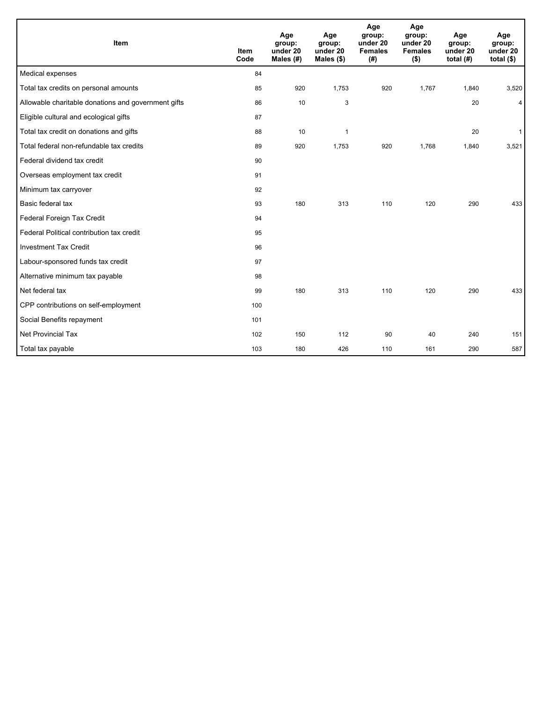| Item                                                | <b>Item</b><br>Code | Age<br>group:<br>under 20<br>Males (#) | Age<br>group:<br>under 20<br>Males $(\$)$ | Age<br>group:<br>under 20<br><b>Females</b><br>(# ) | Age<br>group:<br>under 20<br><b>Females</b><br>$($ \$) | Age<br>group:<br>under 20<br>total $(H)$ | Age<br>group:<br>under 20<br>total $($)$ |
|-----------------------------------------------------|---------------------|----------------------------------------|-------------------------------------------|-----------------------------------------------------|--------------------------------------------------------|------------------------------------------|------------------------------------------|
| Medical expenses                                    | 84                  |                                        |                                           |                                                     |                                                        |                                          |                                          |
| Total tax credits on personal amounts               | 85                  | 920                                    | 1,753                                     | 920                                                 | 1,767                                                  | 1,840                                    | 3,520                                    |
| Allowable charitable donations and government gifts | 86                  | 10                                     | 3                                         |                                                     |                                                        | 20                                       | 4                                        |
| Eligible cultural and ecological gifts              | 87                  |                                        |                                           |                                                     |                                                        |                                          |                                          |
| Total tax credit on donations and gifts             | 88                  | 10                                     | 1                                         |                                                     |                                                        | 20                                       | $\mathbf{1}$                             |
| Total federal non-refundable tax credits            | 89                  | 920                                    | 1,753                                     | 920                                                 | 1,768                                                  | 1,840                                    | 3,521                                    |
| Federal dividend tax credit                         | 90                  |                                        |                                           |                                                     |                                                        |                                          |                                          |
| Overseas employment tax credit                      | 91                  |                                        |                                           |                                                     |                                                        |                                          |                                          |
| Minimum tax carryover                               | 92                  |                                        |                                           |                                                     |                                                        |                                          |                                          |
| Basic federal tax                                   | 93                  | 180                                    | 313                                       | 110                                                 | 120                                                    | 290                                      | 433                                      |
| Federal Foreign Tax Credit                          | 94                  |                                        |                                           |                                                     |                                                        |                                          |                                          |
| Federal Political contribution tax credit           | 95                  |                                        |                                           |                                                     |                                                        |                                          |                                          |
| <b>Investment Tax Credit</b>                        | 96                  |                                        |                                           |                                                     |                                                        |                                          |                                          |
| Labour-sponsored funds tax credit                   | 97                  |                                        |                                           |                                                     |                                                        |                                          |                                          |
| Alternative minimum tax payable                     | 98                  |                                        |                                           |                                                     |                                                        |                                          |                                          |
| Net federal tax                                     | 99                  | 180                                    | 313                                       | 110                                                 | 120                                                    | 290                                      | 433                                      |
| CPP contributions on self-employment                | 100                 |                                        |                                           |                                                     |                                                        |                                          |                                          |
| Social Benefits repayment                           | 101                 |                                        |                                           |                                                     |                                                        |                                          |                                          |
| <b>Net Provincial Tax</b>                           | 102                 | 150                                    | 112                                       | 90                                                  | 40                                                     | 240                                      | 151                                      |
| Total tax payable                                   | 103                 | 180                                    | 426                                       | 110                                                 | 161                                                    | 290                                      | 587                                      |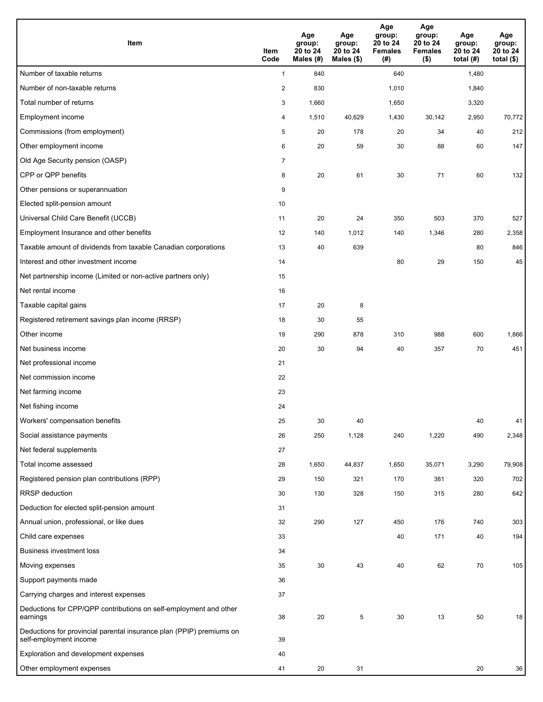| <b>Item</b>                                                                                    | Item<br>Code            | Age<br>group:<br>20 to 24<br>Males (#) | Age<br>group:<br>20 to 24<br>Males (\$) | Age<br>group:<br>20 to 24<br><b>Females</b><br>(# ) | Age<br>group:<br>20 to 24<br><b>Females</b><br>$($ \$) | Age<br>group:<br>20 to 24<br>total $(#)$ | Age<br>group:<br>20 to 24<br>total $($)$ |
|------------------------------------------------------------------------------------------------|-------------------------|----------------------------------------|-----------------------------------------|-----------------------------------------------------|--------------------------------------------------------|------------------------------------------|------------------------------------------|
| Number of taxable returns                                                                      | $\mathbf{1}$            | 840                                    |                                         | 640                                                 |                                                        | 1,480                                    |                                          |
| Number of non-taxable returns                                                                  | $\overline{\mathbf{c}}$ | 830                                    |                                         | 1,010                                               |                                                        | 1,840                                    |                                          |
| Total number of returns                                                                        | 3                       | 1,660                                  |                                         | 1,650                                               |                                                        | 3,320                                    |                                          |
| Employment income                                                                              | 4                       | 1,510                                  | 40,629                                  | 1,430                                               | 30,142                                                 | 2,950                                    | 70,772                                   |
| Commissions (from employment)                                                                  | 5                       | 20                                     | 178                                     | 20                                                  | 34                                                     | 40                                       | 212                                      |
| Other employment income                                                                        | 6                       | 20                                     | 59                                      | 30                                                  | 88                                                     | 60                                       | 147                                      |
| Old Age Security pension (OASP)                                                                | $\overline{7}$          |                                        |                                         |                                                     |                                                        |                                          |                                          |
| CPP or QPP benefits                                                                            | 8                       | 20                                     | 61                                      | 30                                                  | 71                                                     | 60                                       | 132                                      |
| Other pensions or superannuation                                                               | 9                       |                                        |                                         |                                                     |                                                        |                                          |                                          |
| Elected split-pension amount                                                                   | 10                      |                                        |                                         |                                                     |                                                        |                                          |                                          |
| Universal Child Care Benefit (UCCB)                                                            | 11                      | 20                                     | 24                                      | 350                                                 | 503                                                    | 370                                      | 527                                      |
| Employment Insurance and other benefits                                                        | 12                      | 140                                    | 1,012                                   | 140                                                 | 1,346                                                  | 280                                      | 2,358                                    |
| Taxable amount of dividends from taxable Canadian corporations                                 | 13                      | 40                                     | 639                                     |                                                     |                                                        | 80                                       | 846                                      |
| Interest and other investment income                                                           | 14                      |                                        |                                         | 80                                                  | 29                                                     | 150                                      | 45                                       |
| Net partnership income (Limited or non-active partners only)                                   | 15                      |                                        |                                         |                                                     |                                                        |                                          |                                          |
| Net rental income                                                                              | 16                      |                                        |                                         |                                                     |                                                        |                                          |                                          |
| Taxable capital gains                                                                          | 17                      | 20                                     | 8                                       |                                                     |                                                        |                                          |                                          |
| Registered retirement savings plan income (RRSP)                                               | 18                      | 30                                     | 55                                      |                                                     |                                                        |                                          |                                          |
| Other income                                                                                   | 19                      | 290                                    | 878                                     | 310                                                 | 988                                                    | 600                                      | 1,866                                    |
| Net business income                                                                            | 20                      | 30                                     | 94                                      | 40                                                  | 357                                                    | 70                                       | 451                                      |
| Net professional income                                                                        | 21                      |                                        |                                         |                                                     |                                                        |                                          |                                          |
| Net commission income                                                                          | 22                      |                                        |                                         |                                                     |                                                        |                                          |                                          |
| Net farming income                                                                             | 23                      |                                        |                                         |                                                     |                                                        |                                          |                                          |
| Net fishing income                                                                             | 24                      |                                        |                                         |                                                     |                                                        |                                          |                                          |
| Workers' compensation benefits                                                                 | 25                      | 30                                     | 40                                      |                                                     |                                                        | 40                                       | 41                                       |
| Social assistance payments                                                                     | 26                      | 250                                    | 1,128                                   | 240                                                 | 1,220                                                  | 490                                      | 2,348                                    |
| Net federal supplements                                                                        | 27                      |                                        |                                         |                                                     |                                                        |                                          |                                          |
| Total income assessed                                                                          | 28                      | 1,650                                  | 44,837                                  | 1,650                                               | 35,071                                                 | 3,290                                    | 79,908                                   |
| Registered pension plan contributions (RPP)                                                    | 29                      | 150                                    | 321                                     | 170                                                 | 381                                                    | 320                                      | 702                                      |
| RRSP deduction                                                                                 | 30                      | 130                                    | 328                                     | 150                                                 | 315                                                    | 280                                      | 642                                      |
| Deduction for elected split-pension amount                                                     | 31                      |                                        |                                         |                                                     |                                                        |                                          |                                          |
| Annual union, professional, or like dues                                                       | 32                      | 290                                    | 127                                     | 450                                                 | 176                                                    | 740                                      | 303                                      |
| Child care expenses                                                                            | 33                      |                                        |                                         | 40                                                  | 171                                                    | 40                                       | 194                                      |
| <b>Business investment loss</b>                                                                | 34                      |                                        |                                         |                                                     |                                                        |                                          |                                          |
| Moving expenses                                                                                | 35                      | 30                                     | 43                                      | 40                                                  | 62                                                     | 70                                       | 105                                      |
| Support payments made                                                                          | 36                      |                                        |                                         |                                                     |                                                        |                                          |                                          |
| Carrying charges and interest expenses                                                         | 37                      |                                        |                                         |                                                     |                                                        |                                          |                                          |
| Deductions for CPP/QPP contributions on self-employment and other<br>earnings                  | 38                      | 20                                     | 5                                       | 30                                                  | 13                                                     | 50                                       | 18                                       |
| Deductions for provincial parental insurance plan (PPIP) premiums on<br>self-employment income | 39                      |                                        |                                         |                                                     |                                                        |                                          |                                          |
| Exploration and development expenses                                                           | 40                      |                                        |                                         |                                                     |                                                        |                                          |                                          |
| Other employment expenses                                                                      | 41                      | 20                                     | 31                                      |                                                     |                                                        | 20                                       | 36                                       |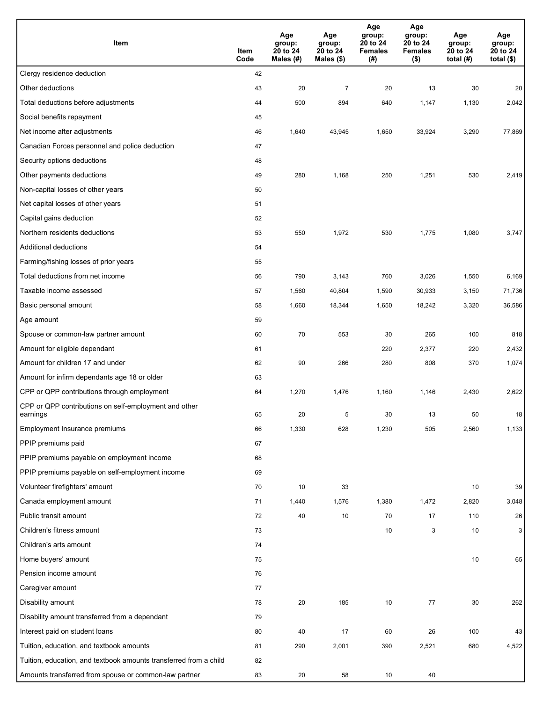| Item                                                              | Item<br>Code | Age<br>group:<br>20 to 24<br>Males (#) | Age<br>group:<br>20 to 24<br>Males (\$) | Age<br>group:<br>20 to 24<br><b>Females</b><br>(#) | Age<br>group:<br>20 to 24<br><b>Females</b><br>$($ \$) | Age<br>group:<br>20 to 24<br>total $(H)$ | Age<br>group:<br>20 to 24<br>total $($)$ |
|-------------------------------------------------------------------|--------------|----------------------------------------|-----------------------------------------|----------------------------------------------------|--------------------------------------------------------|------------------------------------------|------------------------------------------|
| Clergy residence deduction                                        | 42           |                                        |                                         |                                                    |                                                        |                                          |                                          |
| Other deductions                                                  | 43           | 20                                     | $\overline{7}$                          | 20                                                 | 13                                                     | 30                                       | 20                                       |
| Total deductions before adjustments                               | 44           | 500                                    | 894                                     | 640                                                | 1,147                                                  | 1,130                                    | 2,042                                    |
| Social benefits repayment                                         | 45           |                                        |                                         |                                                    |                                                        |                                          |                                          |
| Net income after adjustments                                      | 46           | 1,640                                  | 43,945                                  | 1,650                                              | 33,924                                                 | 3,290                                    | 77,869                                   |
| Canadian Forces personnel and police deduction                    | 47           |                                        |                                         |                                                    |                                                        |                                          |                                          |
| Security options deductions                                       | 48           |                                        |                                         |                                                    |                                                        |                                          |                                          |
| Other payments deductions                                         | 49           | 280                                    | 1,168                                   | 250                                                | 1,251                                                  | 530                                      | 2,419                                    |
| Non-capital losses of other years                                 | 50           |                                        |                                         |                                                    |                                                        |                                          |                                          |
| Net capital losses of other years                                 | 51           |                                        |                                         |                                                    |                                                        |                                          |                                          |
| Capital gains deduction                                           | 52           |                                        |                                         |                                                    |                                                        |                                          |                                          |
| Northern residents deductions                                     | 53           | 550                                    | 1,972                                   | 530                                                | 1,775                                                  | 1,080                                    | 3,747                                    |
| Additional deductions                                             | 54           |                                        |                                         |                                                    |                                                        |                                          |                                          |
| Farming/fishing losses of prior years                             | 55           |                                        |                                         |                                                    |                                                        |                                          |                                          |
| Total deductions from net income                                  | 56           | 790                                    | 3,143                                   | 760                                                | 3,026                                                  | 1,550                                    | 6,169                                    |
| Taxable income assessed                                           | 57           | 1,560                                  | 40,804                                  | 1,590                                              | 30,933                                                 | 3,150                                    | 71,736                                   |
| Basic personal amount                                             | 58           | 1,660                                  | 18,344                                  | 1,650                                              | 18,242                                                 | 3,320                                    | 36,586                                   |
| Age amount                                                        | 59           |                                        |                                         |                                                    |                                                        |                                          |                                          |
| Spouse or common-law partner amount                               | 60           | 70                                     | 553                                     | 30                                                 | 265                                                    | 100                                      | 818                                      |
| Amount for eligible dependant                                     | 61           |                                        |                                         | 220                                                | 2,377                                                  | 220                                      | 2,432                                    |
| Amount for children 17 and under                                  | 62           | 90                                     | 266                                     | 280                                                | 808                                                    | 370                                      | 1,074                                    |
| Amount for infirm dependants age 18 or older                      | 63           |                                        |                                         |                                                    |                                                        |                                          |                                          |
| CPP or QPP contributions through employment                       | 64           | 1,270                                  | 1,476                                   | 1,160                                              | 1,146                                                  | 2,430                                    | 2,622                                    |
| CPP or QPP contributions on self-employment and other<br>earnings | 65           | 20                                     | 5                                       | 30                                                 | 13                                                     | 50                                       | 18                                       |
| Employment Insurance premiums                                     | 66           | 1,330                                  | 628                                     | 1,230                                              | 505                                                    | 2,560                                    | 1,133                                    |
| PPIP premiums paid                                                | 67           |                                        |                                         |                                                    |                                                        |                                          |                                          |
| PPIP premiums payable on employment income                        | 68           |                                        |                                         |                                                    |                                                        |                                          |                                          |
| PPIP premiums payable on self-employment income                   | 69           |                                        |                                         |                                                    |                                                        |                                          |                                          |
| Volunteer firefighters' amount                                    | 70           | 10                                     | 33                                      |                                                    |                                                        | 10                                       | 39                                       |
| Canada employment amount                                          | 71           | 1,440                                  | 1,576                                   | 1,380                                              | 1,472                                                  | 2,820                                    | 3,048                                    |
| Public transit amount                                             | 72           | 40                                     | 10                                      | 70                                                 | 17                                                     | 110                                      | 26                                       |
| Children's fitness amount                                         | 73           |                                        |                                         | 10                                                 | 3                                                      | 10                                       | 3                                        |
| Children's arts amount                                            | 74           |                                        |                                         |                                                    |                                                        |                                          |                                          |
| Home buyers' amount                                               | 75           |                                        |                                         |                                                    |                                                        | 10                                       | 65                                       |
| Pension income amount                                             | 76           |                                        |                                         |                                                    |                                                        |                                          |                                          |
| Caregiver amount                                                  | 77           |                                        |                                         |                                                    |                                                        |                                          |                                          |
| Disability amount                                                 | 78           | 20                                     | 185                                     | 10                                                 | 77                                                     | 30                                       | 262                                      |
| Disability amount transferred from a dependant                    | 79           |                                        |                                         |                                                    |                                                        |                                          |                                          |
| Interest paid on student loans                                    | 80           | 40                                     | 17                                      | 60                                                 | 26                                                     | 100                                      | 43                                       |
| Tuition, education, and textbook amounts                          | 81           | 290                                    | 2,001                                   | 390                                                | 2,521                                                  | 680                                      | 4,522                                    |
| Tuition, education, and textbook amounts transferred from a child | 82           |                                        |                                         |                                                    |                                                        |                                          |                                          |
| Amounts transferred from spouse or common-law partner             | 83           | 20                                     | 58                                      | 10                                                 | 40                                                     |                                          |                                          |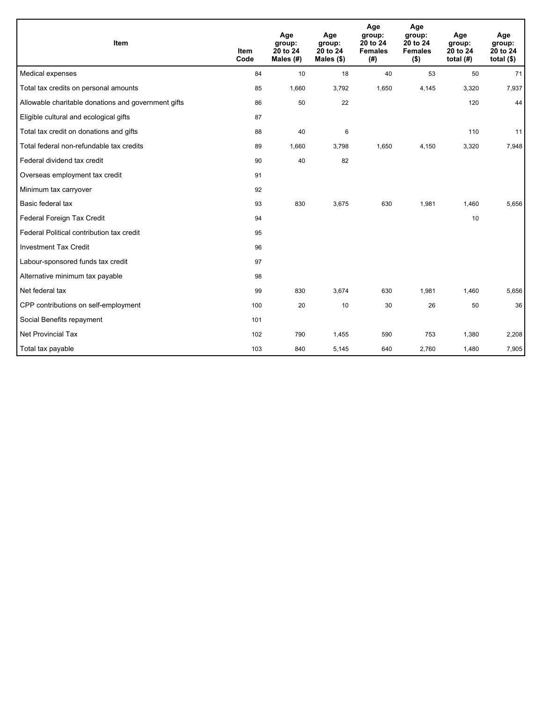| Item                                                | <b>Item</b><br>Code | Age<br>group:<br>20 to 24<br>Males $(H)$ | Age<br>group:<br>20 to 24<br>Males $(\$)$ | Age<br>group:<br>20 to 24<br><b>Females</b><br>(#) | Age<br>group:<br>20 to 24<br><b>Females</b><br>$($ \$) | Age<br>group:<br>20 to 24<br>total $(H)$ | Age<br>group:<br>20 to 24<br>total $($)$ |
|-----------------------------------------------------|---------------------|------------------------------------------|-------------------------------------------|----------------------------------------------------|--------------------------------------------------------|------------------------------------------|------------------------------------------|
| Medical expenses                                    | 84                  | 10                                       | 18                                        | 40                                                 | 53                                                     | 50                                       | 71                                       |
| Total tax credits on personal amounts               | 85                  | 1,660                                    | 3,792                                     | 1,650                                              | 4,145                                                  | 3,320                                    | 7,937                                    |
| Allowable charitable donations and government gifts | 86                  | 50                                       | 22                                        |                                                    |                                                        | 120                                      | 44                                       |
| Eligible cultural and ecological gifts              | 87                  |                                          |                                           |                                                    |                                                        |                                          |                                          |
| Total tax credit on donations and gifts             | 88                  | 40                                       | 6                                         |                                                    |                                                        | 110                                      | 11                                       |
| Total federal non-refundable tax credits            | 89                  | 1,660                                    | 3,798                                     | 1,650                                              | 4,150                                                  | 3,320                                    | 7,948                                    |
| Federal dividend tax credit                         | 90                  | 40                                       | 82                                        |                                                    |                                                        |                                          |                                          |
| Overseas employment tax credit                      | 91                  |                                          |                                           |                                                    |                                                        |                                          |                                          |
| Minimum tax carryover                               | 92                  |                                          |                                           |                                                    |                                                        |                                          |                                          |
| Basic federal tax                                   | 93                  | 830                                      | 3,675                                     | 630                                                | 1,981                                                  | 1,460                                    | 5,656                                    |
| Federal Foreign Tax Credit                          | 94                  |                                          |                                           |                                                    |                                                        | 10                                       |                                          |
| Federal Political contribution tax credit           | 95                  |                                          |                                           |                                                    |                                                        |                                          |                                          |
| <b>Investment Tax Credit</b>                        | 96                  |                                          |                                           |                                                    |                                                        |                                          |                                          |
| Labour-sponsored funds tax credit                   | 97                  |                                          |                                           |                                                    |                                                        |                                          |                                          |
| Alternative minimum tax payable                     | 98                  |                                          |                                           |                                                    |                                                        |                                          |                                          |
| Net federal tax                                     | 99                  | 830                                      | 3.674                                     | 630                                                | 1,981                                                  | 1,460                                    | 5,656                                    |
| CPP contributions on self-employment                | 100                 | 20                                       | 10                                        | 30                                                 | 26                                                     | 50                                       | 36                                       |
| Social Benefits repayment                           | 101                 |                                          |                                           |                                                    |                                                        |                                          |                                          |
| <b>Net Provincial Tax</b>                           | 102                 | 790                                      | 1,455                                     | 590                                                | 753                                                    | 1,380                                    | 2,208                                    |
| Total tax payable                                   | 103                 | 840                                      | 5,145                                     | 640                                                | 2,760                                                  | 1,480                                    | 7,905                                    |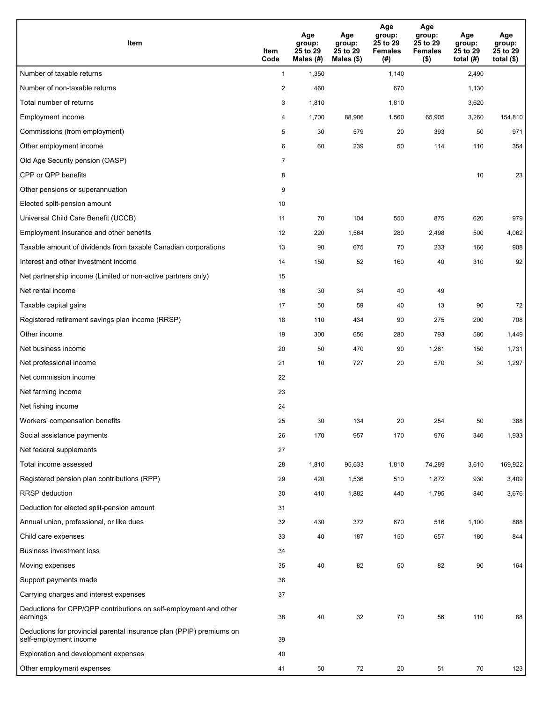| <b>Item</b>                                                                                    | Item<br>Code            | Age<br>group:<br>25 to 29<br>Males (#) | Age<br>group:<br>25 to 29<br>Males (\$) | Age<br>group:<br>25 to 29<br><b>Females</b><br>(#) | Age<br>group:<br>25 to 29<br><b>Females</b><br>$($ \$) | Age<br>group:<br>25 to 29<br>total $(#)$ | Age<br>group:<br>25 to 29<br>total $($)$ |
|------------------------------------------------------------------------------------------------|-------------------------|----------------------------------------|-----------------------------------------|----------------------------------------------------|--------------------------------------------------------|------------------------------------------|------------------------------------------|
| Number of taxable returns                                                                      | $\mathbf{1}$            | 1,350                                  |                                         | 1,140                                              |                                                        | 2,490                                    |                                          |
| Number of non-taxable returns                                                                  | $\overline{\mathbf{c}}$ | 460                                    |                                         | 670                                                |                                                        | 1,130                                    |                                          |
| Total number of returns                                                                        | 3                       | 1,810                                  |                                         | 1,810                                              |                                                        | 3,620                                    |                                          |
| Employment income                                                                              | 4                       | 1,700                                  | 88,906                                  | 1,560                                              | 65,905                                                 | 3,260                                    | 154,810                                  |
| Commissions (from employment)                                                                  | 5                       | 30                                     | 579                                     | 20                                                 | 393                                                    | 50                                       | 971                                      |
| Other employment income                                                                        | 6                       | 60                                     | 239                                     | 50                                                 | 114                                                    | 110                                      | 354                                      |
| Old Age Security pension (OASP)                                                                | $\overline{7}$          |                                        |                                         |                                                    |                                                        |                                          |                                          |
| CPP or QPP benefits                                                                            | 8                       |                                        |                                         |                                                    |                                                        | 10                                       | 23                                       |
| Other pensions or superannuation                                                               | 9                       |                                        |                                         |                                                    |                                                        |                                          |                                          |
| Elected split-pension amount                                                                   | 10                      |                                        |                                         |                                                    |                                                        |                                          |                                          |
| Universal Child Care Benefit (UCCB)                                                            | 11                      | 70                                     | 104                                     | 550                                                | 875                                                    | 620                                      | 979                                      |
| Employment Insurance and other benefits                                                        | 12                      | 220                                    | 1,564                                   | 280                                                | 2,498                                                  | 500                                      | 4,062                                    |
| Taxable amount of dividends from taxable Canadian corporations                                 | 13                      | 90                                     | 675                                     | 70                                                 | 233                                                    | 160                                      | 908                                      |
| Interest and other investment income                                                           | 14                      | 150                                    | 52                                      | 160                                                | 40                                                     | 310                                      | 92                                       |
| Net partnership income (Limited or non-active partners only)                                   | 15                      |                                        |                                         |                                                    |                                                        |                                          |                                          |
| Net rental income                                                                              | 16                      | 30                                     | 34                                      | 40                                                 | 49                                                     |                                          |                                          |
| Taxable capital gains                                                                          | 17                      | 50                                     | 59                                      | 40                                                 | 13                                                     | 90                                       | 72                                       |
| Registered retirement savings plan income (RRSP)                                               | 18                      | 110                                    | 434                                     | 90                                                 | 275                                                    | 200                                      | 708                                      |
| Other income                                                                                   | 19                      | 300                                    | 656                                     | 280                                                | 793                                                    | 580                                      | 1,449                                    |
| Net business income                                                                            | 20                      | 50                                     | 470                                     | 90                                                 | 1,261                                                  | 150                                      | 1,731                                    |
| Net professional income                                                                        | 21                      | 10                                     | 727                                     | 20                                                 | 570                                                    | 30                                       | 1,297                                    |
| Net commission income                                                                          | 22                      |                                        |                                         |                                                    |                                                        |                                          |                                          |
| Net farming income                                                                             | 23                      |                                        |                                         |                                                    |                                                        |                                          |                                          |
| Net fishing income                                                                             | 24                      |                                        |                                         |                                                    |                                                        |                                          |                                          |
| Workers' compensation benefits                                                                 | 25                      | 30                                     | 134                                     | 20                                                 | 254                                                    | 50                                       | 388                                      |
| Social assistance payments                                                                     | 26                      | 170                                    | 957                                     | 170                                                | 976                                                    | 340                                      | 1,933                                    |
| Net federal supplements                                                                        | 27                      |                                        |                                         |                                                    |                                                        |                                          |                                          |
| Total income assessed                                                                          | 28                      | 1,810                                  | 95,633                                  | 1,810                                              | 74,289                                                 | 3,610                                    | 169,922                                  |
| Registered pension plan contributions (RPP)                                                    | 29                      | 420                                    | 1,536                                   | 510                                                | 1,872                                                  | 930                                      | 3,409                                    |
| RRSP deduction                                                                                 | 30                      | 410                                    | 1,882                                   | 440                                                | 1,795                                                  | 840                                      | 3,676                                    |
| Deduction for elected split-pension amount                                                     | 31                      |                                        |                                         |                                                    |                                                        |                                          |                                          |
| Annual union, professional, or like dues                                                       | 32                      | 430                                    | 372                                     | 670                                                | 516                                                    | 1,100                                    | 888                                      |
| Child care expenses                                                                            | 33                      | 40                                     | 187                                     | 150                                                | 657                                                    | 180                                      | 844                                      |
| <b>Business investment loss</b>                                                                | 34                      |                                        |                                         |                                                    |                                                        |                                          |                                          |
| Moving expenses                                                                                | 35                      | 40                                     | 82                                      | 50                                                 | 82                                                     | 90                                       | 164                                      |
| Support payments made                                                                          | 36                      |                                        |                                         |                                                    |                                                        |                                          |                                          |
| Carrying charges and interest expenses                                                         | 37                      |                                        |                                         |                                                    |                                                        |                                          |                                          |
| Deductions for CPP/QPP contributions on self-employment and other<br>earnings                  | 38                      | 40                                     | 32                                      | 70                                                 | 56                                                     | 110                                      | 88                                       |
| Deductions for provincial parental insurance plan (PPIP) premiums on<br>self-employment income | 39                      |                                        |                                         |                                                    |                                                        |                                          |                                          |
| Exploration and development expenses                                                           | 40                      |                                        |                                         |                                                    |                                                        |                                          |                                          |
| Other employment expenses                                                                      | 41                      | 50                                     | 72                                      | 20                                                 | 51                                                     | 70                                       | 123                                      |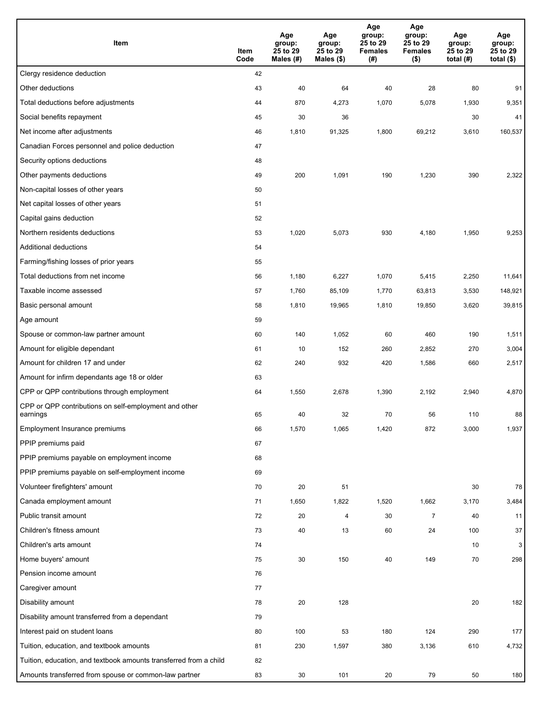| Item                                                              | Item<br>Code | Age<br>group:<br>25 to 29<br>Males (#) | Age<br>group:<br>25 to 29<br>Males (\$) | Age<br>group:<br>25 to 29<br><b>Females</b><br>(#) | Age<br>group:<br>25 to 29<br><b>Females</b><br>$($ \$) | Age<br>group:<br>25 to 29<br>total $(H)$ | Age<br>group:<br>25 to 29<br>total $($)$ |
|-------------------------------------------------------------------|--------------|----------------------------------------|-----------------------------------------|----------------------------------------------------|--------------------------------------------------------|------------------------------------------|------------------------------------------|
| Clergy residence deduction                                        | 42           |                                        |                                         |                                                    |                                                        |                                          |                                          |
| Other deductions                                                  | 43           | 40                                     | 64                                      | 40                                                 | 28                                                     | 80                                       | 91                                       |
| Total deductions before adjustments                               | 44           | 870                                    | 4,273                                   | 1,070                                              | 5,078                                                  | 1,930                                    | 9,351                                    |
| Social benefits repayment                                         | 45           | 30                                     | 36                                      |                                                    |                                                        | 30                                       | 41                                       |
| Net income after adjustments                                      | 46           | 1,810                                  | 91,325                                  | 1,800                                              | 69,212                                                 | 3,610                                    | 160,537                                  |
| Canadian Forces personnel and police deduction                    | 47           |                                        |                                         |                                                    |                                                        |                                          |                                          |
| Security options deductions                                       | 48           |                                        |                                         |                                                    |                                                        |                                          |                                          |
| Other payments deductions                                         | 49           | 200                                    | 1,091                                   | 190                                                | 1,230                                                  | 390                                      | 2,322                                    |
| Non-capital losses of other years                                 | 50           |                                        |                                         |                                                    |                                                        |                                          |                                          |
| Net capital losses of other years                                 | 51           |                                        |                                         |                                                    |                                                        |                                          |                                          |
| Capital gains deduction                                           | 52           |                                        |                                         |                                                    |                                                        |                                          |                                          |
| Northern residents deductions                                     | 53           | 1,020                                  | 5,073                                   | 930                                                | 4,180                                                  | 1,950                                    | 9,253                                    |
| Additional deductions                                             | 54           |                                        |                                         |                                                    |                                                        |                                          |                                          |
| Farming/fishing losses of prior years                             | 55           |                                        |                                         |                                                    |                                                        |                                          |                                          |
| Total deductions from net income                                  | 56           | 1,180                                  | 6,227                                   | 1,070                                              | 5,415                                                  | 2,250                                    | 11,641                                   |
| Taxable income assessed                                           | 57           | 1,760                                  | 85,109                                  | 1,770                                              | 63,813                                                 | 3,530                                    | 148,921                                  |
| Basic personal amount                                             | 58           | 1,810                                  | 19,965                                  | 1,810                                              | 19,850                                                 | 3,620                                    | 39,815                                   |
| Age amount                                                        | 59           |                                        |                                         |                                                    |                                                        |                                          |                                          |
| Spouse or common-law partner amount                               | 60           | 140                                    | 1,052                                   | 60                                                 | 460                                                    | 190                                      | 1,511                                    |
| Amount for eligible dependant                                     | 61           | 10                                     | 152                                     | 260                                                | 2,852                                                  | 270                                      | 3,004                                    |
| Amount for children 17 and under                                  | 62           | 240                                    | 932                                     | 420                                                | 1,586                                                  | 660                                      | 2,517                                    |
| Amount for infirm dependants age 18 or older                      | 63           |                                        |                                         |                                                    |                                                        |                                          |                                          |
| CPP or QPP contributions through employment                       | 64           | 1,550                                  | 2,678                                   | 1,390                                              | 2,192                                                  | 2,940                                    | 4,870                                    |
| CPP or QPP contributions on self-employment and other<br>earnings | 65           | 40                                     | 32                                      | 70                                                 | 56                                                     | 110                                      | 88                                       |
| Employment Insurance premiums                                     | 66           | 1,570                                  | 1,065                                   | 1,420                                              | 872                                                    | 3,000                                    | 1,937                                    |
| PPIP premiums paid                                                | 67           |                                        |                                         |                                                    |                                                        |                                          |                                          |
| PPIP premiums payable on employment income                        | 68           |                                        |                                         |                                                    |                                                        |                                          |                                          |
| PPIP premiums payable on self-employment income                   | 69           |                                        |                                         |                                                    |                                                        |                                          |                                          |
| Volunteer firefighters' amount                                    | 70           | 20                                     | 51                                      |                                                    |                                                        | 30                                       | 78                                       |
| Canada employment amount                                          | 71           | 1,650                                  | 1,822                                   | 1,520                                              | 1,662                                                  | 3,170                                    | 3,484                                    |
| Public transit amount                                             | 72           | 20                                     | 4                                       | 30                                                 | $\overline{7}$                                         | 40                                       | 11                                       |
| Children's fitness amount                                         | 73           | 40                                     | 13                                      | 60                                                 | 24                                                     | 100                                      | 37                                       |
| Children's arts amount                                            | 74           |                                        |                                         |                                                    |                                                        | 10                                       | 3                                        |
| Home buyers' amount                                               | 75           | 30                                     | 150                                     | 40                                                 | 149                                                    | $70\,$                                   | 298                                      |
| Pension income amount                                             | 76           |                                        |                                         |                                                    |                                                        |                                          |                                          |
| Caregiver amount                                                  | 77           |                                        |                                         |                                                    |                                                        |                                          |                                          |
| Disability amount                                                 | 78           | 20                                     | 128                                     |                                                    |                                                        | 20                                       | 182                                      |
| Disability amount transferred from a dependant                    | 79           |                                        |                                         |                                                    |                                                        |                                          |                                          |
| Interest paid on student loans                                    | 80           | 100                                    | 53                                      | 180                                                | 124                                                    | 290                                      | 177                                      |
| Tuition, education, and textbook amounts                          | 81           | 230                                    | 1,597                                   | 380                                                | 3,136                                                  | 610                                      | 4,732                                    |
| Tuition, education, and textbook amounts transferred from a child | 82           |                                        |                                         |                                                    |                                                        |                                          |                                          |
| Amounts transferred from spouse or common-law partner             | 83           | 30                                     | 101                                     | 20                                                 | 79                                                     | 50                                       | 180                                      |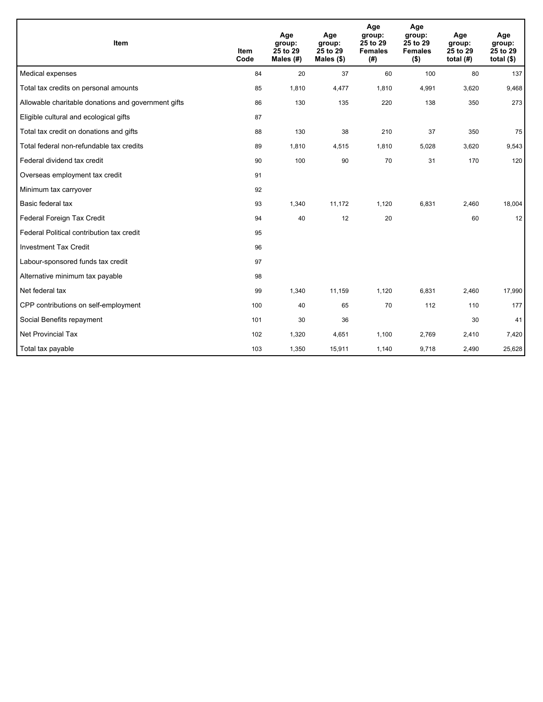| Item                                                | <b>Item</b><br>Code | Age<br>group:<br>25 to 29<br>Males (#) | Age<br>group:<br>25 to 29<br>Males $(\$)$ | Age<br>group:<br>25 to 29<br><b>Females</b><br>(#) | Age<br>group:<br>25 to 29<br><b>Females</b><br>$($ \$) | Age<br>group:<br>25 to 29<br>total $(H)$ | Age<br>group:<br>25 to 29<br>total $($)$ |
|-----------------------------------------------------|---------------------|----------------------------------------|-------------------------------------------|----------------------------------------------------|--------------------------------------------------------|------------------------------------------|------------------------------------------|
| Medical expenses                                    | 84                  | 20                                     | 37                                        | 60                                                 | 100                                                    | 80                                       | 137                                      |
| Total tax credits on personal amounts               | 85                  | 1,810                                  | 4,477                                     | 1,810                                              | 4,991                                                  | 3,620                                    | 9,468                                    |
| Allowable charitable donations and government gifts | 86                  | 130                                    | 135                                       | 220                                                | 138                                                    | 350                                      | 273                                      |
| Eligible cultural and ecological gifts              | 87                  |                                        |                                           |                                                    |                                                        |                                          |                                          |
| Total tax credit on donations and gifts             | 88                  | 130                                    | 38                                        | 210                                                | 37                                                     | 350                                      | 75                                       |
| Total federal non-refundable tax credits            | 89                  | 1,810                                  | 4,515                                     | 1,810                                              | 5,028                                                  | 3,620                                    | 9,543                                    |
| Federal dividend tax credit                         | 90                  | 100                                    | 90                                        | 70                                                 | 31                                                     | 170                                      | 120                                      |
| Overseas employment tax credit                      | 91                  |                                        |                                           |                                                    |                                                        |                                          |                                          |
| Minimum tax carryover                               | 92                  |                                        |                                           |                                                    |                                                        |                                          |                                          |
| Basic federal tax                                   | 93                  | 1,340                                  | 11,172                                    | 1,120                                              | 6,831                                                  | 2,460                                    | 18,004                                   |
| Federal Foreign Tax Credit                          | 94                  | 40                                     | 12                                        | 20                                                 |                                                        | 60                                       | 12                                       |
| Federal Political contribution tax credit           | 95                  |                                        |                                           |                                                    |                                                        |                                          |                                          |
| <b>Investment Tax Credit</b>                        | 96                  |                                        |                                           |                                                    |                                                        |                                          |                                          |
| Labour-sponsored funds tax credit                   | 97                  |                                        |                                           |                                                    |                                                        |                                          |                                          |
| Alternative minimum tax payable                     | 98                  |                                        |                                           |                                                    |                                                        |                                          |                                          |
| Net federal tax                                     | 99                  | 1,340                                  | 11,159                                    | 1,120                                              | 6,831                                                  | 2,460                                    | 17,990                                   |
| CPP contributions on self-employment                | 100                 | 40                                     | 65                                        | 70                                                 | 112                                                    | 110                                      | 177                                      |
| Social Benefits repayment                           | 101                 | 30                                     | 36                                        |                                                    |                                                        | 30                                       | 41                                       |
| <b>Net Provincial Tax</b>                           | 102                 | 1,320                                  | 4,651                                     | 1,100                                              | 2,769                                                  | 2,410                                    | 7,420                                    |
| Total tax payable                                   | 103                 | 1,350                                  | 15,911                                    | 1,140                                              | 9,718                                                  | 2,490                                    | 25,628                                   |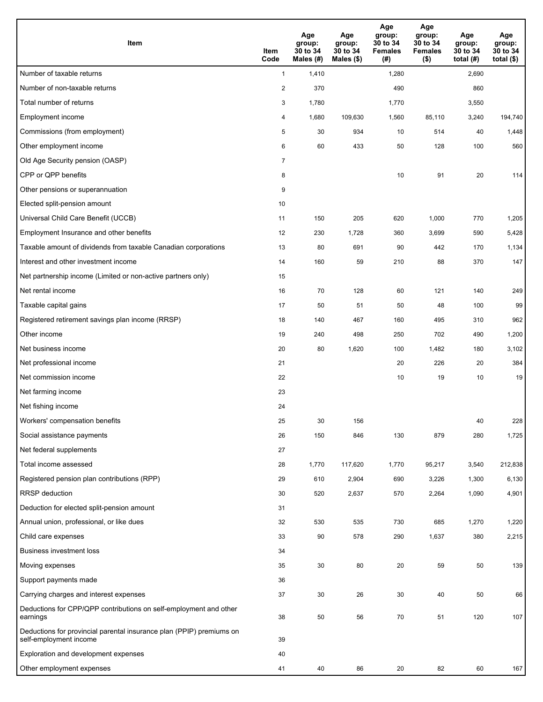| <b>Item</b>                                                                                    | Item<br>Code            | Age<br>group:<br>30 to 34<br>Males (#) | Age<br>group:<br>30 to 34<br>Males $(\$)$ | Age<br>group:<br>30 to 34<br><b>Females</b><br>(#) | Age<br>group:<br>30 to 34<br><b>Females</b><br>$($ \$) | Age<br>group:<br>30 to 34<br>total $(#)$ | Age<br>group:<br>30 to 34<br>total $($)$ |
|------------------------------------------------------------------------------------------------|-------------------------|----------------------------------------|-------------------------------------------|----------------------------------------------------|--------------------------------------------------------|------------------------------------------|------------------------------------------|
| Number of taxable returns                                                                      | $\mathbf{1}$            | 1,410                                  |                                           | 1,280                                              |                                                        | 2,690                                    |                                          |
| Number of non-taxable returns                                                                  | $\overline{\mathbf{c}}$ | 370                                    |                                           | 490                                                |                                                        | 860                                      |                                          |
| Total number of returns                                                                        | 3                       | 1,780                                  |                                           | 1,770                                              |                                                        | 3,550                                    |                                          |
| Employment income                                                                              | 4                       | 1,680                                  | 109,630                                   | 1,560                                              | 85,110                                                 | 3,240                                    | 194,740                                  |
| Commissions (from employment)                                                                  | 5                       | 30                                     | 934                                       | 10                                                 | 514                                                    | 40                                       | 1,448                                    |
| Other employment income                                                                        | 6                       | 60                                     | 433                                       | 50                                                 | 128                                                    | 100                                      | 560                                      |
| Old Age Security pension (OASP)                                                                | $\overline{7}$          |                                        |                                           |                                                    |                                                        |                                          |                                          |
| CPP or QPP benefits                                                                            | 8                       |                                        |                                           | 10                                                 | 91                                                     | 20                                       | 114                                      |
| Other pensions or superannuation                                                               | 9                       |                                        |                                           |                                                    |                                                        |                                          |                                          |
| Elected split-pension amount                                                                   | 10                      |                                        |                                           |                                                    |                                                        |                                          |                                          |
| Universal Child Care Benefit (UCCB)                                                            | 11                      | 150                                    | 205                                       | 620                                                | 1,000                                                  | 770                                      | 1,205                                    |
| Employment Insurance and other benefits                                                        | 12                      | 230                                    | 1,728                                     | 360                                                | 3,699                                                  | 590                                      | 5,428                                    |
| Taxable amount of dividends from taxable Canadian corporations                                 | 13                      | 80                                     | 691                                       | 90                                                 | 442                                                    | 170                                      | 1,134                                    |
| Interest and other investment income                                                           | 14                      | 160                                    | 59                                        | 210                                                | 88                                                     | 370                                      | 147                                      |
| Net partnership income (Limited or non-active partners only)                                   | 15                      |                                        |                                           |                                                    |                                                        |                                          |                                          |
| Net rental income                                                                              | 16                      | 70                                     | 128                                       | 60                                                 | 121                                                    | 140                                      | 249                                      |
| Taxable capital gains                                                                          | 17                      | 50                                     | 51                                        | 50                                                 | 48                                                     | 100                                      | 99                                       |
| Registered retirement savings plan income (RRSP)                                               | 18                      | 140                                    | 467                                       | 160                                                | 495                                                    | 310                                      | 962                                      |
| Other income                                                                                   | 19                      | 240                                    | 498                                       | 250                                                | 702                                                    | 490                                      | 1,200                                    |
| Net business income                                                                            | 20                      | 80                                     | 1,620                                     | 100                                                | 1,482                                                  | 180                                      | 3,102                                    |
| Net professional income                                                                        | 21                      |                                        |                                           | 20                                                 | 226                                                    | 20                                       | 384                                      |
| Net commission income                                                                          | 22                      |                                        |                                           | 10                                                 | 19                                                     | 10                                       | 19                                       |
| Net farming income                                                                             | 23                      |                                        |                                           |                                                    |                                                        |                                          |                                          |
| Net fishing income                                                                             | 24                      |                                        |                                           |                                                    |                                                        |                                          |                                          |
| Workers' compensation benefits                                                                 | 25                      | 30                                     | 156                                       |                                                    |                                                        | 40                                       | 228                                      |
| Social assistance payments                                                                     | 26                      | 150                                    | 846                                       | 130                                                | 879                                                    | 280                                      | 1,725                                    |
| Net federal supplements                                                                        | 27                      |                                        |                                           |                                                    |                                                        |                                          |                                          |
| Total income assessed                                                                          | 28                      | 1,770                                  | 117,620                                   | 1,770                                              | 95,217                                                 | 3,540                                    | 212,838                                  |
| Registered pension plan contributions (RPP)                                                    | 29                      | 610                                    | 2,904                                     | 690                                                | 3,226                                                  | 1,300                                    | 6,130                                    |
| RRSP deduction                                                                                 | 30                      | 520                                    | 2,637                                     | 570                                                | 2,264                                                  | 1,090                                    | 4,901                                    |
| Deduction for elected split-pension amount                                                     | 31                      |                                        |                                           |                                                    |                                                        |                                          |                                          |
| Annual union, professional, or like dues                                                       | 32                      | 530                                    | 535                                       | 730                                                | 685                                                    | 1,270                                    | 1,220                                    |
| Child care expenses                                                                            | 33                      | 90                                     | 578                                       | 290                                                | 1,637                                                  | 380                                      | 2,215                                    |
| <b>Business investment loss</b>                                                                | 34                      |                                        |                                           |                                                    |                                                        |                                          |                                          |
| Moving expenses                                                                                | 35                      | 30                                     | 80                                        | 20                                                 | 59                                                     | 50                                       | 139                                      |
| Support payments made                                                                          | 36                      |                                        |                                           |                                                    |                                                        |                                          |                                          |
| Carrying charges and interest expenses                                                         | 37                      | 30                                     | 26                                        | 30                                                 | 40                                                     | 50                                       | 66                                       |
| Deductions for CPP/QPP contributions on self-employment and other<br>earnings                  | 38                      | 50                                     | 56                                        | 70                                                 | 51                                                     | 120                                      | 107                                      |
| Deductions for provincial parental insurance plan (PPIP) premiums on<br>self-employment income | 39                      |                                        |                                           |                                                    |                                                        |                                          |                                          |
| Exploration and development expenses                                                           | 40                      |                                        |                                           |                                                    |                                                        |                                          |                                          |
| Other employment expenses                                                                      | 41                      | 40                                     | 86                                        | 20                                                 | 82                                                     | 60                                       | 167                                      |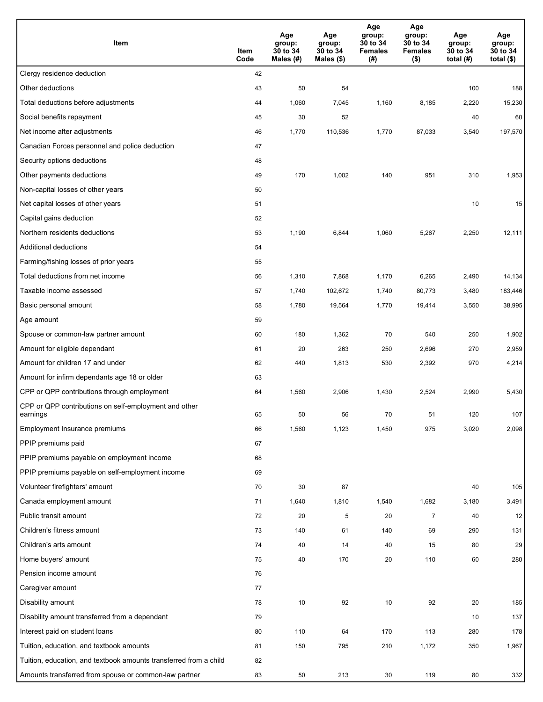| Item                                                              | Item<br>Code | Age<br>group:<br>30 to 34<br>Males (#) | Age<br>group:<br>30 to 34<br>Males (\$) | Age<br>group:<br>30 to 34<br><b>Females</b><br>(#) | Age<br>group:<br>30 to 34<br><b>Females</b><br>$($ \$) | Age<br>group:<br>30 to 34<br>total $(#)$ | Age<br>group:<br>30 to 34<br>total $($)$ |
|-------------------------------------------------------------------|--------------|----------------------------------------|-----------------------------------------|----------------------------------------------------|--------------------------------------------------------|------------------------------------------|------------------------------------------|
| Clergy residence deduction                                        | 42           |                                        |                                         |                                                    |                                                        |                                          |                                          |
| Other deductions                                                  | 43           | 50                                     | 54                                      |                                                    |                                                        | 100                                      | 188                                      |
| Total deductions before adjustments                               | 44           | 1,060                                  | 7,045                                   | 1,160                                              | 8,185                                                  | 2,220                                    | 15,230                                   |
| Social benefits repayment                                         | 45           | 30                                     | 52                                      |                                                    |                                                        | 40                                       | 60                                       |
| Net income after adjustments                                      | 46           | 1,770                                  | 110,536                                 | 1,770                                              | 87,033                                                 | 3,540                                    | 197,570                                  |
| Canadian Forces personnel and police deduction                    | 47           |                                        |                                         |                                                    |                                                        |                                          |                                          |
| Security options deductions                                       | 48           |                                        |                                         |                                                    |                                                        |                                          |                                          |
| Other payments deductions                                         | 49           | 170                                    | 1,002                                   | 140                                                | 951                                                    | 310                                      | 1,953                                    |
| Non-capital losses of other years                                 | 50           |                                        |                                         |                                                    |                                                        |                                          |                                          |
| Net capital losses of other years                                 | 51           |                                        |                                         |                                                    |                                                        | 10                                       | 15                                       |
| Capital gains deduction                                           | 52           |                                        |                                         |                                                    |                                                        |                                          |                                          |
| Northern residents deductions                                     | 53           | 1,190                                  | 6,844                                   | 1,060                                              | 5,267                                                  | 2,250                                    | 12,111                                   |
| Additional deductions                                             | 54           |                                        |                                         |                                                    |                                                        |                                          |                                          |
| Farming/fishing losses of prior years                             | 55           |                                        |                                         |                                                    |                                                        |                                          |                                          |
| Total deductions from net income                                  | 56           | 1,310                                  | 7,868                                   | 1,170                                              | 6,265                                                  | 2,490                                    | 14,134                                   |
| Taxable income assessed                                           | 57           | 1,740                                  | 102,672                                 | 1,740                                              | 80,773                                                 | 3,480                                    | 183,446                                  |
| Basic personal amount                                             | 58           | 1,780                                  | 19,564                                  | 1,770                                              | 19,414                                                 | 3,550                                    | 38,995                                   |
| Age amount                                                        | 59           |                                        |                                         |                                                    |                                                        |                                          |                                          |
| Spouse or common-law partner amount                               | 60           | 180                                    | 1,362                                   | 70                                                 | 540                                                    | 250                                      | 1,902                                    |
| Amount for eligible dependant                                     | 61           | 20                                     | 263                                     | 250                                                | 2,696                                                  | 270                                      | 2,959                                    |
| Amount for children 17 and under                                  | 62           | 440                                    | 1,813                                   | 530                                                | 2,392                                                  | 970                                      | 4,214                                    |
| Amount for infirm dependants age 18 or older                      | 63           |                                        |                                         |                                                    |                                                        |                                          |                                          |
| CPP or QPP contributions through employment                       | 64           | 1,560                                  | 2,906                                   | 1,430                                              | 2,524                                                  | 2,990                                    | 5,430                                    |
| CPP or QPP contributions on self-employment and other<br>earnings | 65           | 50                                     | 56                                      | 70                                                 | 51                                                     | 120                                      | 107                                      |
| Employment Insurance premiums                                     | 66           | 1,560                                  | 1,123                                   | 1,450                                              | 975                                                    | 3,020                                    | 2,098                                    |
| PPIP premiums paid                                                | 67           |                                        |                                         |                                                    |                                                        |                                          |                                          |
| PPIP premiums payable on employment income                        | 68           |                                        |                                         |                                                    |                                                        |                                          |                                          |
| PPIP premiums payable on self-employment income                   | 69           |                                        |                                         |                                                    |                                                        |                                          |                                          |
| Volunteer firefighters' amount                                    | 70           | 30                                     | 87                                      |                                                    |                                                        | 40                                       | 105                                      |
| Canada employment amount                                          | 71           | 1,640                                  | 1,810                                   | 1,540                                              | 1,682                                                  | 3,180                                    | 3,491                                    |
| Public transit amount                                             | 72           | 20                                     | 5                                       | 20                                                 | $\overline{7}$                                         | 40                                       | 12                                       |
| Children's fitness amount                                         | 73           | 140                                    | 61                                      | 140                                                | 69                                                     | 290                                      | 131                                      |
| Children's arts amount                                            | 74           | 40                                     | 14                                      | 40                                                 | 15                                                     | 80                                       | 29                                       |
| Home buyers' amount                                               | 75           | 40                                     | 170                                     | 20                                                 | 110                                                    | 60                                       | 280                                      |
| Pension income amount                                             | 76           |                                        |                                         |                                                    |                                                        |                                          |                                          |
| Caregiver amount                                                  | 77           |                                        |                                         |                                                    |                                                        |                                          |                                          |
| Disability amount                                                 | 78           | 10                                     | 92                                      | 10                                                 | 92                                                     | 20                                       | 185                                      |
| Disability amount transferred from a dependant                    | 79           |                                        |                                         |                                                    |                                                        | 10                                       | 137                                      |
| Interest paid on student loans                                    | 80           | 110                                    | 64                                      | 170                                                | 113                                                    | 280                                      | 178                                      |
| Tuition, education, and textbook amounts                          | 81           | 150                                    | 795                                     | 210                                                | 1,172                                                  | 350                                      | 1,967                                    |
| Tuition, education, and textbook amounts transferred from a child | 82           |                                        |                                         |                                                    |                                                        |                                          |                                          |
| Amounts transferred from spouse or common-law partner             | 83           | 50                                     | 213                                     | 30                                                 | 119                                                    | 80                                       | 332                                      |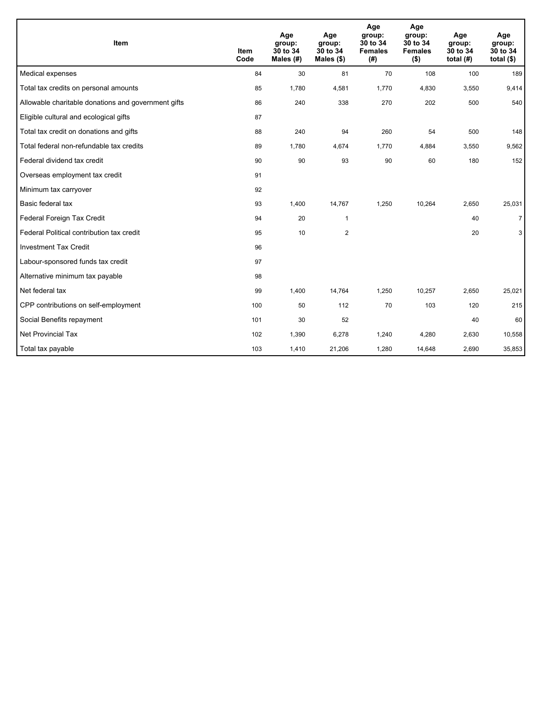| Item                                                | <b>Item</b><br>Code | Age<br>group:<br>30 to 34<br>Males $(H)$ | Age<br>group:<br>30 to 34<br>Males $(\$)$ | Age<br>group:<br>30 to 34<br><b>Females</b><br>(# ) | Age<br>group:<br>30 to 34<br><b>Females</b><br>$($ \$) | Age<br>group:<br>30 to 34<br>total $(H)$ | Age<br>group:<br>30 to 34<br>total $(§)$ |
|-----------------------------------------------------|---------------------|------------------------------------------|-------------------------------------------|-----------------------------------------------------|--------------------------------------------------------|------------------------------------------|------------------------------------------|
| Medical expenses                                    | 84                  | 30                                       | 81                                        | 70                                                  | 108                                                    | 100                                      | 189                                      |
| Total tax credits on personal amounts               | 85                  | 1,780                                    | 4,581                                     | 1,770                                               | 4,830                                                  | 3,550                                    | 9,414                                    |
| Allowable charitable donations and government gifts | 86                  | 240                                      | 338                                       | 270                                                 | 202                                                    | 500                                      | 540                                      |
| Eligible cultural and ecological gifts              | 87                  |                                          |                                           |                                                     |                                                        |                                          |                                          |
| Total tax credit on donations and gifts             | 88                  | 240                                      | 94                                        | 260                                                 | 54                                                     | 500                                      | 148                                      |
| Total federal non-refundable tax credits            | 89                  | 1,780                                    | 4,674                                     | 1,770                                               | 4,884                                                  | 3,550                                    | 9,562                                    |
| Federal dividend tax credit                         | 90                  | 90                                       | 93                                        | 90                                                  | 60                                                     | 180                                      | 152                                      |
| Overseas employment tax credit                      | 91                  |                                          |                                           |                                                     |                                                        |                                          |                                          |
| Minimum tax carryover                               | 92                  |                                          |                                           |                                                     |                                                        |                                          |                                          |
| Basic federal tax                                   | 93                  | 1,400                                    | 14,767                                    | 1,250                                               | 10,264                                                 | 2,650                                    | 25,031                                   |
| Federal Foreign Tax Credit                          | 94                  | 20                                       | $\mathbf{1}$                              |                                                     |                                                        | 40                                       | $\overline{7}$                           |
| Federal Political contribution tax credit           | 95                  | 10                                       | $\overline{2}$                            |                                                     |                                                        | 20                                       | 3                                        |
| <b>Investment Tax Credit</b>                        | 96                  |                                          |                                           |                                                     |                                                        |                                          |                                          |
| Labour-sponsored funds tax credit                   | 97                  |                                          |                                           |                                                     |                                                        |                                          |                                          |
| Alternative minimum tax payable                     | 98                  |                                          |                                           |                                                     |                                                        |                                          |                                          |
| Net federal tax                                     | 99                  | 1,400                                    | 14,764                                    | 1,250                                               | 10,257                                                 | 2,650                                    | 25,021                                   |
| CPP contributions on self-employment                | 100                 | 50                                       | 112                                       | 70                                                  | 103                                                    | 120                                      | 215                                      |
| Social Benefits repayment                           | 101                 | 30                                       | 52                                        |                                                     |                                                        | 40                                       | 60                                       |
| Net Provincial Tax                                  | 102                 | 1,390                                    | 6,278                                     | 1,240                                               | 4,280                                                  | 2,630                                    | 10,558                                   |
| Total tax payable                                   | 103                 | 1,410                                    | 21,206                                    | 1,280                                               | 14,648                                                 | 2,690                                    | 35,853                                   |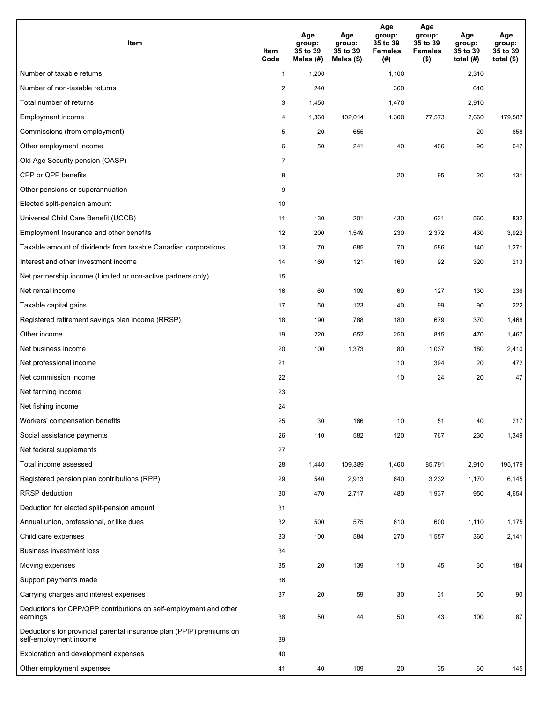| Item                                                                                           | Item<br>Code   | Age<br>group:<br>35 to 39<br>Males (#) | Age<br>group:<br>35 to 39<br>Males (\$) | Age<br>group:<br>35 to 39<br><b>Females</b><br>(#) | Age<br>group:<br>35 to 39<br><b>Females</b><br>$($ \$) | Age<br>group:<br>35 to 39<br>total $(H)$ | Age<br>group:<br>35 to 39<br>total $($)$ |
|------------------------------------------------------------------------------------------------|----------------|----------------------------------------|-----------------------------------------|----------------------------------------------------|--------------------------------------------------------|------------------------------------------|------------------------------------------|
| Number of taxable returns                                                                      | $\mathbf{1}$   | 1,200                                  |                                         | 1,100                                              |                                                        | 2,310                                    |                                          |
| Number of non-taxable returns                                                                  | $\overline{2}$ | 240                                    |                                         | 360                                                |                                                        | 610                                      |                                          |
| Total number of returns                                                                        | 3              | 1,450                                  |                                         | 1,470                                              |                                                        | 2,910                                    |                                          |
| Employment income                                                                              | 4              | 1,360                                  | 102,014                                 | 1,300                                              | 77,573                                                 | 2,660                                    | 179,587                                  |
| Commissions (from employment)                                                                  | 5              | 20                                     | 655                                     |                                                    |                                                        | 20                                       | 658                                      |
| Other employment income                                                                        | 6              | 50                                     | 241                                     | 40                                                 | 406                                                    | 90                                       | 647                                      |
| Old Age Security pension (OASP)                                                                | $\overline{7}$ |                                        |                                         |                                                    |                                                        |                                          |                                          |
| CPP or QPP benefits                                                                            | 8              |                                        |                                         | 20                                                 | 95                                                     | 20                                       | 131                                      |
| Other pensions or superannuation                                                               | 9              |                                        |                                         |                                                    |                                                        |                                          |                                          |
| Elected split-pension amount                                                                   | 10             |                                        |                                         |                                                    |                                                        |                                          |                                          |
| Universal Child Care Benefit (UCCB)                                                            | 11             | 130                                    | 201                                     | 430                                                | 631                                                    | 560                                      | 832                                      |
| Employment Insurance and other benefits                                                        | 12             | 200                                    | 1,549                                   | 230                                                | 2,372                                                  | 430                                      | 3,922                                    |
| Taxable amount of dividends from taxable Canadian corporations                                 | 13             | 70                                     | 685                                     | 70                                                 | 586                                                    | 140                                      | 1,271                                    |
| Interest and other investment income                                                           | 14             | 160                                    | 121                                     | 160                                                | 92                                                     | 320                                      | 213                                      |
| Net partnership income (Limited or non-active partners only)                                   | 15             |                                        |                                         |                                                    |                                                        |                                          |                                          |
| Net rental income                                                                              | 16             | 60                                     | 109                                     | 60                                                 | 127                                                    | 130                                      | 236                                      |
| Taxable capital gains                                                                          | 17             | 50                                     | 123                                     | 40                                                 | 99                                                     | 90                                       | 222                                      |
| Registered retirement savings plan income (RRSP)                                               | 18             | 190                                    | 788                                     | 180                                                | 679                                                    | 370                                      | 1,468                                    |
| Other income                                                                                   | 19             | 220                                    | 652                                     | 250                                                | 815                                                    | 470                                      | 1,467                                    |
| Net business income                                                                            | 20             | 100                                    | 1,373                                   | 80                                                 | 1,037                                                  | 180                                      | 2,410                                    |
| Net professional income                                                                        | 21             |                                        |                                         | 10                                                 | 394                                                    | 20                                       | 472                                      |
| Net commission income                                                                          | 22             |                                        |                                         | 10                                                 | 24                                                     | 20                                       | 47                                       |
| Net farming income                                                                             | 23             |                                        |                                         |                                                    |                                                        |                                          |                                          |
| Net fishing income                                                                             | 24             |                                        |                                         |                                                    |                                                        |                                          |                                          |
| Workers' compensation benefits                                                                 | 25             | 30                                     | 166                                     | 10                                                 | 51                                                     | 40                                       | 217                                      |
| Social assistance payments                                                                     | 26             | 110                                    | 582                                     | 120                                                | 767                                                    | 230                                      | 1,349                                    |
| Net federal supplements                                                                        | 27             |                                        |                                         |                                                    |                                                        |                                          |                                          |
| Total income assessed                                                                          | 28             | 1,440                                  | 109,389                                 | 1,460                                              | 85,791                                                 | 2,910                                    | 195,179                                  |
| Registered pension plan contributions (RPP)                                                    | 29             | 540                                    | 2,913                                   | 640                                                | 3,232                                                  | 1,170                                    | 6,145                                    |
| RRSP deduction                                                                                 | 30             | 470                                    | 2,717                                   | 480                                                | 1,937                                                  | 950                                      | 4,654                                    |
| Deduction for elected split-pension amount                                                     | 31             |                                        |                                         |                                                    |                                                        |                                          |                                          |
| Annual union, professional, or like dues                                                       | 32             | 500                                    | 575                                     | 610                                                | 600                                                    | 1,110                                    | 1,175                                    |
| Child care expenses                                                                            | 33             | 100                                    | 584                                     | 270                                                | 1,557                                                  | 360                                      | 2,141                                    |
| <b>Business investment loss</b>                                                                | 34             |                                        |                                         |                                                    |                                                        |                                          |                                          |
| Moving expenses                                                                                | 35             | 20                                     | 139                                     | 10                                                 | 45                                                     | 30                                       | 184                                      |
| Support payments made                                                                          | 36             |                                        |                                         |                                                    |                                                        |                                          |                                          |
| Carrying charges and interest expenses                                                         | 37             | 20                                     | 59                                      | 30                                                 | 31                                                     | 50                                       | 90                                       |
| Deductions for CPP/QPP contributions on self-employment and other<br>earnings                  | 38             | 50                                     | 44                                      | 50                                                 | 43                                                     | 100                                      | 87                                       |
| Deductions for provincial parental insurance plan (PPIP) premiums on<br>self-employment income | 39             |                                        |                                         |                                                    |                                                        |                                          |                                          |
| Exploration and development expenses                                                           | 40             |                                        |                                         |                                                    |                                                        |                                          |                                          |
| Other employment expenses                                                                      | 41             | 40                                     | 109                                     | 20                                                 | 35                                                     | 60                                       | 145                                      |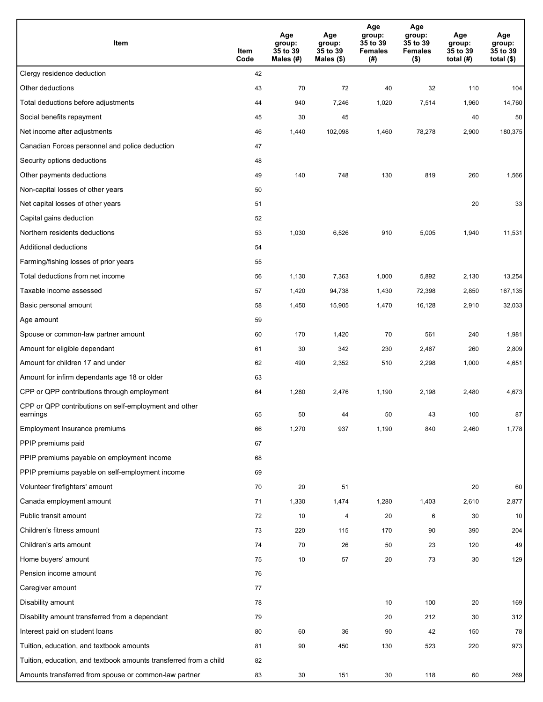| Item                                                              | Item<br>Code | Age<br>group:<br>35 to 39<br>Males (#) | Age<br>group:<br>35 to 39<br>Males (\$) | Age<br>group:<br>35 to 39<br><b>Females</b><br>(#) | Age<br>group:<br>35 to 39<br><b>Females</b><br>$($ \$) | Age<br>group:<br>35 to 39<br>total $(H)$ | Age<br>group:<br>35 to 39<br>total $($)$ |
|-------------------------------------------------------------------|--------------|----------------------------------------|-----------------------------------------|----------------------------------------------------|--------------------------------------------------------|------------------------------------------|------------------------------------------|
| Clergy residence deduction                                        | 42           |                                        |                                         |                                                    |                                                        |                                          |                                          |
| Other deductions                                                  | 43           | 70                                     | 72                                      | 40                                                 | 32                                                     | 110                                      | 104                                      |
| Total deductions before adjustments                               | 44           | 940                                    | 7,246                                   | 1,020                                              | 7,514                                                  | 1,960                                    | 14,760                                   |
| Social benefits repayment                                         | 45           | 30                                     | 45                                      |                                                    |                                                        | 40                                       | 50                                       |
| Net income after adjustments                                      | 46           | 1,440                                  | 102,098                                 | 1,460                                              | 78,278                                                 | 2,900                                    | 180,375                                  |
| Canadian Forces personnel and police deduction                    | 47           |                                        |                                         |                                                    |                                                        |                                          |                                          |
| Security options deductions                                       | 48           |                                        |                                         |                                                    |                                                        |                                          |                                          |
| Other payments deductions                                         | 49           | 140                                    | 748                                     | 130                                                | 819                                                    | 260                                      | 1,566                                    |
| Non-capital losses of other years                                 | 50           |                                        |                                         |                                                    |                                                        |                                          |                                          |
| Net capital losses of other years                                 | 51           |                                        |                                         |                                                    |                                                        | 20                                       | 33                                       |
| Capital gains deduction                                           | 52           |                                        |                                         |                                                    |                                                        |                                          |                                          |
| Northern residents deductions                                     | 53           | 1,030                                  | 6,526                                   | 910                                                | 5,005                                                  | 1,940                                    | 11,531                                   |
| Additional deductions                                             | 54           |                                        |                                         |                                                    |                                                        |                                          |                                          |
| Farming/fishing losses of prior years                             | 55           |                                        |                                         |                                                    |                                                        |                                          |                                          |
| Total deductions from net income                                  | 56           | 1,130                                  | 7,363                                   | 1,000                                              | 5,892                                                  | 2,130                                    | 13,254                                   |
| Taxable income assessed                                           | 57           | 1,420                                  | 94,738                                  | 1,430                                              | 72,398                                                 | 2,850                                    | 167,135                                  |
| Basic personal amount                                             | 58           | 1,450                                  | 15,905                                  | 1,470                                              | 16,128                                                 | 2,910                                    | 32,033                                   |
| Age amount                                                        | 59           |                                        |                                         |                                                    |                                                        |                                          |                                          |
| Spouse or common-law partner amount                               | 60           | 170                                    | 1,420                                   | 70                                                 | 561                                                    | 240                                      | 1,981                                    |
| Amount for eligible dependant                                     | 61           | 30                                     | 342                                     | 230                                                | 2,467                                                  | 260                                      | 2,809                                    |
| Amount for children 17 and under                                  | 62           | 490                                    | 2,352                                   | 510                                                | 2,298                                                  | 1,000                                    | 4,651                                    |
| Amount for infirm dependants age 18 or older                      | 63           |                                        |                                         |                                                    |                                                        |                                          |                                          |
| CPP or QPP contributions through employment                       | 64           | 1,280                                  | 2,476                                   | 1,190                                              | 2,198                                                  | 2,480                                    | 4,673                                    |
| CPP or QPP contributions on self-employment and other<br>earnings | 65           | 50                                     | 44                                      | 50                                                 | 43                                                     | 100                                      | 87                                       |
| Employment Insurance premiums                                     | 66           | 1,270                                  | 937                                     | 1,190                                              | 840                                                    | 2,460                                    | 1,778                                    |
| PPIP premiums paid                                                | 67           |                                        |                                         |                                                    |                                                        |                                          |                                          |
| PPIP premiums payable on employment income                        | 68           |                                        |                                         |                                                    |                                                        |                                          |                                          |
| PPIP premiums payable on self-employment income                   | 69           |                                        |                                         |                                                    |                                                        |                                          |                                          |
| Volunteer firefighters' amount                                    | 70           | 20                                     | 51                                      |                                                    |                                                        | 20                                       | 60                                       |
| Canada employment amount                                          | 71           | 1,330                                  | 1,474                                   | 1,280                                              | 1,403                                                  | 2,610                                    | 2,877                                    |
| Public transit amount                                             | 72           | 10                                     | 4                                       | 20                                                 | 6                                                      | 30                                       | 10                                       |
| Children's fitness amount                                         | 73           | 220                                    | 115                                     | 170                                                | 90                                                     | 390                                      | 204                                      |
| Children's arts amount                                            | 74           | 70                                     | 26                                      | 50                                                 | 23                                                     | 120                                      | 49                                       |
| Home buyers' amount                                               | 75           | 10                                     | 57                                      | 20                                                 | 73                                                     | $30\,$                                   | 129                                      |
| Pension income amount                                             | 76           |                                        |                                         |                                                    |                                                        |                                          |                                          |
| Caregiver amount                                                  | 77           |                                        |                                         |                                                    |                                                        |                                          |                                          |
| Disability amount                                                 | 78           |                                        |                                         | 10                                                 | 100                                                    | 20                                       | 169                                      |
| Disability amount transferred from a dependant                    | 79           |                                        |                                         | 20                                                 | 212                                                    | 30                                       | 312                                      |
| Interest paid on student loans                                    | 80           | 60                                     | 36                                      | 90                                                 | 42                                                     | 150                                      | 78                                       |
| Tuition, education, and textbook amounts                          | 81           | 90                                     | 450                                     | 130                                                | 523                                                    | 220                                      | 973                                      |
| Tuition, education, and textbook amounts transferred from a child | 82           |                                        |                                         |                                                    |                                                        |                                          |                                          |
| Amounts transferred from spouse or common-law partner             | 83           | 30                                     | 151                                     | 30                                                 | 118                                                    | 60                                       | 269                                      |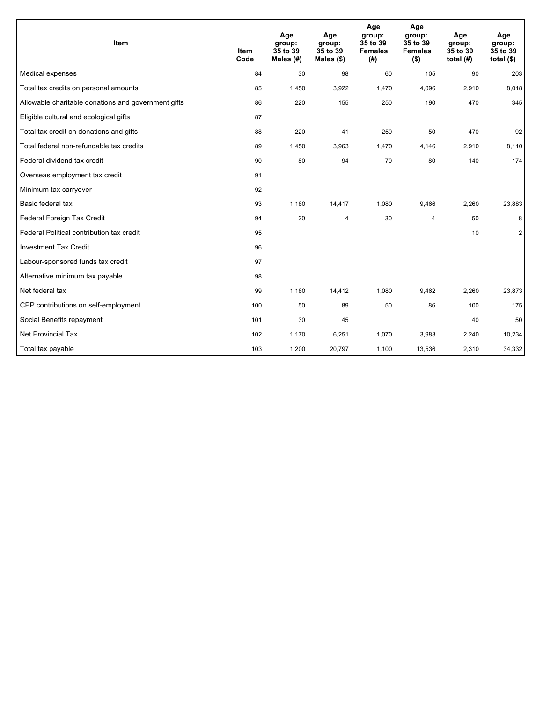| Item                                                | <b>Item</b><br>Code | Age<br>group:<br>35 to 39<br>Males $(H)$ | Age<br>group:<br>35 to 39<br>Males $(\$)$ | Age<br>group:<br>35 to 39<br><b>Females</b><br>(#) | Age<br>group:<br>35 to 39<br><b>Females</b><br>$($ \$) | Age<br>group:<br>35 to 39<br>total $(H)$ | Age<br>group:<br>35 to 39<br>total $(§)$ |
|-----------------------------------------------------|---------------------|------------------------------------------|-------------------------------------------|----------------------------------------------------|--------------------------------------------------------|------------------------------------------|------------------------------------------|
| Medical expenses                                    | 84                  | 30                                       | 98                                        | 60                                                 | 105                                                    | 90                                       | 203                                      |
| Total tax credits on personal amounts               | 85                  | 1,450                                    | 3,922                                     | 1,470                                              | 4,096                                                  | 2,910                                    | 8,018                                    |
| Allowable charitable donations and government gifts | 86                  | 220                                      | 155                                       | 250                                                | 190                                                    | 470                                      | 345                                      |
| Eligible cultural and ecological gifts              | 87                  |                                          |                                           |                                                    |                                                        |                                          |                                          |
| Total tax credit on donations and gifts             | 88                  | 220                                      | 41                                        | 250                                                | 50                                                     | 470                                      | 92                                       |
| Total federal non-refundable tax credits            | 89                  | 1,450                                    | 3,963                                     | 1,470                                              | 4,146                                                  | 2,910                                    | 8,110                                    |
| Federal dividend tax credit                         | 90                  | 80                                       | 94                                        | 70                                                 | 80                                                     | 140                                      | 174                                      |
| Overseas employment tax credit                      | 91                  |                                          |                                           |                                                    |                                                        |                                          |                                          |
| Minimum tax carryover                               | 92                  |                                          |                                           |                                                    |                                                        |                                          |                                          |
| Basic federal tax                                   | 93                  | 1,180                                    | 14,417                                    | 1,080                                              | 9,466                                                  | 2,260                                    | 23,883                                   |
| Federal Foreign Tax Credit                          | 94                  | 20                                       | 4                                         | 30                                                 | $\overline{4}$                                         | 50                                       | 8                                        |
| Federal Political contribution tax credit           | 95                  |                                          |                                           |                                                    |                                                        | 10                                       | $\overline{2}$                           |
| <b>Investment Tax Credit</b>                        | 96                  |                                          |                                           |                                                    |                                                        |                                          |                                          |
| Labour-sponsored funds tax credit                   | 97                  |                                          |                                           |                                                    |                                                        |                                          |                                          |
| Alternative minimum tax payable                     | 98                  |                                          |                                           |                                                    |                                                        |                                          |                                          |
| Net federal tax                                     | 99                  | 1,180                                    | 14,412                                    | 1,080                                              | 9,462                                                  | 2,260                                    | 23,873                                   |
| CPP contributions on self-employment                | 100                 | 50                                       | 89                                        | 50                                                 | 86                                                     | 100                                      | 175                                      |
| Social Benefits repayment                           | 101                 | 30                                       | 45                                        |                                                    |                                                        | 40                                       | 50                                       |
| <b>Net Provincial Tax</b>                           | 102                 | 1,170                                    | 6,251                                     | 1,070                                              | 3,983                                                  | 2,240                                    | 10,234                                   |
| Total tax payable                                   | 103                 | 1,200                                    | 20,797                                    | 1,100                                              | 13,536                                                 | 2,310                                    | 34,332                                   |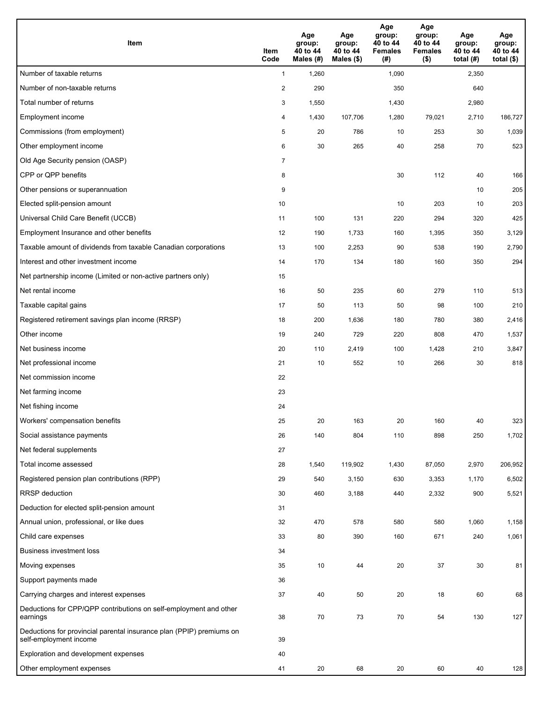| <b>Item</b>                                                                                    | Item<br>Code            | Age<br>group:<br>40 to 44<br>Males (#) | Age<br>group:<br>40 to 44<br>Males (\$) | Age<br>group:<br>40 to 44<br><b>Females</b><br>(#) | Age<br>group:<br>40 to 44<br><b>Females</b><br>$($ \$) | Age<br>group:<br>40 to 44<br>total $(#)$ | Age<br>group:<br>40 to 44<br>total $($)$ |
|------------------------------------------------------------------------------------------------|-------------------------|----------------------------------------|-----------------------------------------|----------------------------------------------------|--------------------------------------------------------|------------------------------------------|------------------------------------------|
| Number of taxable returns                                                                      | $\mathbf{1}$            | 1,260                                  |                                         | 1,090                                              |                                                        | 2,350                                    |                                          |
| Number of non-taxable returns                                                                  | $\overline{\mathbf{c}}$ | 290                                    |                                         | 350                                                |                                                        | 640                                      |                                          |
| Total number of returns                                                                        | 3                       | 1,550                                  |                                         | 1,430                                              |                                                        | 2,980                                    |                                          |
| Employment income                                                                              | 4                       | 1,430                                  | 107.706                                 | 1,280                                              | 79,021                                                 | 2,710                                    | 186,727                                  |
| Commissions (from employment)                                                                  | 5                       | 20                                     | 786                                     | 10                                                 | 253                                                    | 30                                       | 1,039                                    |
| Other employment income                                                                        | 6                       | 30                                     | 265                                     | 40                                                 | 258                                                    | 70                                       | 523                                      |
| Old Age Security pension (OASP)                                                                | $\overline{7}$          |                                        |                                         |                                                    |                                                        |                                          |                                          |
| CPP or QPP benefits                                                                            | 8                       |                                        |                                         | 30                                                 | 112                                                    | 40                                       | 166                                      |
| Other pensions or superannuation                                                               | 9                       |                                        |                                         |                                                    |                                                        | 10                                       | 205                                      |
| Elected split-pension amount                                                                   | 10                      |                                        |                                         | 10                                                 | 203                                                    | 10                                       | 203                                      |
| Universal Child Care Benefit (UCCB)                                                            | 11                      | 100                                    | 131                                     | 220                                                | 294                                                    | 320                                      | 425                                      |
| Employment Insurance and other benefits                                                        | 12                      | 190                                    | 1,733                                   | 160                                                | 1,395                                                  | 350                                      | 3,129                                    |
| Taxable amount of dividends from taxable Canadian corporations                                 | 13                      | 100                                    | 2,253                                   | 90                                                 | 538                                                    | 190                                      | 2,790                                    |
| Interest and other investment income                                                           | 14                      | 170                                    | 134                                     | 180                                                | 160                                                    | 350                                      | 294                                      |
| Net partnership income (Limited or non-active partners only)                                   | 15                      |                                        |                                         |                                                    |                                                        |                                          |                                          |
| Net rental income                                                                              | 16                      | 50                                     | 235                                     | 60                                                 | 279                                                    | 110                                      | 513                                      |
| Taxable capital gains                                                                          | 17                      | 50                                     | 113                                     | 50                                                 | 98                                                     | 100                                      | 210                                      |
| Registered retirement savings plan income (RRSP)                                               | 18                      | 200                                    | 1,636                                   | 180                                                | 780                                                    | 380                                      | 2,416                                    |
| Other income                                                                                   | 19                      | 240                                    | 729                                     | 220                                                | 808                                                    | 470                                      | 1,537                                    |
| Net business income                                                                            | 20                      | 110                                    | 2,419                                   | 100                                                | 1,428                                                  | 210                                      | 3,847                                    |
| Net professional income                                                                        | 21                      | 10                                     | 552                                     | 10                                                 | 266                                                    | 30                                       | 818                                      |
| Net commission income                                                                          | 22                      |                                        |                                         |                                                    |                                                        |                                          |                                          |
| Net farming income                                                                             | 23                      |                                        |                                         |                                                    |                                                        |                                          |                                          |
| Net fishing income                                                                             | 24                      |                                        |                                         |                                                    |                                                        |                                          |                                          |
| Workers' compensation benefits                                                                 | 25                      | 20                                     | 163                                     | 20                                                 | 160                                                    | 40                                       | 323                                      |
| Social assistance payments                                                                     | 26                      | 140                                    | 804                                     | 110                                                | 898                                                    | 250                                      | 1,702                                    |
| Net federal supplements                                                                        | 27                      |                                        |                                         |                                                    |                                                        |                                          |                                          |
| Total income assessed                                                                          | 28                      | 1,540                                  | 119,902                                 | 1,430                                              | 87,050                                                 | 2,970                                    | 206,952                                  |
| Registered pension plan contributions (RPP)                                                    | 29                      | 540                                    | 3,150                                   | 630                                                | 3,353                                                  | 1,170                                    | 6,502                                    |
| RRSP deduction                                                                                 | 30                      | 460                                    | 3,188                                   | 440                                                | 2,332                                                  | 900                                      | 5,521                                    |
| Deduction for elected split-pension amount                                                     | 31                      |                                        |                                         |                                                    |                                                        |                                          |                                          |
| Annual union, professional, or like dues                                                       | 32                      | 470                                    | 578                                     | 580                                                | 580                                                    | 1,060                                    | 1,158                                    |
| Child care expenses                                                                            | 33                      | 80                                     | 390                                     | 160                                                | 671                                                    | 240                                      | 1,061                                    |
| <b>Business investment loss</b>                                                                | 34                      |                                        |                                         |                                                    |                                                        |                                          |                                          |
| Moving expenses                                                                                | 35                      | 10                                     | 44                                      | 20                                                 | 37                                                     | 30                                       | 81                                       |
| Support payments made                                                                          | 36                      |                                        |                                         |                                                    |                                                        |                                          |                                          |
| Carrying charges and interest expenses                                                         | 37                      | 40                                     | 50                                      | 20                                                 | 18                                                     | 60                                       | 68                                       |
| Deductions for CPP/QPP contributions on self-employment and other<br>earnings                  | 38                      | 70                                     | 73                                      | 70                                                 | 54                                                     | 130                                      | 127                                      |
| Deductions for provincial parental insurance plan (PPIP) premiums on<br>self-employment income | 39                      |                                        |                                         |                                                    |                                                        |                                          |                                          |
| Exploration and development expenses                                                           | 40                      |                                        |                                         |                                                    |                                                        |                                          |                                          |
| Other employment expenses                                                                      | 41                      | 20                                     | 68                                      | 20                                                 | 60                                                     | 40                                       | 128                                      |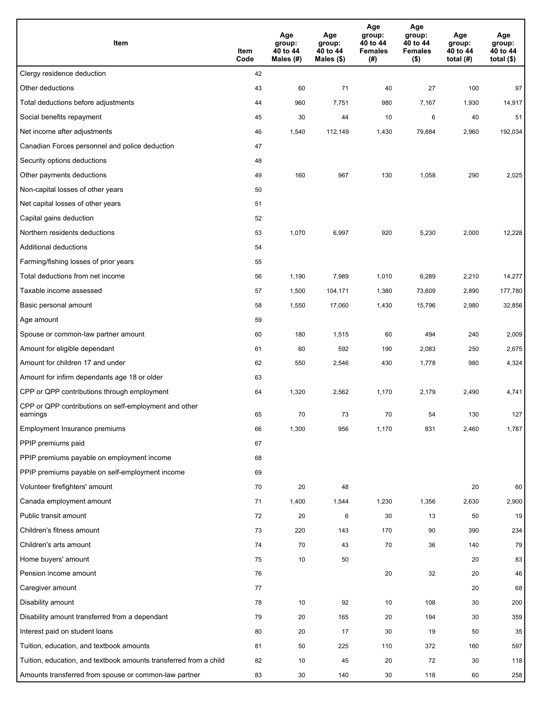| Item                                                              | Item<br>Code | Age<br>group:<br>40 to 44<br>Males (#) | Age<br>group:<br>40 to 44<br>Males (\$) | Age<br>group:<br>40 to 44<br><b>Females</b><br>(#) | Age<br>group:<br>40 to 44<br><b>Females</b><br>$($ \$) | Age<br>group:<br>40 to 44<br>total $(#)$ | Age<br>group:<br>40 to 44<br>total $($)$ |
|-------------------------------------------------------------------|--------------|----------------------------------------|-----------------------------------------|----------------------------------------------------|--------------------------------------------------------|------------------------------------------|------------------------------------------|
| Clergy residence deduction                                        | 42           |                                        |                                         |                                                    |                                                        |                                          |                                          |
| Other deductions                                                  | 43           | 60                                     | 71                                      | 40                                                 | 27                                                     | 100                                      | 97                                       |
| Total deductions before adjustments                               | 44           | 960                                    | 7,751                                   | 980                                                | 7,167                                                  | 1,930                                    | 14,917                                   |
| Social benefits repayment                                         | 45           | 30                                     | 44                                      | 10                                                 | 6                                                      | 40                                       | 51                                       |
| Net income after adjustments                                      | 46           | 1,540                                  | 112,149                                 | 1,430                                              | 79,884                                                 | 2,960                                    | 192,034                                  |
| Canadian Forces personnel and police deduction                    | 47           |                                        |                                         |                                                    |                                                        |                                          |                                          |
| Security options deductions                                       | 48           |                                        |                                         |                                                    |                                                        |                                          |                                          |
| Other payments deductions                                         | 49           | 160                                    | 967                                     | 130                                                | 1,058                                                  | 290                                      | 2,025                                    |
| Non-capital losses of other years                                 | 50           |                                        |                                         |                                                    |                                                        |                                          |                                          |
| Net capital losses of other years                                 | 51           |                                        |                                         |                                                    |                                                        |                                          |                                          |
| Capital gains deduction                                           | 52           |                                        |                                         |                                                    |                                                        |                                          |                                          |
| Northern residents deductions                                     | 53           | 1,070                                  | 6,997                                   | 920                                                | 5,230                                                  | 2,000                                    | 12,228                                   |
| Additional deductions                                             | 54           |                                        |                                         |                                                    |                                                        |                                          |                                          |
| Farming/fishing losses of prior years                             | 55           |                                        |                                         |                                                    |                                                        |                                          |                                          |
| Total deductions from net income                                  | 56           | 1,190                                  | 7,989                                   | 1,010                                              | 6,289                                                  | 2,210                                    | 14,277                                   |
| Taxable income assessed                                           | 57           | 1,500                                  | 104,171                                 | 1,380                                              | 73,609                                                 | 2,890                                    | 177,780                                  |
| Basic personal amount                                             | 58           | 1,550                                  | 17,060                                  | 1,430                                              | 15,796                                                 | 2,980                                    | 32,856                                   |
| Age amount                                                        | 59           |                                        |                                         |                                                    |                                                        |                                          |                                          |
| Spouse or common-law partner amount                               | 60           | 180                                    | 1,515                                   | 60                                                 | 494                                                    | 240                                      | 2,009                                    |
| Amount for eligible dependant                                     | 61           | 60                                     | 592                                     | 190                                                | 2,083                                                  | 250                                      | 2,675                                    |
| Amount for children 17 and under                                  | 62           | 550                                    | 2,546                                   | 430                                                | 1,778                                                  | 980                                      | 4,324                                    |
| Amount for infirm dependants age 18 or older                      | 63           |                                        |                                         |                                                    |                                                        |                                          |                                          |
| CPP or QPP contributions through employment                       | 64           | 1,320                                  | 2,562                                   | 1,170                                              | 2,179                                                  | 2,490                                    | 4,741                                    |
| CPP or QPP contributions on self-employment and other<br>earnings | 65           | 70                                     | 73                                      | 70                                                 | 54                                                     | 130                                      | 127                                      |
| Employment Insurance premiums                                     | 66           | 1,300                                  | 956                                     | 1,170                                              | 831                                                    | 2,460                                    | 1,787                                    |
| PPIP premiums paid                                                | 67           |                                        |                                         |                                                    |                                                        |                                          |                                          |
| PPIP premiums payable on employment income                        | 68           |                                        |                                         |                                                    |                                                        |                                          |                                          |
| PPIP premiums payable on self-employment income                   | 69           |                                        |                                         |                                                    |                                                        |                                          |                                          |
| Volunteer firefighters' amount                                    | 70           | 20                                     | 48                                      |                                                    |                                                        | 20                                       | 60                                       |
| Canada employment amount                                          | 71           | 1,400                                  | 1,544                                   | 1,230                                              | 1,356                                                  | 2,630                                    | 2,900                                    |
| Public transit amount                                             | 72           | 20                                     | 6                                       | 30                                                 | 13                                                     | 50                                       | 19                                       |
| Children's fitness amount                                         | 73           | 220                                    | 143                                     | 170                                                | 90                                                     | 390                                      | 234                                      |
| Children's arts amount                                            | 74           | 70                                     | 43                                      | 70                                                 | 36                                                     | 140                                      | 79                                       |
| Home buyers' amount                                               | 75           | 10                                     | 50                                      |                                                    |                                                        | 20                                       | 83                                       |
| Pension income amount                                             | 76           |                                        |                                         | 20                                                 | 32                                                     | 20                                       | 46                                       |
| Caregiver amount                                                  | 77           |                                        |                                         |                                                    |                                                        | 20                                       | 68                                       |
| Disability amount                                                 | 78           | 10                                     | 92                                      | 10                                                 | 108                                                    | 30                                       | 200                                      |
| Disability amount transferred from a dependant                    | 79           | 20                                     | 165                                     | 20                                                 | 194                                                    | 30                                       | 359                                      |
| Interest paid on student loans                                    | 80           | 20                                     | 17                                      | 30                                                 | 19                                                     | 50                                       | 35                                       |
| Tuition, education, and textbook amounts                          | 81           | 50                                     | 225                                     | 110                                                | 372                                                    | 160                                      | 597                                      |
| Tuition, education, and textbook amounts transferred from a child | 82           | 10                                     | 45                                      | 20                                                 | 72                                                     | 30                                       | 118                                      |
| Amounts transferred from spouse or common-law partner             | 83           | 30                                     | 140                                     | 30                                                 | 118                                                    | 60                                       | 258                                      |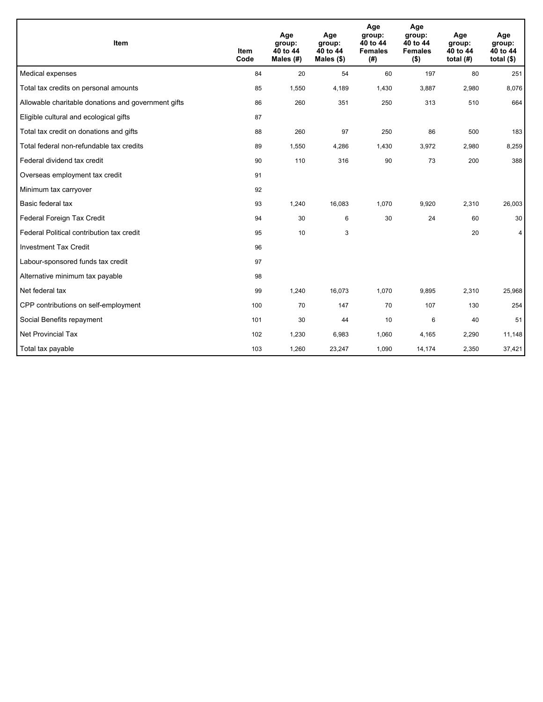| Item                                                | <b>Item</b><br>Code | Age<br>group:<br>40 to 44<br>Males (#) | Age<br>group:<br>40 to 44<br>Males $(\$)$ | Age<br>group:<br>40 to 44<br><b>Females</b><br>(# ) | Age<br>group:<br>40 to 44<br><b>Females</b><br>$($ \$) | Age<br>group:<br>40 to 44<br>total $(H)$ | Age<br>group:<br>40 to 44<br>total $($)$ |
|-----------------------------------------------------|---------------------|----------------------------------------|-------------------------------------------|-----------------------------------------------------|--------------------------------------------------------|------------------------------------------|------------------------------------------|
| Medical expenses                                    | 84                  | 20                                     | 54                                        | 60                                                  | 197                                                    | 80                                       | 251                                      |
| Total tax credits on personal amounts               | 85                  | 1,550                                  | 4,189                                     | 1,430                                               | 3,887                                                  | 2,980                                    | 8,076                                    |
| Allowable charitable donations and government gifts | 86                  | 260                                    | 351                                       | 250                                                 | 313                                                    | 510                                      | 664                                      |
| Eligible cultural and ecological gifts              | 87                  |                                        |                                           |                                                     |                                                        |                                          |                                          |
| Total tax credit on donations and gifts             | 88                  | 260                                    | 97                                        | 250                                                 | 86                                                     | 500                                      | 183                                      |
| Total federal non-refundable tax credits            | 89                  | 1,550                                  | 4,286                                     | 1,430                                               | 3,972                                                  | 2,980                                    | 8,259                                    |
| Federal dividend tax credit                         | 90                  | 110                                    | 316                                       | 90                                                  | 73                                                     | 200                                      | 388                                      |
| Overseas employment tax credit                      | 91                  |                                        |                                           |                                                     |                                                        |                                          |                                          |
| Minimum tax carryover                               | 92                  |                                        |                                           |                                                     |                                                        |                                          |                                          |
| Basic federal tax                                   | 93                  | 1,240                                  | 16,083                                    | 1,070                                               | 9,920                                                  | 2,310                                    | 26,003                                   |
| Federal Foreign Tax Credit                          | 94                  | 30                                     | 6                                         | 30                                                  | 24                                                     | 60                                       | 30                                       |
| Federal Political contribution tax credit           | 95                  | 10                                     | 3                                         |                                                     |                                                        | 20                                       | $\overline{4}$                           |
| <b>Investment Tax Credit</b>                        | 96                  |                                        |                                           |                                                     |                                                        |                                          |                                          |
| Labour-sponsored funds tax credit                   | 97                  |                                        |                                           |                                                     |                                                        |                                          |                                          |
| Alternative minimum tax payable                     | 98                  |                                        |                                           |                                                     |                                                        |                                          |                                          |
| Net federal tax                                     | 99                  | 1,240                                  | 16,073                                    | 1,070                                               | 9,895                                                  | 2,310                                    | 25,968                                   |
| CPP contributions on self-employment                | 100                 | 70                                     | 147                                       | 70                                                  | 107                                                    | 130                                      | 254                                      |
| Social Benefits repayment                           | 101                 | 30                                     | 44                                        | 10                                                  | 6                                                      | 40                                       | 51                                       |
| Net Provincial Tax                                  | 102                 | 1,230                                  | 6,983                                     | 1,060                                               | 4,165                                                  | 2,290                                    | 11,148                                   |
| Total tax payable                                   | 103                 | 1,260                                  | 23,247                                    | 1,090                                               | 14,174                                                 | 2,350                                    | 37,421                                   |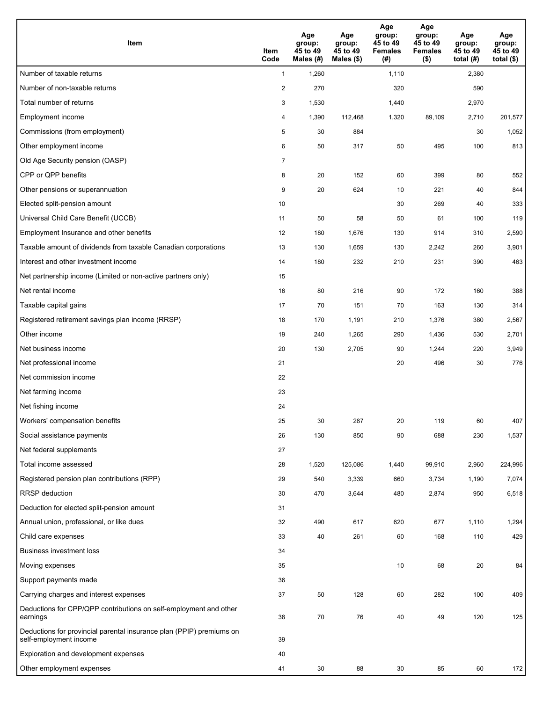| <b>Item</b>                                                                                    | Item<br>Code            | Age<br>group:<br>45 to 49<br>Males (#) | Age<br>group:<br>45 to 49<br>Males (\$) | Age<br>group:<br>45 to 49<br><b>Females</b><br>(#) | Age<br>group:<br>45 to 49<br><b>Females</b><br>$($ \$) | Age<br>group:<br>45 to 49<br>total (#) | Age<br>group:<br>45 to 49<br>total $($)$ |
|------------------------------------------------------------------------------------------------|-------------------------|----------------------------------------|-----------------------------------------|----------------------------------------------------|--------------------------------------------------------|----------------------------------------|------------------------------------------|
| Number of taxable returns                                                                      | $\mathbf{1}$            | 1,260                                  |                                         | 1,110                                              |                                                        | 2,380                                  |                                          |
| Number of non-taxable returns                                                                  | $\overline{\mathbf{c}}$ | 270                                    |                                         | 320                                                |                                                        | 590                                    |                                          |
| Total number of returns                                                                        | 3                       | 1,530                                  |                                         | 1,440                                              |                                                        | 2,970                                  |                                          |
| Employment income                                                                              | 4                       | 1,390                                  | 112,468                                 | 1,320                                              | 89,109                                                 | 2,710                                  | 201,577                                  |
| Commissions (from employment)                                                                  | 5                       | 30                                     | 884                                     |                                                    |                                                        | 30                                     | 1,052                                    |
| Other employment income                                                                        | 6                       | 50                                     | 317                                     | 50                                                 | 495                                                    | 100                                    | 813                                      |
| Old Age Security pension (OASP)                                                                | $\overline{7}$          |                                        |                                         |                                                    |                                                        |                                        |                                          |
| CPP or QPP benefits                                                                            | 8                       | 20                                     | 152                                     | 60                                                 | 399                                                    | 80                                     | 552                                      |
| Other pensions or superannuation                                                               | 9                       | 20                                     | 624                                     | 10                                                 | 221                                                    | 40                                     | 844                                      |
| Elected split-pension amount                                                                   | 10                      |                                        |                                         | 30                                                 | 269                                                    | 40                                     | 333                                      |
| Universal Child Care Benefit (UCCB)                                                            | 11                      | 50                                     | 58                                      | 50                                                 | 61                                                     | 100                                    | 119                                      |
| Employment Insurance and other benefits                                                        | 12                      | 180                                    | 1,676                                   | 130                                                | 914                                                    | 310                                    | 2,590                                    |
| Taxable amount of dividends from taxable Canadian corporations                                 | 13                      | 130                                    | 1,659                                   | 130                                                | 2,242                                                  | 260                                    | 3,901                                    |
| Interest and other investment income                                                           | 14                      | 180                                    | 232                                     | 210                                                | 231                                                    | 390                                    | 463                                      |
| Net partnership income (Limited or non-active partners only)                                   | 15                      |                                        |                                         |                                                    |                                                        |                                        |                                          |
| Net rental income                                                                              | 16                      | 80                                     | 216                                     | 90                                                 | 172                                                    | 160                                    | 388                                      |
| Taxable capital gains                                                                          | 17                      | 70                                     | 151                                     | 70                                                 | 163                                                    | 130                                    | 314                                      |
| Registered retirement savings plan income (RRSP)                                               | 18                      | 170                                    | 1,191                                   | 210                                                | 1,376                                                  | 380                                    | 2,567                                    |
| Other income                                                                                   | 19                      | 240                                    | 1,265                                   | 290                                                | 1,436                                                  | 530                                    | 2,701                                    |
| Net business income                                                                            | 20                      | 130                                    | 2,705                                   | 90                                                 | 1,244                                                  | 220                                    | 3,949                                    |
| Net professional income                                                                        | 21                      |                                        |                                         | 20                                                 | 496                                                    | 30                                     | 776                                      |
| Net commission income                                                                          | 22                      |                                        |                                         |                                                    |                                                        |                                        |                                          |
| Net farming income                                                                             | 23                      |                                        |                                         |                                                    |                                                        |                                        |                                          |
| Net fishing income                                                                             | 24                      |                                        |                                         |                                                    |                                                        |                                        |                                          |
| Workers' compensation benefits                                                                 | 25                      | 30                                     | 287                                     | 20                                                 | 119                                                    | 60                                     | 407                                      |
| Social assistance payments                                                                     | 26                      | 130                                    | 850                                     | 90                                                 | 688                                                    | 230                                    | 1,537                                    |
| Net federal supplements                                                                        | 27                      |                                        |                                         |                                                    |                                                        |                                        |                                          |
| Total income assessed                                                                          | 28                      | 1,520                                  | 125,086                                 | 1,440                                              | 99,910                                                 | 2,960                                  | 224,996                                  |
| Registered pension plan contributions (RPP)                                                    | 29                      | 540                                    | 3,339                                   | 660                                                | 3,734                                                  | 1,190                                  | 7,074                                    |
| RRSP deduction                                                                                 | 30                      | 470                                    | 3,644                                   | 480                                                | 2,874                                                  | 950                                    | 6,518                                    |
| Deduction for elected split-pension amount                                                     | 31                      |                                        |                                         |                                                    |                                                        |                                        |                                          |
| Annual union, professional, or like dues                                                       | 32                      | 490                                    | 617                                     | 620                                                | 677                                                    | 1,110                                  | 1,294                                    |
| Child care expenses                                                                            | 33                      | 40                                     | 261                                     | 60                                                 | 168                                                    | 110                                    | 429                                      |
| <b>Business investment loss</b>                                                                | 34                      |                                        |                                         |                                                    |                                                        |                                        |                                          |
| Moving expenses                                                                                | 35                      |                                        |                                         | 10                                                 | 68                                                     | 20                                     | 84                                       |
| Support payments made                                                                          | 36                      |                                        |                                         |                                                    |                                                        |                                        |                                          |
| Carrying charges and interest expenses                                                         | 37                      | 50                                     | 128                                     | 60                                                 | 282                                                    | 100                                    | 409                                      |
| Deductions for CPP/QPP contributions on self-employment and other<br>earnings                  | 38                      | 70                                     | 76                                      | 40                                                 | 49                                                     | 120                                    | 125                                      |
| Deductions for provincial parental insurance plan (PPIP) premiums on<br>self-employment income | 39                      |                                        |                                         |                                                    |                                                        |                                        |                                          |
| Exploration and development expenses                                                           | 40                      |                                        |                                         |                                                    |                                                        |                                        |                                          |
| Other employment expenses                                                                      | 41                      | 30                                     | 88                                      | 30                                                 | 85                                                     | 60                                     | 172                                      |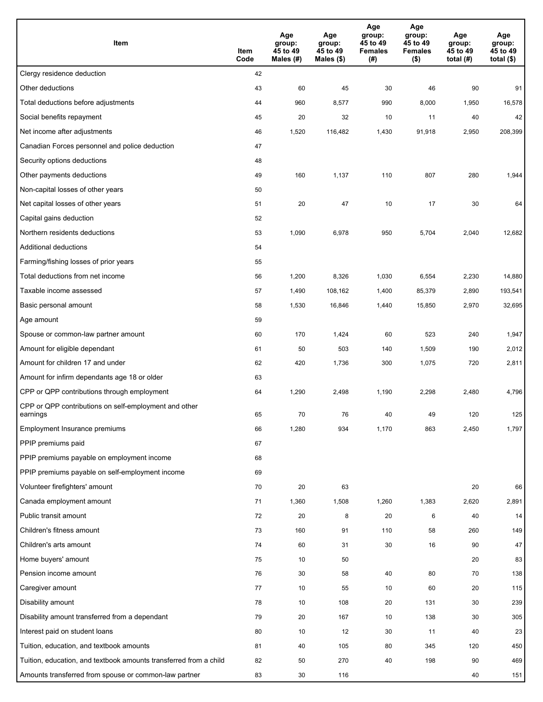| Item                                                              | Item<br>Code | Age<br>group:<br>45 to 49<br>Males (#) | Age<br>group:<br>45 to 49<br>Males (\$) | Age<br>group:<br>45 to 49<br><b>Females</b><br>(#) | Age<br>group:<br>45 to 49<br><b>Females</b><br>$($ \$) | Age<br>group:<br>45 to 49<br>total (#) | Age<br>group:<br>45 to 49<br>total $($)$ |
|-------------------------------------------------------------------|--------------|----------------------------------------|-----------------------------------------|----------------------------------------------------|--------------------------------------------------------|----------------------------------------|------------------------------------------|
| Clergy residence deduction                                        | 42           |                                        |                                         |                                                    |                                                        |                                        |                                          |
| Other deductions                                                  | 43           | 60                                     | 45                                      | 30                                                 | 46                                                     | 90                                     | 91                                       |
| Total deductions before adjustments                               | 44           | 960                                    | 8,577                                   | 990                                                | 8,000                                                  | 1,950                                  | 16,578                                   |
| Social benefits repayment                                         | 45           | 20                                     | 32                                      | 10                                                 | 11                                                     | 40                                     | 42                                       |
| Net income after adjustments                                      | 46           | 1,520                                  | 116,482                                 | 1,430                                              | 91,918                                                 | 2,950                                  | 208,399                                  |
| Canadian Forces personnel and police deduction                    | 47           |                                        |                                         |                                                    |                                                        |                                        |                                          |
| Security options deductions                                       | 48           |                                        |                                         |                                                    |                                                        |                                        |                                          |
| Other payments deductions                                         | 49           | 160                                    | 1,137                                   | 110                                                | 807                                                    | 280                                    | 1,944                                    |
| Non-capital losses of other years                                 | 50           |                                        |                                         |                                                    |                                                        |                                        |                                          |
| Net capital losses of other years                                 | 51           | 20                                     | 47                                      | 10                                                 | 17                                                     | 30                                     | 64                                       |
| Capital gains deduction                                           | 52           |                                        |                                         |                                                    |                                                        |                                        |                                          |
| Northern residents deductions                                     | 53           | 1,090                                  | 6,978                                   | 950                                                | 5,704                                                  | 2,040                                  | 12,682                                   |
| Additional deductions                                             | 54           |                                        |                                         |                                                    |                                                        |                                        |                                          |
| Farming/fishing losses of prior years                             | 55           |                                        |                                         |                                                    |                                                        |                                        |                                          |
| Total deductions from net income                                  | 56           | 1,200                                  | 8,326                                   | 1,030                                              | 6,554                                                  | 2,230                                  | 14,880                                   |
| Taxable income assessed                                           | 57           | 1,490                                  | 108,162                                 | 1,400                                              | 85,379                                                 | 2,890                                  | 193,541                                  |
| Basic personal amount                                             | 58           | 1,530                                  | 16,846                                  | 1,440                                              | 15,850                                                 | 2,970                                  | 32,695                                   |
| Age amount                                                        | 59           |                                        |                                         |                                                    |                                                        |                                        |                                          |
| Spouse or common-law partner amount                               | 60           | 170                                    | 1,424                                   | 60                                                 | 523                                                    | 240                                    | 1,947                                    |
| Amount for eligible dependant                                     | 61           | 50                                     | 503                                     | 140                                                | 1,509                                                  | 190                                    | 2,012                                    |
| Amount for children 17 and under                                  | 62           | 420                                    | 1,736                                   | 300                                                | 1,075                                                  | 720                                    | 2,811                                    |
| Amount for infirm dependants age 18 or older                      | 63           |                                        |                                         |                                                    |                                                        |                                        |                                          |
| CPP or QPP contributions through employment                       | 64           | 1,290                                  | 2,498                                   | 1,190                                              | 2,298                                                  | 2,480                                  | 4,796                                    |
| CPP or QPP contributions on self-employment and other<br>earnings | 65           | 70                                     | 76                                      | 40                                                 | 49                                                     | 120                                    | 125                                      |
| Employment Insurance premiums                                     | 66           | 1,280                                  | 934                                     | 1,170                                              | 863                                                    | 2,450                                  | 1,797                                    |
| PPIP premiums paid                                                | 67           |                                        |                                         |                                                    |                                                        |                                        |                                          |
| PPIP premiums payable on employment income                        | 68           |                                        |                                         |                                                    |                                                        |                                        |                                          |
| PPIP premiums payable on self-employment income                   | 69           |                                        |                                         |                                                    |                                                        |                                        |                                          |
| Volunteer firefighters' amount                                    | 70           | 20                                     | 63                                      |                                                    |                                                        | 20                                     | 66                                       |
| Canada employment amount                                          | 71           | 1,360                                  | 1,508                                   | 1,260                                              | 1,383                                                  | 2,620                                  | 2,891                                    |
| Public transit amount                                             | 72           | 20                                     | 8                                       | 20                                                 | 6                                                      | 40                                     | 14                                       |
| Children's fitness amount                                         | 73           | 160                                    | 91                                      | 110                                                | 58                                                     | 260                                    | 149                                      |
| Children's arts amount                                            | 74           | 60                                     | 31                                      | 30                                                 | 16                                                     | 90                                     | 47                                       |
| Home buyers' amount                                               | 75           | 10                                     | 50                                      |                                                    |                                                        | 20                                     | 83                                       |
| Pension income amount                                             | 76           | 30                                     | 58                                      | 40                                                 | 80                                                     | 70                                     | 138                                      |
| Caregiver amount                                                  | 77           | 10                                     | 55                                      | 10                                                 | 60                                                     | 20                                     | 115                                      |
| Disability amount                                                 | 78           | 10                                     | 108                                     | 20                                                 | 131                                                    | 30                                     | 239                                      |
| Disability amount transferred from a dependant                    | 79           | 20                                     | 167                                     | 10                                                 | 138                                                    | 30                                     | 305                                      |
| Interest paid on student loans                                    | 80           | 10                                     | 12                                      | 30                                                 | 11                                                     | 40                                     | 23                                       |
| Tuition, education, and textbook amounts                          | 81           | 40                                     | 105                                     | 80                                                 | 345                                                    | 120                                    | 450                                      |
| Tuition, education, and textbook amounts transferred from a child | 82           | 50                                     | 270                                     | 40                                                 | 198                                                    | 90                                     | 469                                      |
| Amounts transferred from spouse or common-law partner             | 83           | 30                                     | 116                                     |                                                    |                                                        | 40                                     | 151                                      |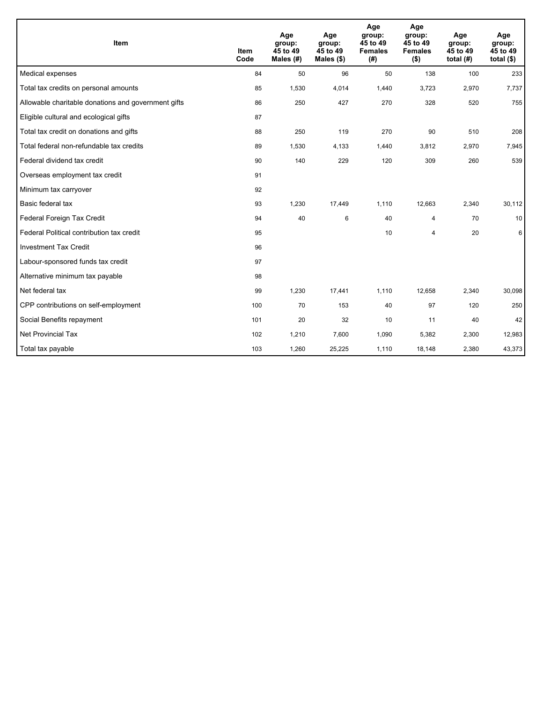| Item                                                | <b>Item</b><br>Code | Age<br>group:<br>45 to 49<br>Males (#) | Age<br>group:<br>45 to 49<br>Males $(\$)$ | Age<br>group:<br>45 to 49<br><b>Females</b><br>(#) | Age<br>group:<br>45 to 49<br><b>Females</b><br>$($ \$) | Age<br>group:<br>45 to 49<br>total $(H)$ | Age<br>group:<br>45 to 49<br>total $($)$ |
|-----------------------------------------------------|---------------------|----------------------------------------|-------------------------------------------|----------------------------------------------------|--------------------------------------------------------|------------------------------------------|------------------------------------------|
| Medical expenses                                    | 84                  | 50                                     | 96                                        | 50                                                 | 138                                                    | 100                                      | 233                                      |
| Total tax credits on personal amounts               | 85                  | 1,530                                  | 4,014                                     | 1,440                                              | 3,723                                                  | 2,970                                    | 7,737                                    |
| Allowable charitable donations and government gifts | 86                  | 250                                    | 427                                       | 270                                                | 328                                                    | 520                                      | 755                                      |
| Eligible cultural and ecological gifts              | 87                  |                                        |                                           |                                                    |                                                        |                                          |                                          |
| Total tax credit on donations and gifts             | 88                  | 250                                    | 119                                       | 270                                                | 90                                                     | 510                                      | 208                                      |
| Total federal non-refundable tax credits            | 89                  | 1,530                                  | 4,133                                     | 1,440                                              | 3,812                                                  | 2,970                                    | 7,945                                    |
| Federal dividend tax credit                         | 90                  | 140                                    | 229                                       | 120                                                | 309                                                    | 260                                      | 539                                      |
| Overseas employment tax credit                      | 91                  |                                        |                                           |                                                    |                                                        |                                          |                                          |
| Minimum tax carryover                               | 92                  |                                        |                                           |                                                    |                                                        |                                          |                                          |
| Basic federal tax                                   | 93                  | 1,230                                  | 17,449                                    | 1,110                                              | 12,663                                                 | 2,340                                    | 30,112                                   |
| Federal Foreign Tax Credit                          | 94                  | 40                                     | 6                                         | 40                                                 | 4                                                      | 70                                       | 10                                       |
| Federal Political contribution tax credit           | 95                  |                                        |                                           | 10                                                 | $\overline{\mathbf{4}}$                                | 20                                       | 6                                        |
| <b>Investment Tax Credit</b>                        | 96                  |                                        |                                           |                                                    |                                                        |                                          |                                          |
| Labour-sponsored funds tax credit                   | 97                  |                                        |                                           |                                                    |                                                        |                                          |                                          |
| Alternative minimum tax payable                     | 98                  |                                        |                                           |                                                    |                                                        |                                          |                                          |
| Net federal tax                                     | 99                  | 1,230                                  | 17,441                                    | 1,110                                              | 12,658                                                 | 2,340                                    | 30,098                                   |
| CPP contributions on self-employment                | 100                 | 70                                     | 153                                       | 40                                                 | 97                                                     | 120                                      | 250                                      |
| Social Benefits repayment                           | 101                 | 20                                     | 32                                        | 10                                                 | 11                                                     | 40                                       | 42                                       |
| Net Provincial Tax                                  | 102                 | 1,210                                  | 7,600                                     | 1,090                                              | 5,382                                                  | 2,300                                    | 12,983                                   |
| Total tax payable                                   | 103                 | 1,260                                  | 25,225                                    | 1,110                                              | 18,148                                                 | 2,380                                    | 43,373                                   |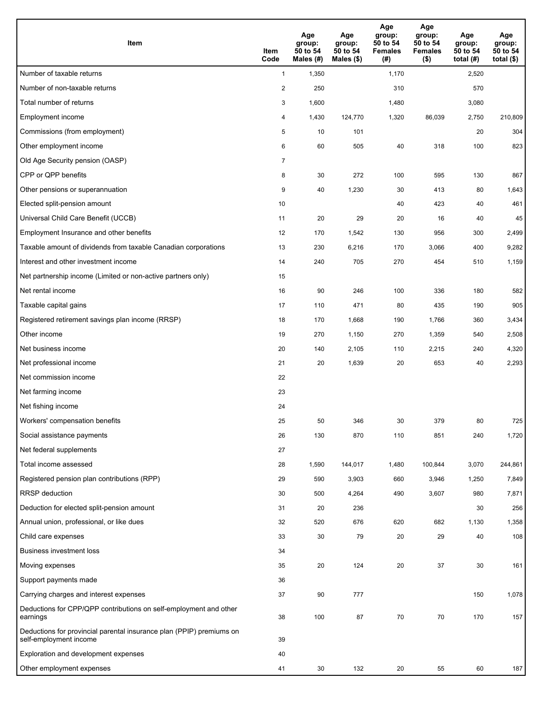| Item                                                                                           | Item<br>Code   | Age<br>group:<br>50 to 54<br>Males (#) | Age<br>group:<br>50 to 54<br>Males $(\$)$ | Age<br>group:<br>50 to 54<br><b>Females</b><br>(# ) | Age<br>group:<br>50 to 54<br><b>Females</b><br>$($ \$) | Age<br>group:<br>50 to 54<br>total $(#)$ | Age<br>group:<br>50 to 54<br>total $($)$ |
|------------------------------------------------------------------------------------------------|----------------|----------------------------------------|-------------------------------------------|-----------------------------------------------------|--------------------------------------------------------|------------------------------------------|------------------------------------------|
| Number of taxable returns                                                                      | $\mathbf{1}$   | 1,350                                  |                                           | 1,170                                               |                                                        | 2,520                                    |                                          |
| Number of non-taxable returns                                                                  | $\overline{c}$ | 250                                    |                                           | 310                                                 |                                                        | 570                                      |                                          |
| Total number of returns                                                                        | 3              | 1,600                                  |                                           | 1,480                                               |                                                        | 3,080                                    |                                          |
| Employment income                                                                              | 4              | 1,430                                  | 124,770                                   | 1,320                                               | 86,039                                                 | 2,750                                    | 210,809                                  |
| Commissions (from employment)                                                                  | 5              | 10                                     | 101                                       |                                                     |                                                        | 20                                       | 304                                      |
| Other employment income                                                                        | 6              | 60                                     | 505                                       | 40                                                  | 318                                                    | 100                                      | 823                                      |
| Old Age Security pension (OASP)                                                                | $\overline{7}$ |                                        |                                           |                                                     |                                                        |                                          |                                          |
| CPP or QPP benefits                                                                            | 8              | 30                                     | 272                                       | 100                                                 | 595                                                    | 130                                      | 867                                      |
| Other pensions or superannuation                                                               | 9              | 40                                     | 1,230                                     | 30                                                  | 413                                                    | 80                                       | 1,643                                    |
| Elected split-pension amount                                                                   | 10             |                                        |                                           | 40                                                  | 423                                                    | 40                                       | 461                                      |
| Universal Child Care Benefit (UCCB)                                                            | 11             | 20                                     | 29                                        | 20                                                  | 16                                                     | 40                                       | 45                                       |
| Employment Insurance and other benefits                                                        | 12             | 170                                    | 1,542                                     | 130                                                 | 956                                                    | 300                                      | 2,499                                    |
| Taxable amount of dividends from taxable Canadian corporations                                 | 13             | 230                                    | 6,216                                     | 170                                                 | 3,066                                                  | 400                                      | 9,282                                    |
| Interest and other investment income                                                           | 14             | 240                                    | 705                                       | 270                                                 | 454                                                    | 510                                      | 1,159                                    |
| Net partnership income (Limited or non-active partners only)                                   | 15             |                                        |                                           |                                                     |                                                        |                                          |                                          |
| Net rental income                                                                              | 16             | 90                                     | 246                                       | 100                                                 | 336                                                    | 180                                      | 582                                      |
| Taxable capital gains                                                                          | 17             | 110                                    | 471                                       | 80                                                  | 435                                                    | 190                                      | 905                                      |
| Registered retirement savings plan income (RRSP)                                               | 18             | 170                                    | 1,668                                     | 190                                                 | 1,766                                                  | 360                                      | 3,434                                    |
| Other income                                                                                   | 19             | 270                                    | 1,150                                     | 270                                                 | 1,359                                                  | 540                                      | 2,508                                    |
| Net business income                                                                            | 20             | 140                                    | 2,105                                     | 110                                                 | 2,215                                                  | 240                                      | 4,320                                    |
| Net professional income                                                                        | 21             | 20                                     | 1,639                                     | 20                                                  | 653                                                    | 40                                       | 2,293                                    |
| Net commission income                                                                          | 22             |                                        |                                           |                                                     |                                                        |                                          |                                          |
| Net farming income                                                                             | 23             |                                        |                                           |                                                     |                                                        |                                          |                                          |
| Net fishing income                                                                             | 24             |                                        |                                           |                                                     |                                                        |                                          |                                          |
| Workers' compensation benefits                                                                 | 25             | 50                                     | 346                                       | 30                                                  | 379                                                    | 80                                       | 725                                      |
| Social assistance payments                                                                     | 26             | 130                                    | 870                                       | 110                                                 | 851                                                    | 240                                      | 1,720                                    |
| Net federal supplements                                                                        | 27             |                                        |                                           |                                                     |                                                        |                                          |                                          |
| Total income assessed                                                                          | 28             | 1,590                                  | 144,017                                   | 1,480                                               | 100,844                                                | 3,070                                    | 244,861                                  |
| Registered pension plan contributions (RPP)                                                    | 29             | 590                                    | 3,903                                     | 660                                                 | 3,946                                                  | 1,250                                    | 7,849                                    |
| <b>RRSP</b> deduction                                                                          | 30             | 500                                    | 4,264                                     | 490                                                 | 3,607                                                  | 980                                      | 7,871                                    |
| Deduction for elected split-pension amount                                                     | 31             | 20                                     | 236                                       |                                                     |                                                        | 30                                       | 256                                      |
| Annual union, professional, or like dues                                                       | 32             | 520                                    | 676                                       | 620                                                 | 682                                                    | 1,130                                    | 1,358                                    |
| Child care expenses                                                                            | 33             | 30                                     | 79                                        | 20                                                  | 29                                                     | 40                                       | 108                                      |
| <b>Business investment loss</b>                                                                | 34             |                                        |                                           |                                                     |                                                        |                                          |                                          |
| Moving expenses                                                                                | 35             | 20                                     | 124                                       | 20                                                  | 37                                                     | 30                                       | 161                                      |
| Support payments made                                                                          | 36             |                                        |                                           |                                                     |                                                        |                                          |                                          |
| Carrying charges and interest expenses                                                         | 37             | 90                                     | 777                                       |                                                     |                                                        | 150                                      | 1,078                                    |
| Deductions for CPP/QPP contributions on self-employment and other<br>earnings                  | 38             | 100                                    | 87                                        | 70                                                  | 70                                                     | 170                                      | 157                                      |
| Deductions for provincial parental insurance plan (PPIP) premiums on<br>self-employment income | 39             |                                        |                                           |                                                     |                                                        |                                          |                                          |
| Exploration and development expenses                                                           | 40             |                                        |                                           |                                                     |                                                        |                                          |                                          |
| Other employment expenses                                                                      | 41             | 30                                     | 132                                       | 20                                                  | 55                                                     | 60                                       | 187                                      |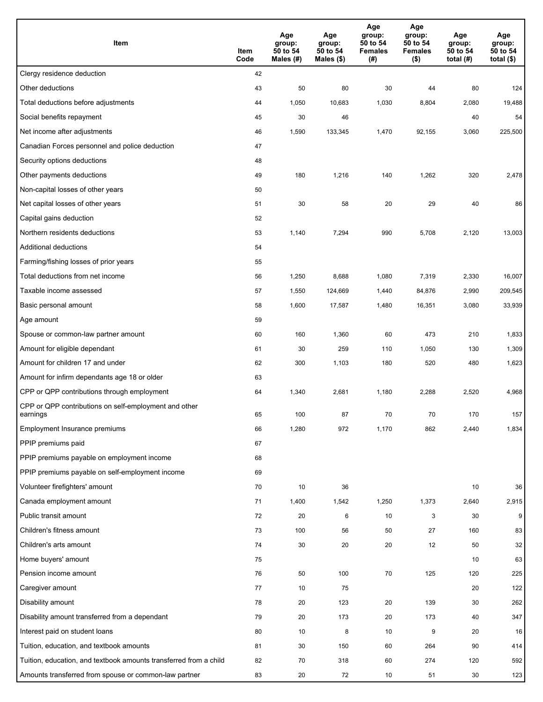| Item                                                              | Item<br>Code | Age<br>group:<br>50 to 54<br>Males (#) | Age<br>group:<br>50 to 54<br>Males (\$) | Age<br>group:<br>50 to 54<br><b>Females</b><br>(#) | Age<br>group:<br>50 to 54<br><b>Females</b><br>$($ \$) | Age<br>group:<br>50 to 54<br>total $(H)$ | Age<br>group:<br>50 to 54<br>total $($)$ |
|-------------------------------------------------------------------|--------------|----------------------------------------|-----------------------------------------|----------------------------------------------------|--------------------------------------------------------|------------------------------------------|------------------------------------------|
| Clergy residence deduction                                        | 42           |                                        |                                         |                                                    |                                                        |                                          |                                          |
| Other deductions                                                  | 43           | 50                                     | 80                                      | 30                                                 | 44                                                     | 80                                       | 124                                      |
| Total deductions before adjustments                               | 44           | 1,050                                  | 10,683                                  | 1,030                                              | 8,804                                                  | 2,080                                    | 19,488                                   |
| Social benefits repayment                                         | 45           | 30                                     | 46                                      |                                                    |                                                        | 40                                       | 54                                       |
| Net income after adjustments                                      | 46           | 1,590                                  | 133,345                                 | 1,470                                              | 92,155                                                 | 3,060                                    | 225,500                                  |
| Canadian Forces personnel and police deduction                    | 47           |                                        |                                         |                                                    |                                                        |                                          |                                          |
| Security options deductions                                       | 48           |                                        |                                         |                                                    |                                                        |                                          |                                          |
| Other payments deductions                                         | 49           | 180                                    | 1,216                                   | 140                                                | 1,262                                                  | 320                                      | 2,478                                    |
| Non-capital losses of other years                                 | 50           |                                        |                                         |                                                    |                                                        |                                          |                                          |
| Net capital losses of other years                                 | 51           | 30                                     | 58                                      | 20                                                 | 29                                                     | 40                                       | 86                                       |
| Capital gains deduction                                           | 52           |                                        |                                         |                                                    |                                                        |                                          |                                          |
| Northern residents deductions                                     | 53           | 1,140                                  | 7,294                                   | 990                                                | 5,708                                                  | 2,120                                    | 13,003                                   |
| Additional deductions                                             | 54           |                                        |                                         |                                                    |                                                        |                                          |                                          |
| Farming/fishing losses of prior years                             | 55           |                                        |                                         |                                                    |                                                        |                                          |                                          |
| Total deductions from net income                                  | 56           | 1,250                                  | 8,688                                   | 1,080                                              | 7,319                                                  | 2,330                                    | 16,007                                   |
| Taxable income assessed                                           | 57           | 1,550                                  | 124,669                                 | 1,440                                              | 84,876                                                 | 2,990                                    | 209,545                                  |
| Basic personal amount                                             | 58           | 1,600                                  | 17,587                                  | 1,480                                              | 16,351                                                 | 3,080                                    | 33,939                                   |
| Age amount                                                        | 59           |                                        |                                         |                                                    |                                                        |                                          |                                          |
| Spouse or common-law partner amount                               | 60           | 160                                    | 1,360                                   | 60                                                 | 473                                                    | 210                                      | 1,833                                    |
| Amount for eligible dependant                                     | 61           | 30                                     | 259                                     | 110                                                | 1,050                                                  | 130                                      | 1,309                                    |
| Amount for children 17 and under                                  | 62           | 300                                    | 1,103                                   | 180                                                | 520                                                    | 480                                      | 1,623                                    |
| Amount for infirm dependants age 18 or older                      | 63           |                                        |                                         |                                                    |                                                        |                                          |                                          |
| CPP or QPP contributions through employment                       | 64           | 1,340                                  | 2,681                                   | 1,180                                              | 2,288                                                  | 2,520                                    | 4,968                                    |
| CPP or QPP contributions on self-employment and other<br>earnings | 65           | 100                                    | 87                                      | 70                                                 | 70                                                     | 170                                      | 157                                      |
| Employment Insurance premiums                                     | 66           | 1,280                                  | 972                                     | 1,170                                              | 862                                                    | 2,440                                    | 1,834                                    |
| PPIP premiums paid                                                | 67           |                                        |                                         |                                                    |                                                        |                                          |                                          |
| PPIP premiums payable on employment income                        | 68           |                                        |                                         |                                                    |                                                        |                                          |                                          |
| PPIP premiums payable on self-employment income                   | 69           |                                        |                                         |                                                    |                                                        |                                          |                                          |
| Volunteer firefighters' amount                                    | 70           | 10                                     | 36                                      |                                                    |                                                        | 10                                       | 36                                       |
| Canada employment amount                                          | 71           | 1,400                                  | 1,542                                   | 1,250                                              | 1,373                                                  | 2,640                                    | 2,915                                    |
| Public transit amount                                             | 72           | 20                                     | 6                                       | 10                                                 | 3                                                      | 30                                       | 9                                        |
| Children's fitness amount                                         | 73           | 100                                    | 56                                      | 50                                                 | 27                                                     | 160                                      | 83                                       |
| Children's arts amount                                            | 74           | 30                                     | 20                                      | 20                                                 | 12                                                     | 50                                       | 32                                       |
| Home buyers' amount                                               | 75           |                                        |                                         |                                                    |                                                        | 10                                       | 63                                       |
| Pension income amount                                             | 76           | 50                                     | 100                                     | 70                                                 | 125                                                    | 120                                      | 225                                      |
| Caregiver amount                                                  | 77           | 10                                     | 75                                      |                                                    |                                                        | 20                                       | 122                                      |
| Disability amount                                                 | 78           | 20                                     | 123                                     | 20                                                 | 139                                                    | 30                                       | 262                                      |
| Disability amount transferred from a dependant                    | 79           | 20                                     | 173                                     | 20                                                 | 173                                                    | 40                                       | 347                                      |
| Interest paid on student loans                                    | 80           | 10                                     | 8                                       | 10                                                 | 9                                                      | 20                                       | 16                                       |
| Tuition, education, and textbook amounts                          | 81           | 30                                     | 150                                     | 60                                                 | 264                                                    | 90                                       | 414                                      |
| Tuition, education, and textbook amounts transferred from a child | 82           | 70                                     | 318                                     | 60                                                 | 274                                                    | 120                                      | 592                                      |
| Amounts transferred from spouse or common-law partner             | 83           | 20                                     | 72                                      | 10                                                 | 51                                                     | 30                                       | 123                                      |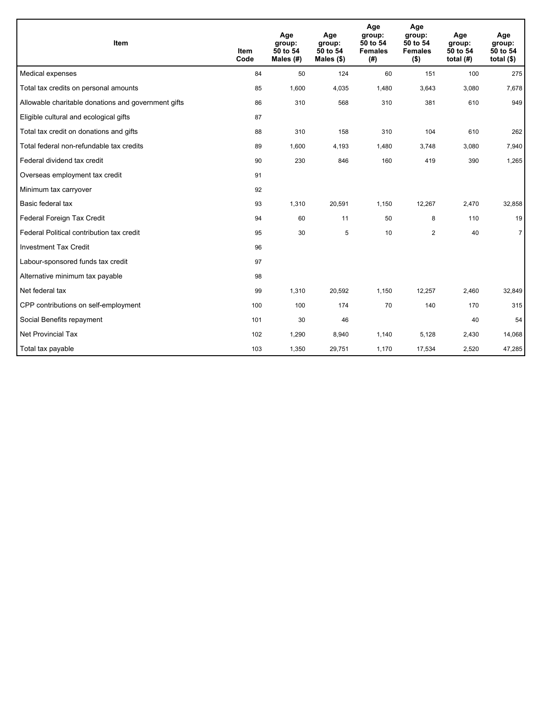| Item                                                | <b>Item</b><br>Code | Age<br>group:<br>50 to 54<br>Males $(H)$ | Age<br>group:<br>50 to 54<br>Males $(\$)$ | Age<br>group:<br>50 to 54<br><b>Females</b><br>(#) | Age<br>group:<br>50 to 54<br><b>Females</b><br>$($ \$) | Age<br>group:<br>50 to 54<br>total $(H)$ | Age<br>group:<br>50 to 54<br>total $(§)$ |
|-----------------------------------------------------|---------------------|------------------------------------------|-------------------------------------------|----------------------------------------------------|--------------------------------------------------------|------------------------------------------|------------------------------------------|
| Medical expenses                                    | 84                  | 50                                       | 124                                       | 60                                                 | 151                                                    | 100                                      | 275                                      |
| Total tax credits on personal amounts               | 85                  | 1,600                                    | 4,035                                     | 1,480                                              | 3,643                                                  | 3,080                                    | 7,678                                    |
| Allowable charitable donations and government gifts | 86                  | 310                                      | 568                                       | 310                                                | 381                                                    | 610                                      | 949                                      |
| Eligible cultural and ecological gifts              | 87                  |                                          |                                           |                                                    |                                                        |                                          |                                          |
| Total tax credit on donations and gifts             | 88                  | 310                                      | 158                                       | 310                                                | 104                                                    | 610                                      | 262                                      |
| Total federal non-refundable tax credits            | 89                  | 1,600                                    | 4,193                                     | 1,480                                              | 3,748                                                  | 3,080                                    | 7,940                                    |
| Federal dividend tax credit                         | 90                  | 230                                      | 846                                       | 160                                                | 419                                                    | 390                                      | 1,265                                    |
| Overseas employment tax credit                      | 91                  |                                          |                                           |                                                    |                                                        |                                          |                                          |
| Minimum tax carryover                               | 92                  |                                          |                                           |                                                    |                                                        |                                          |                                          |
| Basic federal tax                                   | 93                  | 1,310                                    | 20,591                                    | 1,150                                              | 12,267                                                 | 2,470                                    | 32,858                                   |
| Federal Foreign Tax Credit                          | 94                  | 60                                       | 11                                        | 50                                                 | 8                                                      | 110                                      | 19                                       |
| Federal Political contribution tax credit           | 95                  | 30                                       | 5                                         | 10                                                 | 2                                                      | 40                                       | $\overline{7}$                           |
| <b>Investment Tax Credit</b>                        | 96                  |                                          |                                           |                                                    |                                                        |                                          |                                          |
| Labour-sponsored funds tax credit                   | 97                  |                                          |                                           |                                                    |                                                        |                                          |                                          |
| Alternative minimum tax payable                     | 98                  |                                          |                                           |                                                    |                                                        |                                          |                                          |
| Net federal tax                                     | 99                  | 1,310                                    | 20,592                                    | 1,150                                              | 12,257                                                 | 2,460                                    | 32,849                                   |
| CPP contributions on self-employment                | 100                 | 100                                      | 174                                       | 70                                                 | 140                                                    | 170                                      | 315                                      |
| Social Benefits repayment                           | 101                 | 30                                       | 46                                        |                                                    |                                                        | 40                                       | 54                                       |
| <b>Net Provincial Tax</b>                           | 102                 | 1,290                                    | 8,940                                     | 1,140                                              | 5,128                                                  | 2,430                                    | 14,068                                   |
| Total tax payable                                   | 103                 | 1,350                                    | 29,751                                    | 1,170                                              | 17,534                                                 | 2,520                                    | 47,285                                   |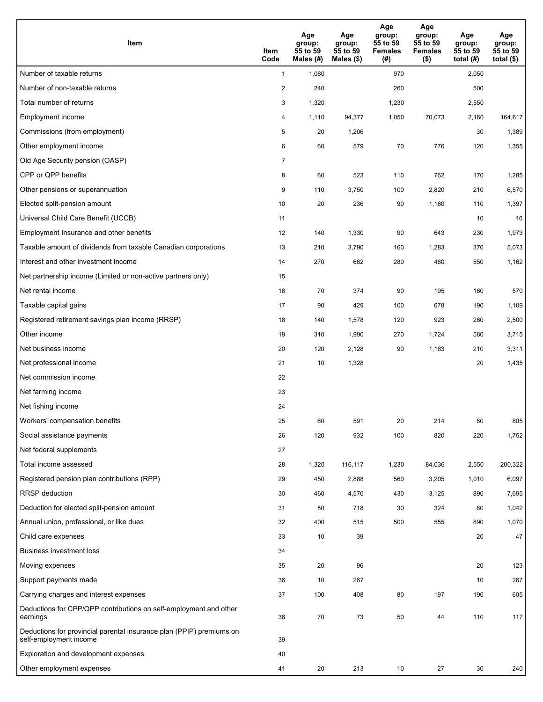| <b>Item</b>                                                                                    | Item<br>Code   | Age<br>group:<br>55 to 59<br>Males (#) | Age<br>group:<br>55 to 59<br>Males $(\$)$ | Age<br>group:<br>55 to 59<br><b>Females</b><br>(#) | Age<br>group:<br>55 to 59<br><b>Females</b><br>$($ \$) | Age<br>group:<br>55 to 59<br>total $(#)$ | Age<br>group:<br>55 to 59<br>total $($)$ |
|------------------------------------------------------------------------------------------------|----------------|----------------------------------------|-------------------------------------------|----------------------------------------------------|--------------------------------------------------------|------------------------------------------|------------------------------------------|
| Number of taxable returns                                                                      | $\mathbf{1}$   | 1,080                                  |                                           | 970                                                |                                                        | 2,050                                    |                                          |
| Number of non-taxable returns                                                                  | $\overline{2}$ | 240                                    |                                           | 260                                                |                                                        | 500                                      |                                          |
| Total number of returns                                                                        | 3              | 1,320                                  |                                           | 1,230                                              |                                                        | 2,550                                    |                                          |
| Employment income                                                                              | 4              | 1,110                                  | 94,377                                    | 1,050                                              | 70,073                                                 | 2,160                                    | 164,617                                  |
| Commissions (from employment)                                                                  | 5              | 20                                     | 1,206                                     |                                                    |                                                        | 30                                       | 1,389                                    |
| Other employment income                                                                        | 6              | 60                                     | 579                                       | 70                                                 | 776                                                    | 120                                      | 1,355                                    |
| Old Age Security pension (OASP)                                                                | $\overline{7}$ |                                        |                                           |                                                    |                                                        |                                          |                                          |
| CPP or QPP benefits                                                                            | 8              | 60                                     | 523                                       | 110                                                | 762                                                    | 170                                      | 1,285                                    |
| Other pensions or superannuation                                                               | 9              | 110                                    | 3,750                                     | 100                                                | 2,820                                                  | 210                                      | 6,570                                    |
| Elected split-pension amount                                                                   | 10             | 20                                     | 236                                       | 90                                                 | 1,160                                                  | 110                                      | 1,397                                    |
| Universal Child Care Benefit (UCCB)                                                            | 11             |                                        |                                           |                                                    |                                                        | 10                                       | 16                                       |
| Employment Insurance and other benefits                                                        | 12             | 140                                    | 1,330                                     | 90                                                 | 643                                                    | 230                                      | 1,973                                    |
| Taxable amount of dividends from taxable Canadian corporations                                 | 13             | 210                                    | 3,790                                     | 160                                                | 1,283                                                  | 370                                      | 5,073                                    |
| Interest and other investment income                                                           | 14             | 270                                    | 682                                       | 280                                                | 480                                                    | 550                                      | 1,162                                    |
| Net partnership income (Limited or non-active partners only)                                   | 15             |                                        |                                           |                                                    |                                                        |                                          |                                          |
| Net rental income                                                                              | 16             | 70                                     | 374                                       | 90                                                 | 195                                                    | 160                                      | 570                                      |
| Taxable capital gains                                                                          | 17             | 90                                     | 429                                       | 100                                                | 678                                                    | 190                                      | 1,109                                    |
| Registered retirement savings plan income (RRSP)                                               | 18             | 140                                    | 1,578                                     | 120                                                | 923                                                    | 260                                      | 2,500                                    |
| Other income                                                                                   | 19             | 310                                    | 1,990                                     | 270                                                | 1,724                                                  | 580                                      | 3,715                                    |
| Net business income                                                                            | 20             | 120                                    | 2,128                                     | 90                                                 | 1,183                                                  | 210                                      | 3,311                                    |
| Net professional income                                                                        | 21             | 10                                     | 1,328                                     |                                                    |                                                        | 20                                       | 1,435                                    |
| Net commission income                                                                          | 22             |                                        |                                           |                                                    |                                                        |                                          |                                          |
| Net farming income                                                                             | 23             |                                        |                                           |                                                    |                                                        |                                          |                                          |
| Net fishing income                                                                             | 24             |                                        |                                           |                                                    |                                                        |                                          |                                          |
| Workers' compensation benefits                                                                 | 25             | 60                                     | 591                                       | 20                                                 | 214                                                    | 80                                       | 805                                      |
| Social assistance payments                                                                     | 26             | 120                                    | 932                                       | 100                                                | 820                                                    | 220                                      | 1,752                                    |
| Net federal supplements                                                                        | 27             |                                        |                                           |                                                    |                                                        |                                          |                                          |
| Total income assessed                                                                          | 28             | 1,320                                  | 116,117                                   | 1,230                                              | 84,036                                                 | 2,550                                    | 200,322                                  |
| Registered pension plan contributions (RPP)                                                    | 29             | 450                                    | 2,888                                     | 560                                                | 3,205                                                  | 1,010                                    | 6,097                                    |
| RRSP deduction                                                                                 | 30             | 460                                    | 4,570                                     | 430                                                | 3,125                                                  | 890                                      | 7,695                                    |
| Deduction for elected split-pension amount                                                     | 31             | 50                                     | 718                                       | 30                                                 | 324                                                    | 80                                       | 1,042                                    |
| Annual union, professional, or like dues                                                       | 32             | 400                                    | 515                                       | 500                                                | 555                                                    | 890                                      | 1,070                                    |
| Child care expenses                                                                            | 33             | 10                                     | 39                                        |                                                    |                                                        | 20                                       | 47                                       |
| <b>Business investment loss</b>                                                                | 34             |                                        |                                           |                                                    |                                                        |                                          |                                          |
| Moving expenses                                                                                | 35             | 20                                     | 96                                        |                                                    |                                                        | 20                                       | 123                                      |
| Support payments made                                                                          | 36             | 10                                     | 267                                       |                                                    |                                                        | 10                                       | 267                                      |
| Carrying charges and interest expenses                                                         | 37             | 100                                    | 408                                       | 80                                                 | 197                                                    | 190                                      | 605                                      |
| Deductions for CPP/QPP contributions on self-employment and other<br>earnings                  | 38             | 70                                     | 73                                        | 50                                                 | 44                                                     | 110                                      | 117                                      |
| Deductions for provincial parental insurance plan (PPIP) premiums on<br>self-employment income | 39             |                                        |                                           |                                                    |                                                        |                                          |                                          |
| Exploration and development expenses                                                           | 40             |                                        |                                           |                                                    |                                                        |                                          |                                          |
| Other employment expenses                                                                      | 41             | 20                                     | 213                                       | 10                                                 | 27                                                     | 30                                       | 240                                      |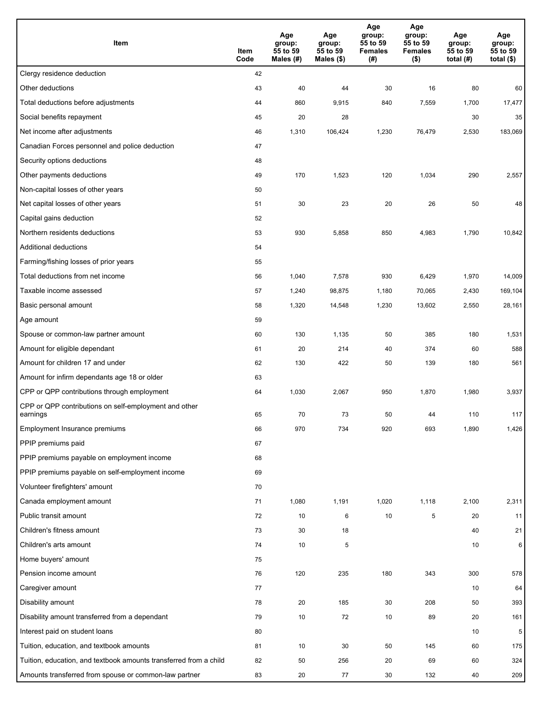| Item                                                              | Item<br>Code | Age<br>group:<br>55 to 59<br>Males (#) | Age<br>group:<br>55 to 59<br>Males (\$) | Age<br>group:<br>55 to 59<br><b>Females</b><br>(#) | Age<br>group:<br>55 to 59<br><b>Females</b><br>$($ \$) | Age<br>group:<br>55 to 59<br>total $(H)$ | Age<br>group:<br>55 to 59<br>total $($)$ |
|-------------------------------------------------------------------|--------------|----------------------------------------|-----------------------------------------|----------------------------------------------------|--------------------------------------------------------|------------------------------------------|------------------------------------------|
| Clergy residence deduction                                        | 42           |                                        |                                         |                                                    |                                                        |                                          |                                          |
| Other deductions                                                  | 43           | 40                                     | 44                                      | 30                                                 | 16                                                     | 80                                       | 60                                       |
| Total deductions before adjustments                               | 44           | 860                                    | 9,915                                   | 840                                                | 7,559                                                  | 1,700                                    | 17,477                                   |
| Social benefits repayment                                         | 45           | 20                                     | 28                                      |                                                    |                                                        | 30                                       | 35                                       |
| Net income after adjustments                                      | 46           | 1,310                                  | 106,424                                 | 1,230                                              | 76,479                                                 | 2,530                                    | 183,069                                  |
| Canadian Forces personnel and police deduction                    | 47           |                                        |                                         |                                                    |                                                        |                                          |                                          |
| Security options deductions                                       | 48           |                                        |                                         |                                                    |                                                        |                                          |                                          |
| Other payments deductions                                         | 49           | 170                                    | 1,523                                   | 120                                                | 1,034                                                  | 290                                      | 2,557                                    |
| Non-capital losses of other years                                 | 50           |                                        |                                         |                                                    |                                                        |                                          |                                          |
| Net capital losses of other years                                 | 51           | 30                                     | 23                                      | 20                                                 | 26                                                     | 50                                       | 48                                       |
| Capital gains deduction                                           | 52           |                                        |                                         |                                                    |                                                        |                                          |                                          |
| Northern residents deductions                                     | 53           | 930                                    | 5,858                                   | 850                                                | 4,983                                                  | 1,790                                    | 10,842                                   |
| Additional deductions                                             | 54           |                                        |                                         |                                                    |                                                        |                                          |                                          |
| Farming/fishing losses of prior years                             | 55           |                                        |                                         |                                                    |                                                        |                                          |                                          |
| Total deductions from net income                                  | 56           | 1,040                                  | 7,578                                   | 930                                                | 6,429                                                  | 1,970                                    | 14,009                                   |
| Taxable income assessed                                           | 57           | 1,240                                  | 98,875                                  | 1,180                                              | 70,065                                                 | 2,430                                    | 169,104                                  |
| Basic personal amount                                             | 58           | 1,320                                  | 14,548                                  | 1,230                                              | 13,602                                                 | 2,550                                    | 28,161                                   |
| Age amount                                                        | 59           |                                        |                                         |                                                    |                                                        |                                          |                                          |
| Spouse or common-law partner amount                               | 60           | 130                                    | 1,135                                   | 50                                                 | 385                                                    | 180                                      | 1,531                                    |
| Amount for eligible dependant                                     | 61           | 20                                     | 214                                     | 40                                                 | 374                                                    | 60                                       | 588                                      |
| Amount for children 17 and under                                  | 62           | 130                                    | 422                                     | 50                                                 | 139                                                    | 180                                      | 561                                      |
| Amount for infirm dependants age 18 or older                      | 63           |                                        |                                         |                                                    |                                                        |                                          |                                          |
| CPP or QPP contributions through employment                       | 64           | 1,030                                  | 2,067                                   | 950                                                | 1,870                                                  | 1,980                                    | 3,937                                    |
| CPP or QPP contributions on self-employment and other<br>earnings | 65           | 70                                     | 73                                      | 50                                                 | 44                                                     | 110                                      | 117                                      |
| Employment Insurance premiums                                     | 66           | 970                                    | 734                                     | 920                                                | 693                                                    | 1,890                                    | 1,426                                    |
| PPIP premiums paid                                                | 67           |                                        |                                         |                                                    |                                                        |                                          |                                          |
| PPIP premiums payable on employment income                        | 68           |                                        |                                         |                                                    |                                                        |                                          |                                          |
| PPIP premiums payable on self-employment income                   | 69           |                                        |                                         |                                                    |                                                        |                                          |                                          |
| Volunteer firefighters' amount                                    | 70           |                                        |                                         |                                                    |                                                        |                                          |                                          |
| Canada employment amount                                          | 71           | 1,080                                  | 1,191                                   | 1,020                                              | 1,118                                                  | 2,100                                    | 2,311                                    |
| Public transit amount                                             | 72           | 10                                     | 6                                       | 10                                                 | 5                                                      | 20                                       | 11                                       |
| Children's fitness amount                                         | 73           | 30                                     | 18                                      |                                                    |                                                        | 40                                       | 21                                       |
| Children's arts amount                                            | 74           | 10                                     | 5                                       |                                                    |                                                        | 10                                       | 6                                        |
| Home buyers' amount                                               | 75           |                                        |                                         |                                                    |                                                        |                                          |                                          |
| Pension income amount                                             | 76           | 120                                    | 235                                     | 180                                                | 343                                                    | 300                                      | 578                                      |
| Caregiver amount                                                  | 77           |                                        |                                         |                                                    |                                                        | 10                                       | 64                                       |
| Disability amount                                                 | 78           | 20                                     | 185                                     | 30                                                 | 208                                                    | 50                                       | 393                                      |
| Disability amount transferred from a dependant                    | 79           | 10                                     | 72                                      | 10                                                 | 89                                                     | 20                                       | 161                                      |
| Interest paid on student loans                                    | 80           |                                        |                                         |                                                    |                                                        | 10                                       | 5                                        |
| Tuition, education, and textbook amounts                          | 81           | 10                                     | 30                                      | 50                                                 | 145                                                    | 60                                       | 175                                      |
| Tuition, education, and textbook amounts transferred from a child | 82           | 50                                     | 256                                     | 20                                                 | 69                                                     | 60                                       | 324                                      |
| Amounts transferred from spouse or common-law partner             | 83           | 20                                     | 77                                      | 30                                                 | 132                                                    | 40                                       | 209                                      |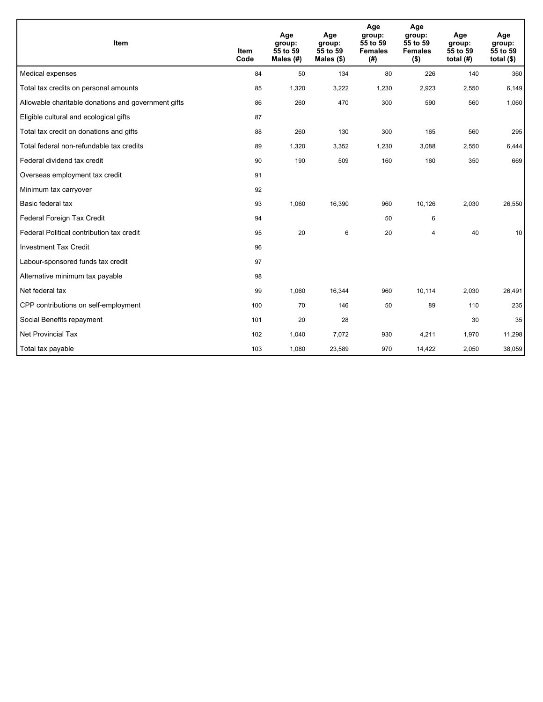| Item                                                | <b>Item</b><br>Code | Age<br>group:<br>55 to 59<br>Males (#) | Age<br>group:<br>55 to 59<br>Males $(\$)$ | Age<br>group:<br>55 to 59<br><b>Females</b><br>(# ) | Age<br>group:<br>55 to 59<br><b>Females</b><br>$($ \$) | Age<br>group:<br>55 to 59<br>total $(H)$ | Age<br>group:<br>55 to 59<br>total $($)$ |
|-----------------------------------------------------|---------------------|----------------------------------------|-------------------------------------------|-----------------------------------------------------|--------------------------------------------------------|------------------------------------------|------------------------------------------|
| Medical expenses                                    | 84                  | 50                                     | 134                                       | 80                                                  | 226                                                    | 140                                      | 360                                      |
| Total tax credits on personal amounts               | 85                  | 1,320                                  | 3,222                                     | 1,230                                               | 2,923                                                  | 2,550                                    | 6,149                                    |
| Allowable charitable donations and government gifts | 86                  | 260                                    | 470                                       | 300                                                 | 590                                                    | 560                                      | 1,060                                    |
| Eligible cultural and ecological gifts              | 87                  |                                        |                                           |                                                     |                                                        |                                          |                                          |
| Total tax credit on donations and gifts             | 88                  | 260                                    | 130                                       | 300                                                 | 165                                                    | 560                                      | 295                                      |
| Total federal non-refundable tax credits            | 89                  | 1,320                                  | 3,352                                     | 1,230                                               | 3,088                                                  | 2,550                                    | 6,444                                    |
| Federal dividend tax credit                         | 90                  | 190                                    | 509                                       | 160                                                 | 160                                                    | 350                                      | 669                                      |
| Overseas employment tax credit                      | 91                  |                                        |                                           |                                                     |                                                        |                                          |                                          |
| Minimum tax carryover                               | 92                  |                                        |                                           |                                                     |                                                        |                                          |                                          |
| Basic federal tax                                   | 93                  | 1,060                                  | 16,390                                    | 960                                                 | 10,126                                                 | 2,030                                    | 26,550                                   |
| Federal Foreign Tax Credit                          | 94                  |                                        |                                           | 50                                                  | 6                                                      |                                          |                                          |
| Federal Political contribution tax credit           | 95                  | 20                                     | 6                                         | 20                                                  | 4                                                      | 40                                       | 10                                       |
| <b>Investment Tax Credit</b>                        | 96                  |                                        |                                           |                                                     |                                                        |                                          |                                          |
| Labour-sponsored funds tax credit                   | 97                  |                                        |                                           |                                                     |                                                        |                                          |                                          |
| Alternative minimum tax payable                     | 98                  |                                        |                                           |                                                     |                                                        |                                          |                                          |
| Net federal tax                                     | 99                  | 1,060                                  | 16,344                                    | 960                                                 | 10,114                                                 | 2,030                                    | 26,491                                   |
| CPP contributions on self-employment                | 100                 | 70                                     | 146                                       | 50                                                  | 89                                                     | 110                                      | 235                                      |
| Social Benefits repayment                           | 101                 | 20                                     | 28                                        |                                                     |                                                        | 30                                       | 35                                       |
| Net Provincial Tax                                  | 102                 | 1,040                                  | 7,072                                     | 930                                                 | 4,211                                                  | 1,970                                    | 11,298                                   |
| Total tax payable                                   | 103                 | 1,080                                  | 23,589                                    | 970                                                 | 14,422                                                 | 2,050                                    | 38,059                                   |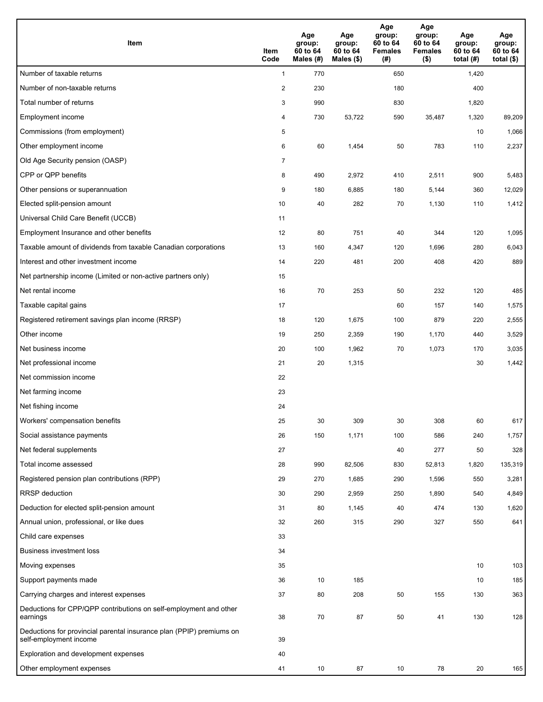| <b>Item</b>                                                                                    | Item<br>Code            | Age<br>group:<br>60 to 64<br>Males (#) | Age<br>group:<br>60 to 64<br>Males $(\$)$ | Age<br>group:<br>60 to 64<br><b>Females</b><br>(#) | Age<br>group:<br>60 to 64<br><b>Females</b><br>$($ \$) | Age<br>group:<br>60 to 64<br>total $(H)$ | Age<br>group:<br>60 to 64<br>total $($)$ |
|------------------------------------------------------------------------------------------------|-------------------------|----------------------------------------|-------------------------------------------|----------------------------------------------------|--------------------------------------------------------|------------------------------------------|------------------------------------------|
| Number of taxable returns                                                                      | $\mathbf{1}$            | 770                                    |                                           | 650                                                |                                                        | 1,420                                    |                                          |
| Number of non-taxable returns                                                                  | $\overline{\mathbf{c}}$ | 230                                    |                                           | 180                                                |                                                        | 400                                      |                                          |
| Total number of returns                                                                        | 3                       | 990                                    |                                           | 830                                                |                                                        | 1,820                                    |                                          |
| Employment income                                                                              | 4                       | 730                                    | 53,722                                    | 590                                                | 35,487                                                 | 1,320                                    | 89,209                                   |
| Commissions (from employment)                                                                  | 5                       |                                        |                                           |                                                    |                                                        | 10                                       | 1,066                                    |
| Other employment income                                                                        | 6                       | 60                                     | 1,454                                     | 50                                                 | 783                                                    | 110                                      | 2,237                                    |
| Old Age Security pension (OASP)                                                                | $\overline{7}$          |                                        |                                           |                                                    |                                                        |                                          |                                          |
| CPP or QPP benefits                                                                            | 8                       | 490                                    | 2,972                                     | 410                                                | 2,511                                                  | 900                                      | 5,483                                    |
| Other pensions or superannuation                                                               | 9                       | 180                                    | 6,885                                     | 180                                                | 5,144                                                  | 360                                      | 12,029                                   |
| Elected split-pension amount                                                                   | 10                      | 40                                     | 282                                       | 70                                                 | 1,130                                                  | 110                                      | 1,412                                    |
| Universal Child Care Benefit (UCCB)                                                            | 11                      |                                        |                                           |                                                    |                                                        |                                          |                                          |
| Employment Insurance and other benefits                                                        | 12                      | 80                                     | 751                                       | 40                                                 | 344                                                    | 120                                      | 1,095                                    |
| Taxable amount of dividends from taxable Canadian corporations                                 | 13                      | 160                                    | 4,347                                     | 120                                                | 1,696                                                  | 280                                      | 6,043                                    |
| Interest and other investment income                                                           | 14                      | 220                                    | 481                                       | 200                                                | 408                                                    | 420                                      | 889                                      |
| Net partnership income (Limited or non-active partners only)                                   | 15                      |                                        |                                           |                                                    |                                                        |                                          |                                          |
| Net rental income                                                                              | 16                      | 70                                     | 253                                       | 50                                                 | 232                                                    | 120                                      | 485                                      |
| Taxable capital gains                                                                          | 17                      |                                        |                                           | 60                                                 | 157                                                    | 140                                      | 1,575                                    |
| Registered retirement savings plan income (RRSP)                                               | 18                      | 120                                    | 1,675                                     | 100                                                | 879                                                    | 220                                      | 2,555                                    |
| Other income                                                                                   | 19                      | 250                                    | 2,359                                     | 190                                                | 1,170                                                  | 440                                      | 3,529                                    |
| Net business income                                                                            | 20                      | 100                                    | 1,962                                     | 70                                                 | 1,073                                                  | 170                                      | 3,035                                    |
| Net professional income                                                                        | 21                      | 20                                     | 1,315                                     |                                                    |                                                        | 30                                       | 1,442                                    |
| Net commission income                                                                          | 22                      |                                        |                                           |                                                    |                                                        |                                          |                                          |
| Net farming income                                                                             | 23                      |                                        |                                           |                                                    |                                                        |                                          |                                          |
| Net fishing income                                                                             | 24                      |                                        |                                           |                                                    |                                                        |                                          |                                          |
| Workers' compensation benefits                                                                 | 25                      | 30                                     | 309                                       | 30                                                 | 308                                                    | 60                                       | 617                                      |
| Social assistance payments                                                                     | 26                      | 150                                    | 1,171                                     | 100                                                | 586                                                    | 240                                      | 1,757                                    |
| Net federal supplements                                                                        | 27                      |                                        |                                           | 40                                                 | 277                                                    | 50                                       | 328                                      |
| Total income assessed                                                                          | 28                      | 990                                    | 82,506                                    | 830                                                | 52,813                                                 | 1,820                                    | 135,319                                  |
| Registered pension plan contributions (RPP)                                                    | 29                      | 270                                    | 1,685                                     | 290                                                | 1,596                                                  | 550                                      | 3,281                                    |
| RRSP deduction                                                                                 | 30                      | 290                                    | 2,959                                     | 250                                                | 1,890                                                  | 540                                      | 4,849                                    |
| Deduction for elected split-pension amount                                                     | 31                      | 80                                     | 1,145                                     | 40                                                 | 474                                                    | 130                                      | 1,620                                    |
| Annual union, professional, or like dues                                                       | 32                      | 260                                    | 315                                       | 290                                                | 327                                                    | 550                                      | 641                                      |
| Child care expenses                                                                            | 33                      |                                        |                                           |                                                    |                                                        |                                          |                                          |
| <b>Business investment loss</b>                                                                | 34                      |                                        |                                           |                                                    |                                                        |                                          |                                          |
| Moving expenses                                                                                | 35                      |                                        |                                           |                                                    |                                                        | 10                                       | 103                                      |
| Support payments made                                                                          | 36                      | 10                                     | 185                                       |                                                    |                                                        | 10                                       | 185                                      |
| Carrying charges and interest expenses                                                         | 37                      | 80                                     | 208                                       | 50                                                 | 155                                                    | 130                                      | 363                                      |
| Deductions for CPP/QPP contributions on self-employment and other<br>earnings                  | 38                      | 70                                     | 87                                        | 50                                                 | 41                                                     | 130                                      | 128                                      |
| Deductions for provincial parental insurance plan (PPIP) premiums on<br>self-employment income | 39                      |                                        |                                           |                                                    |                                                        |                                          |                                          |
| Exploration and development expenses                                                           | 40                      |                                        |                                           |                                                    |                                                        |                                          |                                          |
| Other employment expenses                                                                      | 41                      | 10                                     | 87                                        | 10                                                 | 78                                                     | 20                                       | 165                                      |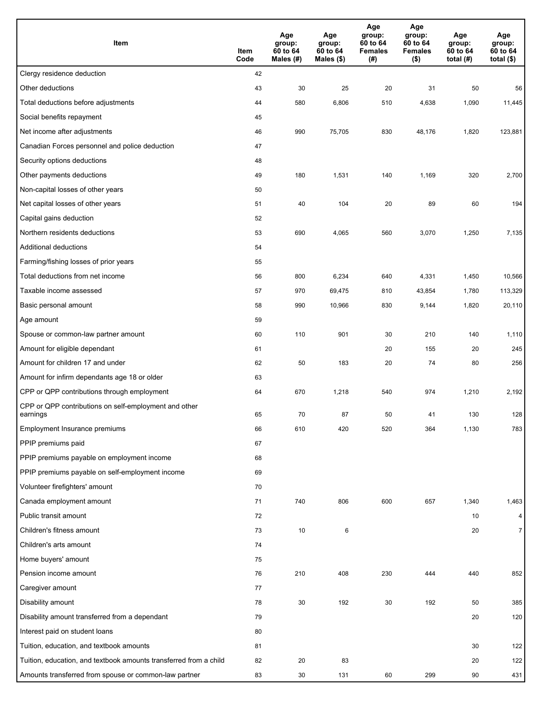| Item                                                              | Item<br>Code | Age<br>group:<br>60 to 64<br>Males (#) | Age<br>group:<br>60 to 64<br>Males (\$) | Age<br>group:<br>60 to 64<br><b>Females</b><br>(#) | Age<br>group:<br>60 to 64<br><b>Females</b><br>$($ \$) | Age<br>group:<br>60 to 64<br>total $(H)$ | Age<br>group:<br>60 to 64<br>total $($)$ |
|-------------------------------------------------------------------|--------------|----------------------------------------|-----------------------------------------|----------------------------------------------------|--------------------------------------------------------|------------------------------------------|------------------------------------------|
| Clergy residence deduction                                        | 42           |                                        |                                         |                                                    |                                                        |                                          |                                          |
| Other deductions                                                  | 43           | 30                                     | 25                                      | 20                                                 | 31                                                     | 50                                       | 56                                       |
| Total deductions before adjustments                               | 44           | 580                                    | 6,806                                   | 510                                                | 4,638                                                  | 1,090                                    | 11,445                                   |
| Social benefits repayment                                         | 45           |                                        |                                         |                                                    |                                                        |                                          |                                          |
| Net income after adjustments                                      | 46           | 990                                    | 75,705                                  | 830                                                | 48,176                                                 | 1,820                                    | 123,881                                  |
| Canadian Forces personnel and police deduction                    | 47           |                                        |                                         |                                                    |                                                        |                                          |                                          |
| Security options deductions                                       | 48           |                                        |                                         |                                                    |                                                        |                                          |                                          |
| Other payments deductions                                         | 49           | 180                                    | 1,531                                   | 140                                                | 1,169                                                  | 320                                      | 2,700                                    |
| Non-capital losses of other years                                 | 50           |                                        |                                         |                                                    |                                                        |                                          |                                          |
| Net capital losses of other years                                 | 51           | 40                                     | 104                                     | 20                                                 | 89                                                     | 60                                       | 194                                      |
| Capital gains deduction                                           | 52           |                                        |                                         |                                                    |                                                        |                                          |                                          |
| Northern residents deductions                                     | 53           | 690                                    | 4,065                                   | 560                                                | 3,070                                                  | 1,250                                    | 7,135                                    |
| Additional deductions                                             | 54           |                                        |                                         |                                                    |                                                        |                                          |                                          |
| Farming/fishing losses of prior years                             | 55           |                                        |                                         |                                                    |                                                        |                                          |                                          |
| Total deductions from net income                                  | 56           | 800                                    | 6,234                                   | 640                                                | 4,331                                                  | 1,450                                    | 10,566                                   |
| Taxable income assessed                                           | 57           | 970                                    | 69,475                                  | 810                                                | 43,854                                                 | 1,780                                    | 113,329                                  |
| Basic personal amount                                             | 58           | 990                                    | 10,966                                  | 830                                                | 9,144                                                  | 1,820                                    | 20,110                                   |
| Age amount                                                        | 59           |                                        |                                         |                                                    |                                                        |                                          |                                          |
| Spouse or common-law partner amount                               | 60           | 110                                    | 901                                     | 30                                                 | 210                                                    | 140                                      | 1,110                                    |
| Amount for eligible dependant                                     | 61           |                                        |                                         | 20                                                 | 155                                                    | 20                                       | 245                                      |
| Amount for children 17 and under                                  | 62           | 50                                     | 183                                     | 20                                                 | 74                                                     | 80                                       | 256                                      |
| Amount for infirm dependants age 18 or older                      | 63           |                                        |                                         |                                                    |                                                        |                                          |                                          |
| CPP or QPP contributions through employment                       | 64           | 670                                    | 1,218                                   | 540                                                | 974                                                    | 1,210                                    | 2,192                                    |
| CPP or QPP contributions on self-employment and other<br>earnings | 65           | 70                                     | 87                                      | 50                                                 | 41                                                     | 130                                      | 128                                      |
| Employment Insurance premiums                                     | 66           | 610                                    | 420                                     | 520                                                | 364                                                    | 1,130                                    | 783                                      |
| PPIP premiums paid                                                | 67           |                                        |                                         |                                                    |                                                        |                                          |                                          |
| PPIP premiums payable on employment income                        | 68           |                                        |                                         |                                                    |                                                        |                                          |                                          |
| PPIP premiums payable on self-employment income                   | 69           |                                        |                                         |                                                    |                                                        |                                          |                                          |
| Volunteer firefighters' amount                                    | 70           |                                        |                                         |                                                    |                                                        |                                          |                                          |
| Canada employment amount                                          | 71           | 740                                    | 806                                     | 600                                                | 657                                                    | 1,340                                    | 1,463                                    |
| Public transit amount                                             | 72           |                                        |                                         |                                                    |                                                        | 10                                       | $\overline{4}$                           |
| Children's fitness amount                                         | 73           | 10                                     | 6                                       |                                                    |                                                        | 20                                       | $\overline{7}$                           |
| Children's arts amount                                            | 74           |                                        |                                         |                                                    |                                                        |                                          |                                          |
| Home buyers' amount                                               | 75           |                                        |                                         |                                                    |                                                        |                                          |                                          |
| Pension income amount                                             | 76           | 210                                    | 408                                     | 230                                                | 444                                                    | 440                                      | 852                                      |
| Caregiver amount                                                  | 77           |                                        |                                         |                                                    |                                                        |                                          |                                          |
| Disability amount                                                 | 78           | 30                                     | 192                                     | 30                                                 | 192                                                    | 50                                       | 385                                      |
| Disability amount transferred from a dependant                    | 79           |                                        |                                         |                                                    |                                                        | 20                                       | 120                                      |
| Interest paid on student loans                                    | 80           |                                        |                                         |                                                    |                                                        |                                          |                                          |
| Tuition, education, and textbook amounts                          | 81           |                                        |                                         |                                                    |                                                        | 30                                       | 122                                      |
| Tuition, education, and textbook amounts transferred from a child | 82           | 20                                     | 83                                      |                                                    |                                                        | 20                                       | 122                                      |
| Amounts transferred from spouse or common-law partner             | 83           | 30                                     | 131                                     | 60                                                 | 299                                                    | 90                                       | 431                                      |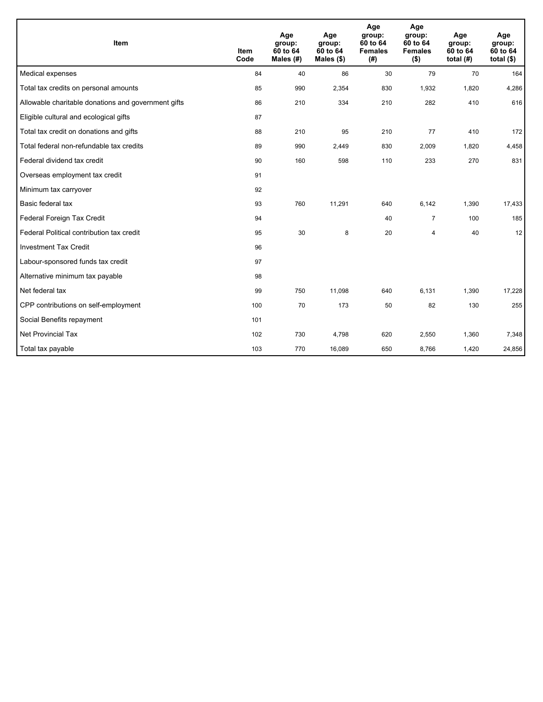| Item                                                | <b>Item</b><br>Code | Age<br>group:<br>60 to 64<br>Males (#) | Age<br>group:<br>60 to 64<br>Males $(\$)$ | Age<br>group:<br>60 to 64<br><b>Females</b><br>(# ) | Age<br>group:<br>60 to 64<br><b>Females</b><br>$($ \$) | Age<br>group:<br>60 to 64<br>total $(H)$ | Age<br>group:<br>60 to 64<br>total $($)$ |
|-----------------------------------------------------|---------------------|----------------------------------------|-------------------------------------------|-----------------------------------------------------|--------------------------------------------------------|------------------------------------------|------------------------------------------|
| Medical expenses                                    | 84                  | 40                                     | 86                                        | 30                                                  | 79                                                     | 70                                       | 164                                      |
| Total tax credits on personal amounts               | 85                  | 990                                    | 2,354                                     | 830                                                 | 1,932                                                  | 1,820                                    | 4,286                                    |
| Allowable charitable donations and government gifts | 86                  | 210                                    | 334                                       | 210                                                 | 282                                                    | 410                                      | 616                                      |
| Eligible cultural and ecological gifts              | 87                  |                                        |                                           |                                                     |                                                        |                                          |                                          |
| Total tax credit on donations and gifts             | 88                  | 210                                    | 95                                        | 210                                                 | 77                                                     | 410                                      | 172                                      |
| Total federal non-refundable tax credits            | 89                  | 990                                    | 2,449                                     | 830                                                 | 2,009                                                  | 1,820                                    | 4,458                                    |
| Federal dividend tax credit                         | 90                  | 160                                    | 598                                       | 110                                                 | 233                                                    | 270                                      | 831                                      |
| Overseas employment tax credit                      | 91                  |                                        |                                           |                                                     |                                                        |                                          |                                          |
| Minimum tax carryover                               | 92                  |                                        |                                           |                                                     |                                                        |                                          |                                          |
| Basic federal tax                                   | 93                  | 760                                    | 11,291                                    | 640                                                 | 6,142                                                  | 1,390                                    | 17,433                                   |
| Federal Foreign Tax Credit                          | 94                  |                                        |                                           | 40                                                  | $\overline{7}$                                         | 100                                      | 185                                      |
| Federal Political contribution tax credit           | 95                  | 30                                     | 8                                         | 20                                                  | 4                                                      | 40                                       | 12                                       |
| <b>Investment Tax Credit</b>                        | 96                  |                                        |                                           |                                                     |                                                        |                                          |                                          |
| Labour-sponsored funds tax credit                   | 97                  |                                        |                                           |                                                     |                                                        |                                          |                                          |
| Alternative minimum tax payable                     | 98                  |                                        |                                           |                                                     |                                                        |                                          |                                          |
| Net federal tax                                     | 99                  | 750                                    | 11,098                                    | 640                                                 | 6,131                                                  | 1,390                                    | 17,228                                   |
| CPP contributions on self-employment                | 100                 | 70                                     | 173                                       | 50                                                  | 82                                                     | 130                                      | 255                                      |
| Social Benefits repayment                           | 101                 |                                        |                                           |                                                     |                                                        |                                          |                                          |
| <b>Net Provincial Tax</b>                           | 102                 | 730                                    | 4,798                                     | 620                                                 | 2,550                                                  | 1,360                                    | 7,348                                    |
| Total tax payable                                   | 103                 | 770                                    | 16,089                                    | 650                                                 | 8,766                                                  | 1,420                                    | 24,856                                   |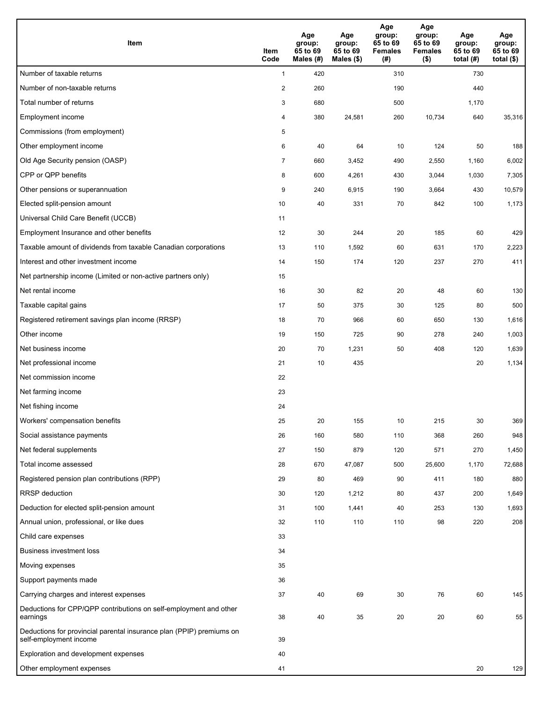| Item                                                                                           | Item<br>Code   | Age<br>group:<br>65 to 69<br>Males (#) | Age<br>group:<br>65 to 69<br>Males (\$) | Age<br>group:<br>65 to 69<br><b>Females</b><br>(# ) | Age<br>group:<br>65 to 69<br><b>Females</b><br>$($ \$) | Age<br>group:<br>65 to 69<br>total (#) | Age<br>group:<br>65 to 69<br>total $($ |
|------------------------------------------------------------------------------------------------|----------------|----------------------------------------|-----------------------------------------|-----------------------------------------------------|--------------------------------------------------------|----------------------------------------|----------------------------------------|
| Number of taxable returns                                                                      | $\mathbf{1}$   | 420                                    |                                         | 310                                                 |                                                        | 730                                    |                                        |
| Number of non-taxable returns                                                                  | $\sqrt{2}$     | 260                                    |                                         | 190                                                 |                                                        | 440                                    |                                        |
| Total number of returns                                                                        | 3              | 680                                    |                                         | 500                                                 |                                                        | 1,170                                  |                                        |
| Employment income                                                                              | 4              | 380                                    | 24,581                                  | 260                                                 | 10,734                                                 | 640                                    | 35,316                                 |
| Commissions (from employment)                                                                  | 5              |                                        |                                         |                                                     |                                                        |                                        |                                        |
| Other employment income                                                                        | 6              | 40                                     | 64                                      | 10                                                  | 124                                                    | 50                                     | 188                                    |
| Old Age Security pension (OASP)                                                                | $\overline{7}$ | 660                                    | 3,452                                   | 490                                                 | 2,550                                                  | 1,160                                  | 6,002                                  |
| CPP or QPP benefits                                                                            | 8              | 600                                    | 4,261                                   | 430                                                 | 3,044                                                  | 1,030                                  | 7,305                                  |
| Other pensions or superannuation                                                               | 9              | 240                                    | 6,915                                   | 190                                                 | 3,664                                                  | 430                                    | 10,579                                 |
| Elected split-pension amount                                                                   | 10             | 40                                     | 331                                     | 70                                                  | 842                                                    | 100                                    | 1,173                                  |
| Universal Child Care Benefit (UCCB)                                                            | 11             |                                        |                                         |                                                     |                                                        |                                        |                                        |
| Employment Insurance and other benefits                                                        | 12             | 30                                     | 244                                     | 20                                                  | 185                                                    | 60                                     | 429                                    |
| Taxable amount of dividends from taxable Canadian corporations                                 | 13             | 110                                    | 1,592                                   | 60                                                  | 631                                                    | 170                                    | 2,223                                  |
| Interest and other investment income                                                           | 14             | 150                                    | 174                                     | 120                                                 | 237                                                    | 270                                    | 411                                    |
| Net partnership income (Limited or non-active partners only)                                   | 15             |                                        |                                         |                                                     |                                                        |                                        |                                        |
| Net rental income                                                                              | 16             | 30                                     | 82                                      | 20                                                  | 48                                                     | 60                                     | 130                                    |
| Taxable capital gains                                                                          | 17             | 50                                     | 375                                     | 30                                                  | 125                                                    | 80                                     | 500                                    |
| Registered retirement savings plan income (RRSP)                                               | 18             | 70                                     | 966                                     | 60                                                  | 650                                                    | 130                                    | 1,616                                  |
| Other income                                                                                   | 19             | 150                                    | 725                                     | 90                                                  | 278                                                    | 240                                    | 1,003                                  |
| Net business income                                                                            | 20             | 70                                     | 1,231                                   | 50                                                  | 408                                                    | 120                                    | 1,639                                  |
| Net professional income                                                                        | 21             | 10                                     | 435                                     |                                                     |                                                        | 20                                     | 1,134                                  |
| Net commission income                                                                          | 22             |                                        |                                         |                                                     |                                                        |                                        |                                        |
| Net farming income                                                                             | 23             |                                        |                                         |                                                     |                                                        |                                        |                                        |
| Net fishing income                                                                             | 24             |                                        |                                         |                                                     |                                                        |                                        |                                        |
| Workers' compensation benefits                                                                 | 25             | 20                                     | 155                                     | 10                                                  | 215                                                    | 30                                     | 369                                    |
| Social assistance payments                                                                     | 26             | 160                                    | 580                                     | 110                                                 | 368                                                    | 260                                    | 948                                    |
| Net federal supplements                                                                        | 27             | 150                                    | 879                                     | 120                                                 | 571                                                    | 270                                    | 1,450                                  |
| Total income assessed                                                                          | 28             | 670                                    | 47,087                                  | 500                                                 | 25,600                                                 | 1,170                                  | 72,688                                 |
| Registered pension plan contributions (RPP)                                                    | 29             | 80                                     | 469                                     | 90                                                  | 411                                                    | 180                                    | 880                                    |
| <b>RRSP</b> deduction                                                                          | 30             | 120                                    | 1,212                                   | 80                                                  | 437                                                    | 200                                    | 1,649                                  |
| Deduction for elected split-pension amount                                                     | 31             | 100                                    | 1,441                                   | 40                                                  | 253                                                    | 130                                    | 1,693                                  |
| Annual union, professional, or like dues                                                       | 32             | 110                                    | 110                                     | 110                                                 | 98                                                     | 220                                    | 208                                    |
| Child care expenses                                                                            | 33             |                                        |                                         |                                                     |                                                        |                                        |                                        |
| Business investment loss                                                                       | 34             |                                        |                                         |                                                     |                                                        |                                        |                                        |
| Moving expenses                                                                                | 35             |                                        |                                         |                                                     |                                                        |                                        |                                        |
| Support payments made                                                                          | 36             |                                        |                                         |                                                     |                                                        |                                        |                                        |
| Carrying charges and interest expenses                                                         | 37             | 40                                     | 69                                      | 30                                                  | 76                                                     | 60                                     | 145                                    |
| Deductions for CPP/QPP contributions on self-employment and other<br>earnings                  | 38             | 40                                     | 35                                      | 20                                                  | 20                                                     | 60                                     | 55                                     |
| Deductions for provincial parental insurance plan (PPIP) premiums on<br>self-employment income | 39             |                                        |                                         |                                                     |                                                        |                                        |                                        |
| Exploration and development expenses                                                           | 40             |                                        |                                         |                                                     |                                                        |                                        |                                        |
| Other employment expenses                                                                      | 41             |                                        |                                         |                                                     |                                                        | 20                                     | 129                                    |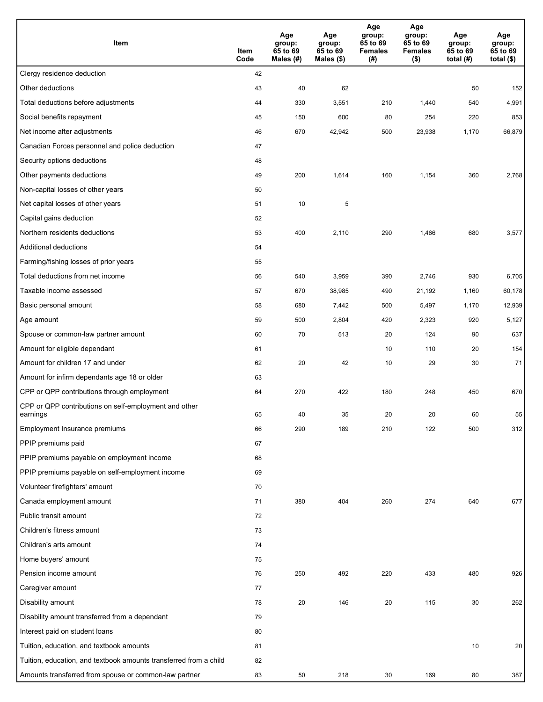| Item                                                              | Item<br>Code | Age<br>group:<br>65 to 69<br>Males (#) | Age<br>group:<br>65 to 69<br>Males (\$) | Age<br>group:<br>65 to 69<br><b>Females</b><br>(#) | Age<br>group:<br>65 to 69<br><b>Females</b><br>$($ \$) | Age<br>group:<br>65 to 69<br>total (#) | Age<br>group:<br>65 to 69<br>total $($)$ |
|-------------------------------------------------------------------|--------------|----------------------------------------|-----------------------------------------|----------------------------------------------------|--------------------------------------------------------|----------------------------------------|------------------------------------------|
| Clergy residence deduction                                        | 42           |                                        |                                         |                                                    |                                                        |                                        |                                          |
| Other deductions                                                  | 43           | 40                                     | 62                                      |                                                    |                                                        | 50                                     | 152                                      |
| Total deductions before adjustments                               | 44           | 330                                    | 3,551                                   | 210                                                | 1,440                                                  | 540                                    | 4,991                                    |
| Social benefits repayment                                         | 45           | 150                                    | 600                                     | 80                                                 | 254                                                    | 220                                    | 853                                      |
| Net income after adjustments                                      | 46           | 670                                    | 42,942                                  | 500                                                | 23,938                                                 | 1,170                                  | 66,879                                   |
| Canadian Forces personnel and police deduction                    | 47           |                                        |                                         |                                                    |                                                        |                                        |                                          |
| Security options deductions                                       | 48           |                                        |                                         |                                                    |                                                        |                                        |                                          |
| Other payments deductions                                         | 49           | 200                                    | 1,614                                   | 160                                                | 1,154                                                  | 360                                    | 2,768                                    |
| Non-capital losses of other years                                 | 50           |                                        |                                         |                                                    |                                                        |                                        |                                          |
| Net capital losses of other years                                 | 51           | 10                                     | 5                                       |                                                    |                                                        |                                        |                                          |
| Capital gains deduction                                           | 52           |                                        |                                         |                                                    |                                                        |                                        |                                          |
| Northern residents deductions                                     | 53           | 400                                    | 2,110                                   | 290                                                | 1,466                                                  | 680                                    | 3,577                                    |
| Additional deductions                                             | 54           |                                        |                                         |                                                    |                                                        |                                        |                                          |
| Farming/fishing losses of prior years                             | 55           |                                        |                                         |                                                    |                                                        |                                        |                                          |
| Total deductions from net income                                  | 56           | 540                                    | 3,959                                   | 390                                                | 2,746                                                  | 930                                    | 6,705                                    |
| Taxable income assessed                                           | 57           | 670                                    | 38,985                                  | 490                                                | 21,192                                                 | 1,160                                  | 60,178                                   |
| Basic personal amount                                             | 58           | 680                                    | 7,442                                   | 500                                                | 5,497                                                  | 1,170                                  | 12,939                                   |
| Age amount                                                        | 59           | 500                                    | 2,804                                   | 420                                                | 2,323                                                  | 920                                    | 5,127                                    |
| Spouse or common-law partner amount                               | 60           | 70                                     | 513                                     | 20                                                 | 124                                                    | 90                                     | 637                                      |
| Amount for eligible dependant                                     | 61           |                                        |                                         | 10                                                 | 110                                                    | 20                                     | 154                                      |
| Amount for children 17 and under                                  | 62           | 20                                     | 42                                      | 10                                                 | 29                                                     | 30                                     | 71                                       |
| Amount for infirm dependants age 18 or older                      | 63           |                                        |                                         |                                                    |                                                        |                                        |                                          |
| CPP or QPP contributions through employment                       | 64           | 270                                    | 422                                     | 180                                                | 248                                                    | 450                                    | 670                                      |
| CPP or QPP contributions on self-employment and other<br>earnings | 65           | 40                                     | 35                                      | 20                                                 | 20                                                     | 60                                     | 55                                       |
| Employment Insurance premiums                                     | 66           | 290                                    | 189                                     | 210                                                | 122                                                    | 500                                    | 312                                      |
| PPIP premiums paid                                                | 67           |                                        |                                         |                                                    |                                                        |                                        |                                          |
| PPIP premiums payable on employment income                        | 68           |                                        |                                         |                                                    |                                                        |                                        |                                          |
| PPIP premiums payable on self-employment income                   | 69           |                                        |                                         |                                                    |                                                        |                                        |                                          |
| Volunteer firefighters' amount                                    | 70           |                                        |                                         |                                                    |                                                        |                                        |                                          |
| Canada employment amount                                          | 71           | 380                                    | 404                                     | 260                                                | 274                                                    | 640                                    | 677                                      |
| Public transit amount                                             | 72           |                                        |                                         |                                                    |                                                        |                                        |                                          |
| Children's fitness amount                                         | 73           |                                        |                                         |                                                    |                                                        |                                        |                                          |
| Children's arts amount                                            | 74           |                                        |                                         |                                                    |                                                        |                                        |                                          |
| Home buyers' amount                                               | 75           |                                        |                                         |                                                    |                                                        |                                        |                                          |
| Pension income amount                                             | 76           | 250                                    | 492                                     | 220                                                | 433                                                    | 480                                    | 926                                      |
| Caregiver amount                                                  | 77           |                                        |                                         |                                                    |                                                        |                                        |                                          |
| Disability amount                                                 | 78           | 20                                     | 146                                     | 20                                                 | 115                                                    | 30                                     | 262                                      |
| Disability amount transferred from a dependant                    | 79           |                                        |                                         |                                                    |                                                        |                                        |                                          |
| Interest paid on student loans                                    | 80           |                                        |                                         |                                                    |                                                        |                                        |                                          |
| Tuition, education, and textbook amounts                          | 81           |                                        |                                         |                                                    |                                                        | 10                                     | 20                                       |
| Tuition, education, and textbook amounts transferred from a child | 82           |                                        |                                         |                                                    |                                                        |                                        |                                          |
| Amounts transferred from spouse or common-law partner             | 83           | 50                                     | 218                                     | 30                                                 | 169                                                    | 80                                     | 387                                      |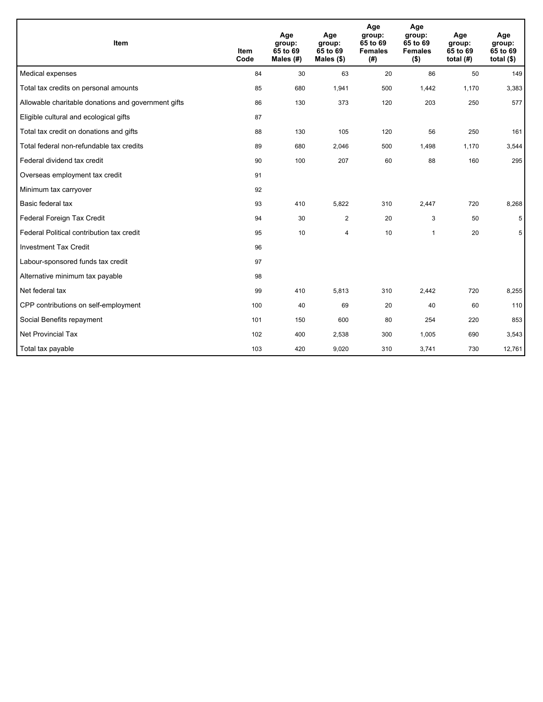| Item                                                | <b>Item</b><br>Code | Age<br>group:<br>65 to 69<br>Males (#) | Age<br>group:<br>65 to 69<br>Males $(\$)$ | Age<br>group:<br>65 to 69<br><b>Females</b><br>(# ) | Age<br>group:<br>65 to 69<br><b>Females</b><br>$($ \$) | Age<br>group:<br>65 to 69<br>total $(H)$ | Age<br>group:<br>65 to 69<br>total $($)$ |
|-----------------------------------------------------|---------------------|----------------------------------------|-------------------------------------------|-----------------------------------------------------|--------------------------------------------------------|------------------------------------------|------------------------------------------|
| Medical expenses                                    | 84                  | 30                                     | 63                                        | 20                                                  | 86                                                     | 50                                       | 149                                      |
| Total tax credits on personal amounts               | 85                  | 680                                    | 1,941                                     | 500                                                 | 1,442                                                  | 1,170                                    | 3,383                                    |
| Allowable charitable donations and government gifts | 86                  | 130                                    | 373                                       | 120                                                 | 203                                                    | 250                                      | 577                                      |
| Eligible cultural and ecological gifts              | 87                  |                                        |                                           |                                                     |                                                        |                                          |                                          |
| Total tax credit on donations and gifts             | 88                  | 130                                    | 105                                       | 120                                                 | 56                                                     | 250                                      | 161                                      |
| Total federal non-refundable tax credits            | 89                  | 680                                    | 2,046                                     | 500                                                 | 1,498                                                  | 1,170                                    | 3,544                                    |
| Federal dividend tax credit                         | 90                  | 100                                    | 207                                       | 60                                                  | 88                                                     | 160                                      | 295                                      |
| Overseas employment tax credit                      | 91                  |                                        |                                           |                                                     |                                                        |                                          |                                          |
| Minimum tax carryover                               | 92                  |                                        |                                           |                                                     |                                                        |                                          |                                          |
| Basic federal tax                                   | 93                  | 410                                    | 5.822                                     | 310                                                 | 2,447                                                  | 720                                      | 8,268                                    |
| Federal Foreign Tax Credit                          | 94                  | 30                                     | $\overline{2}$                            | 20                                                  | 3                                                      | 50                                       | 5                                        |
| Federal Political contribution tax credit           | 95                  | 10                                     | 4                                         | 10                                                  | $\mathbf{1}$                                           | 20                                       | 5                                        |
| <b>Investment Tax Credit</b>                        | 96                  |                                        |                                           |                                                     |                                                        |                                          |                                          |
| Labour-sponsored funds tax credit                   | 97                  |                                        |                                           |                                                     |                                                        |                                          |                                          |
| Alternative minimum tax payable                     | 98                  |                                        |                                           |                                                     |                                                        |                                          |                                          |
| Net federal tax                                     | 99                  | 410                                    | 5,813                                     | 310                                                 | 2,442                                                  | 720                                      | 8,255                                    |
| CPP contributions on self-employment                | 100                 | 40                                     | 69                                        | 20                                                  | 40                                                     | 60                                       | 110                                      |
| Social Benefits repayment                           | 101                 | 150                                    | 600                                       | 80                                                  | 254                                                    | 220                                      | 853                                      |
| <b>Net Provincial Tax</b>                           | 102                 | 400                                    | 2,538                                     | 300                                                 | 1,005                                                  | 690                                      | 3,543                                    |
| Total tax payable                                   | 103                 | 420                                    | 9,020                                     | 310                                                 | 3,741                                                  | 730                                      | 12,761                                   |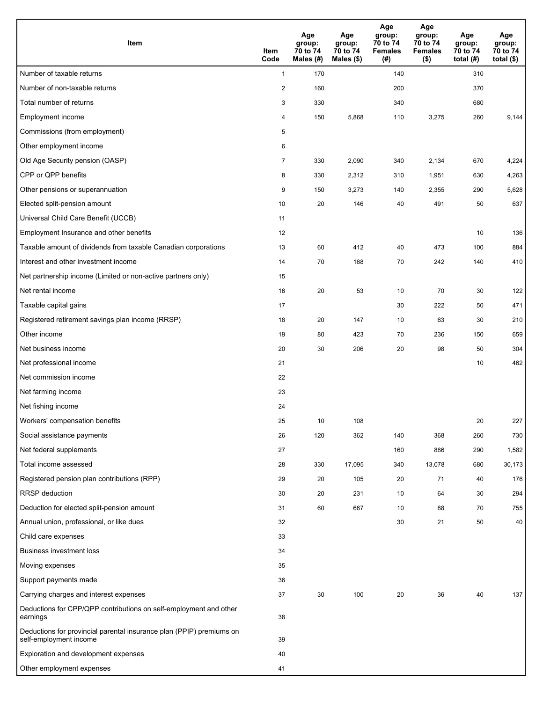| <b>Item</b>                                                                                    | Item<br>Code   | Age<br>group:<br>70 to 74<br>Males (#) | Age<br>group:<br>70 to 74<br>Males $(\$)$ | Age<br>group:<br>70 to 74<br><b>Females</b><br>(# ) | Age<br>group:<br>70 to 74<br><b>Females</b><br>$($ \$) | Age<br>group:<br>70 to 74<br>total $(H)$ | Age<br>group:<br>70 to 74<br>total $($)$ |
|------------------------------------------------------------------------------------------------|----------------|----------------------------------------|-------------------------------------------|-----------------------------------------------------|--------------------------------------------------------|------------------------------------------|------------------------------------------|
| Number of taxable returns                                                                      | $\mathbf{1}$   | 170                                    |                                           | 140                                                 |                                                        | 310                                      |                                          |
| Number of non-taxable returns                                                                  | $\sqrt{2}$     | 160                                    |                                           | 200                                                 |                                                        | 370                                      |                                          |
| Total number of returns                                                                        | 3              | 330                                    |                                           | 340                                                 |                                                        | 680                                      |                                          |
| Employment income                                                                              | 4              | 150                                    | 5,868                                     | 110                                                 | 3,275                                                  | 260                                      | 9,144                                    |
| Commissions (from employment)                                                                  | 5              |                                        |                                           |                                                     |                                                        |                                          |                                          |
| Other employment income                                                                        | 6              |                                        |                                           |                                                     |                                                        |                                          |                                          |
| Old Age Security pension (OASP)                                                                | $\overline{7}$ | 330                                    | 2,090                                     | 340                                                 | 2,134                                                  | 670                                      | 4,224                                    |
| CPP or QPP benefits                                                                            | 8              | 330                                    | 2,312                                     | 310                                                 | 1,951                                                  | 630                                      | 4,263                                    |
| Other pensions or superannuation                                                               | 9              | 150                                    | 3,273                                     | 140                                                 | 2,355                                                  | 290                                      | 5,628                                    |
| Elected split-pension amount                                                                   | 10             | 20                                     | 146                                       | 40                                                  | 491                                                    | 50                                       | 637                                      |
| Universal Child Care Benefit (UCCB)                                                            | 11             |                                        |                                           |                                                     |                                                        |                                          |                                          |
| Employment Insurance and other benefits                                                        | 12             |                                        |                                           |                                                     |                                                        | 10                                       | 136                                      |
| Taxable amount of dividends from taxable Canadian corporations                                 | 13             | 60                                     | 412                                       | 40                                                  | 473                                                    | 100                                      | 884                                      |
| Interest and other investment income                                                           | 14             | 70                                     | 168                                       | 70                                                  | 242                                                    | 140                                      | 410                                      |
| Net partnership income (Limited or non-active partners only)                                   | 15             |                                        |                                           |                                                     |                                                        |                                          |                                          |
| Net rental income                                                                              | 16             | 20                                     | 53                                        | 10                                                  | 70                                                     | 30                                       | 122                                      |
| Taxable capital gains                                                                          | 17             |                                        |                                           | 30                                                  | 222                                                    | 50                                       | 471                                      |
| Registered retirement savings plan income (RRSP)                                               | 18             | 20                                     | 147                                       | 10                                                  | 63                                                     | 30                                       | 210                                      |
| Other income                                                                                   | 19             | 80                                     | 423                                       | 70                                                  | 236                                                    | 150                                      | 659                                      |
| Net business income                                                                            | 20             | 30                                     | 206                                       | 20                                                  | 98                                                     | 50                                       | 304                                      |
| Net professional income                                                                        | 21             |                                        |                                           |                                                     |                                                        | 10                                       | 462                                      |
| Net commission income                                                                          | 22             |                                        |                                           |                                                     |                                                        |                                          |                                          |
| Net farming income                                                                             | 23             |                                        |                                           |                                                     |                                                        |                                          |                                          |
| Net fishing income                                                                             | 24             |                                        |                                           |                                                     |                                                        |                                          |                                          |
| Workers' compensation benefits                                                                 | 25             | 10                                     | 108                                       |                                                     |                                                        | 20                                       | 227                                      |
| Social assistance payments                                                                     | 26             | 120                                    | 362                                       | 140                                                 | 368                                                    | 260                                      | 730                                      |
| Net federal supplements                                                                        | 27             |                                        |                                           | 160                                                 | 886                                                    | 290                                      | 1,582                                    |
| Total income assessed                                                                          | 28             | 330                                    | 17,095                                    | 340                                                 | 13,078                                                 | 680                                      | 30,173                                   |
| Registered pension plan contributions (RPP)                                                    | 29             | 20                                     | 105                                       | 20                                                  | 71                                                     | 40                                       | 176                                      |
| RRSP deduction                                                                                 | 30             | 20                                     | 231                                       | 10                                                  | 64                                                     | 30                                       | 294                                      |
| Deduction for elected split-pension amount                                                     | 31             | 60                                     | 667                                       | 10                                                  | 88                                                     | 70                                       | 755                                      |
| Annual union, professional, or like dues                                                       | 32             |                                        |                                           | 30                                                  | 21                                                     | 50                                       | 40                                       |
| Child care expenses                                                                            | 33             |                                        |                                           |                                                     |                                                        |                                          |                                          |
| <b>Business investment loss</b>                                                                | 34             |                                        |                                           |                                                     |                                                        |                                          |                                          |
| Moving expenses                                                                                | 35             |                                        |                                           |                                                     |                                                        |                                          |                                          |
| Support payments made                                                                          | 36             |                                        |                                           |                                                     |                                                        |                                          |                                          |
| Carrying charges and interest expenses                                                         | 37             | 30                                     | 100                                       | 20                                                  | 36                                                     | 40                                       | 137                                      |
| Deductions for CPP/QPP contributions on self-employment and other<br>earnings                  | 38             |                                        |                                           |                                                     |                                                        |                                          |                                          |
| Deductions for provincial parental insurance plan (PPIP) premiums on<br>self-employment income | 39             |                                        |                                           |                                                     |                                                        |                                          |                                          |
| Exploration and development expenses                                                           | 40             |                                        |                                           |                                                     |                                                        |                                          |                                          |
| Other employment expenses                                                                      | 41             |                                        |                                           |                                                     |                                                        |                                          |                                          |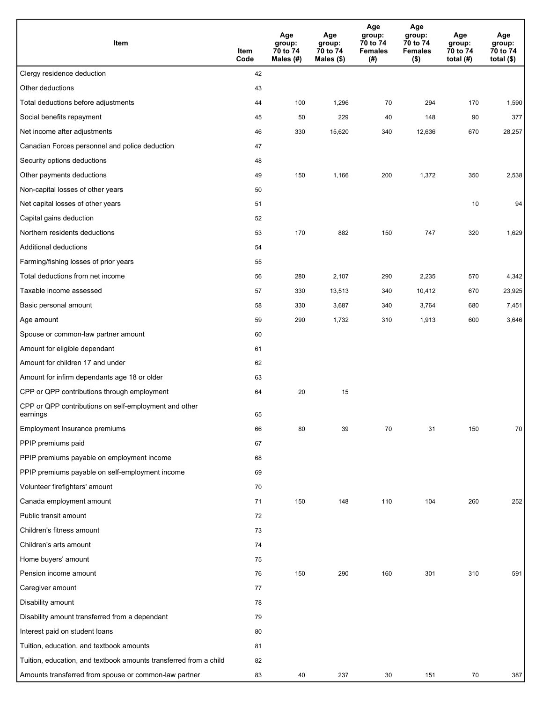| Item                                                              | Item<br>Code | Age<br>group:<br>70 to 74<br>Males (#) | Age<br>group:<br>70 to 74<br>Males (\$) | Age<br>group:<br>70 to 74<br><b>Females</b><br>(#) | Age<br>group:<br>70 to 74<br><b>Females</b><br>$($ \$) | Age<br>group:<br>70 to 74<br>total $(H)$ | Age<br>group:<br>70 to 74<br>total $($)$ |
|-------------------------------------------------------------------|--------------|----------------------------------------|-----------------------------------------|----------------------------------------------------|--------------------------------------------------------|------------------------------------------|------------------------------------------|
| Clergy residence deduction                                        | 42           |                                        |                                         |                                                    |                                                        |                                          |                                          |
| Other deductions                                                  | 43           |                                        |                                         |                                                    |                                                        |                                          |                                          |
| Total deductions before adjustments                               | 44           | 100                                    | 1,296                                   | 70                                                 | 294                                                    | 170                                      | 1,590                                    |
| Social benefits repayment                                         | 45           | 50                                     | 229                                     | 40                                                 | 148                                                    | 90                                       | 377                                      |
| Net income after adjustments                                      | 46           | 330                                    | 15,620                                  | 340                                                | 12,636                                                 | 670                                      | 28,257                                   |
| Canadian Forces personnel and police deduction                    | 47           |                                        |                                         |                                                    |                                                        |                                          |                                          |
| Security options deductions                                       | 48           |                                        |                                         |                                                    |                                                        |                                          |                                          |
| Other payments deductions                                         | 49           | 150                                    | 1,166                                   | 200                                                | 1,372                                                  | 350                                      | 2,538                                    |
| Non-capital losses of other years                                 | 50           |                                        |                                         |                                                    |                                                        |                                          |                                          |
| Net capital losses of other years                                 | 51           |                                        |                                         |                                                    |                                                        | 10                                       | 94                                       |
| Capital gains deduction                                           | 52           |                                        |                                         |                                                    |                                                        |                                          |                                          |
| Northern residents deductions                                     | 53           | 170                                    | 882                                     | 150                                                | 747                                                    | 320                                      | 1,629                                    |
| Additional deductions                                             | 54           |                                        |                                         |                                                    |                                                        |                                          |                                          |
| Farming/fishing losses of prior years                             | 55           |                                        |                                         |                                                    |                                                        |                                          |                                          |
| Total deductions from net income                                  | 56           | 280                                    | 2,107                                   | 290                                                | 2,235                                                  | 570                                      | 4,342                                    |
| Taxable income assessed                                           | 57           | 330                                    | 13,513                                  | 340                                                | 10,412                                                 | 670                                      | 23,925                                   |
| Basic personal amount                                             | 58           | 330                                    | 3,687                                   | 340                                                | 3,764                                                  | 680                                      | 7,451                                    |
| Age amount                                                        | 59           | 290                                    | 1,732                                   | 310                                                | 1,913                                                  | 600                                      | 3,646                                    |
| Spouse or common-law partner amount                               | 60           |                                        |                                         |                                                    |                                                        |                                          |                                          |
| Amount for eligible dependant                                     | 61           |                                        |                                         |                                                    |                                                        |                                          |                                          |
| Amount for children 17 and under                                  | 62           |                                        |                                         |                                                    |                                                        |                                          |                                          |
| Amount for infirm dependants age 18 or older                      | 63           |                                        |                                         |                                                    |                                                        |                                          |                                          |
| CPP or QPP contributions through employment                       | 64           | 20                                     | 15                                      |                                                    |                                                        |                                          |                                          |
| CPP or QPP contributions on self-employment and other<br>earnings | 65           |                                        |                                         |                                                    |                                                        |                                          |                                          |
| Employment Insurance premiums                                     | 66           | 80                                     | 39                                      | 70                                                 | 31                                                     | 150                                      | 70                                       |
| PPIP premiums paid                                                | 67           |                                        |                                         |                                                    |                                                        |                                          |                                          |
| PPIP premiums payable on employment income                        | 68           |                                        |                                         |                                                    |                                                        |                                          |                                          |
| PPIP premiums payable on self-employment income                   | 69           |                                        |                                         |                                                    |                                                        |                                          |                                          |
| Volunteer firefighters' amount                                    | 70           |                                        |                                         |                                                    |                                                        |                                          |                                          |
| Canada employment amount                                          | 71           | 150                                    | 148                                     | 110                                                | 104                                                    | 260                                      | 252                                      |
| Public transit amount                                             | 72           |                                        |                                         |                                                    |                                                        |                                          |                                          |
| Children's fitness amount                                         | 73           |                                        |                                         |                                                    |                                                        |                                          |                                          |
| Children's arts amount                                            | 74           |                                        |                                         |                                                    |                                                        |                                          |                                          |
| Home buyers' amount                                               | 75           |                                        |                                         |                                                    |                                                        |                                          |                                          |
| Pension income amount                                             | 76           | 150                                    | 290                                     | 160                                                | 301                                                    | 310                                      | 591                                      |
| Caregiver amount                                                  | 77           |                                        |                                         |                                                    |                                                        |                                          |                                          |
| Disability amount                                                 | 78           |                                        |                                         |                                                    |                                                        |                                          |                                          |
| Disability amount transferred from a dependant                    | 79           |                                        |                                         |                                                    |                                                        |                                          |                                          |
| Interest paid on student loans                                    | 80           |                                        |                                         |                                                    |                                                        |                                          |                                          |
| Tuition, education, and textbook amounts                          | 81           |                                        |                                         |                                                    |                                                        |                                          |                                          |
| Tuition, education, and textbook amounts transferred from a child | 82           |                                        |                                         |                                                    |                                                        |                                          |                                          |
| Amounts transferred from spouse or common-law partner             | 83           | 40                                     | 237                                     | 30                                                 | 151                                                    | 70                                       | 387                                      |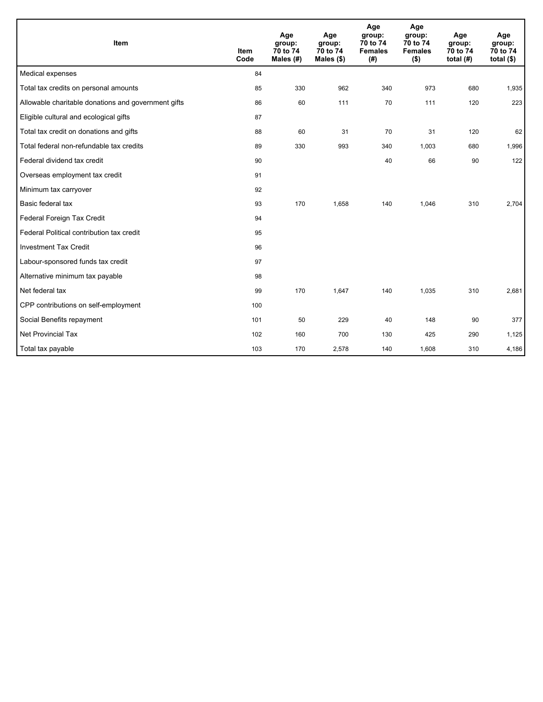| Item                                                | <b>Item</b><br>Code | Age<br>group:<br>70 to 74<br>Males $(H)$ | Age<br>group:<br>70 to 74<br>Males (\$) | Age<br>group:<br>70 to 74<br><b>Females</b><br>(#) | Age<br>group:<br>70 to 74<br><b>Females</b><br>$($ \$) | Age<br>group:<br>70 to 74<br>total $(H)$ | Age<br>group:<br>70 to 74<br>total $($ |
|-----------------------------------------------------|---------------------|------------------------------------------|-----------------------------------------|----------------------------------------------------|--------------------------------------------------------|------------------------------------------|----------------------------------------|
| Medical expenses                                    | 84                  |                                          |                                         |                                                    |                                                        |                                          |                                        |
| Total tax credits on personal amounts               | 85                  | 330                                      | 962                                     | 340                                                | 973                                                    | 680                                      | 1,935                                  |
| Allowable charitable donations and government gifts | 86                  | 60                                       | 111                                     | 70                                                 | 111                                                    | 120                                      | 223                                    |
| Eligible cultural and ecological gifts              | 87                  |                                          |                                         |                                                    |                                                        |                                          |                                        |
| Total tax credit on donations and gifts             | 88                  | 60                                       | 31                                      | 70                                                 | 31                                                     | 120                                      | 62                                     |
| Total federal non-refundable tax credits            | 89                  | 330                                      | 993                                     | 340                                                | 1,003                                                  | 680                                      | 1,996                                  |
| Federal dividend tax credit                         | 90                  |                                          |                                         | 40                                                 | 66                                                     | 90                                       | 122                                    |
| Overseas employment tax credit                      | 91                  |                                          |                                         |                                                    |                                                        |                                          |                                        |
| Minimum tax carryover                               | 92                  |                                          |                                         |                                                    |                                                        |                                          |                                        |
| Basic federal tax                                   | 93                  | 170                                      | 1,658                                   | 140                                                | 1,046                                                  | 310                                      | 2,704                                  |
| Federal Foreign Tax Credit                          | 94                  |                                          |                                         |                                                    |                                                        |                                          |                                        |
| Federal Political contribution tax credit           | 95                  |                                          |                                         |                                                    |                                                        |                                          |                                        |
| <b>Investment Tax Credit</b>                        | 96                  |                                          |                                         |                                                    |                                                        |                                          |                                        |
| Labour-sponsored funds tax credit                   | 97                  |                                          |                                         |                                                    |                                                        |                                          |                                        |
| Alternative minimum tax payable                     | 98                  |                                          |                                         |                                                    |                                                        |                                          |                                        |
| Net federal tax                                     | 99                  | 170                                      | 1,647                                   | 140                                                | 1,035                                                  | 310                                      | 2,681                                  |
| CPP contributions on self-employment                | 100                 |                                          |                                         |                                                    |                                                        |                                          |                                        |
| Social Benefits repayment                           | 101                 | 50                                       | 229                                     | 40                                                 | 148                                                    | 90                                       | 377                                    |
| <b>Net Provincial Tax</b>                           | 102                 | 160                                      | 700                                     | 130                                                | 425                                                    | 290                                      | 1,125                                  |
| Total tax payable                                   | 103                 | 170                                      | 2,578                                   | 140                                                | 1,608                                                  | 310                                      | 4,186                                  |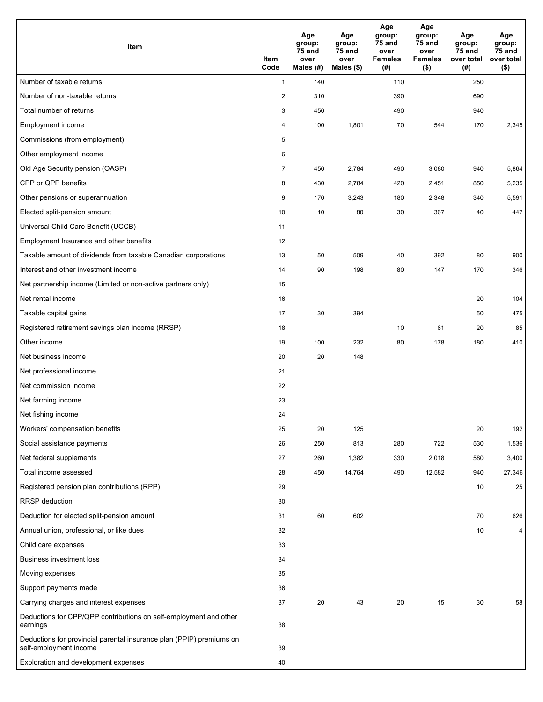| Item                                                                                           | Item<br>Code   | Age<br>group:<br>75 and<br>over<br>Males (#) | Age<br>group:<br>75 and<br>over<br>Males $($)$ | Age<br>group:<br>75 and<br>over<br><b>Females</b><br>(#) | Age<br>group:<br>75 and<br>over<br><b>Females</b><br>$($ \$) | Age<br>group:<br>75 and<br>over total<br>(#) | Age<br>group:<br>75 and<br>over total<br>$($ \$) |
|------------------------------------------------------------------------------------------------|----------------|----------------------------------------------|------------------------------------------------|----------------------------------------------------------|--------------------------------------------------------------|----------------------------------------------|--------------------------------------------------|
| Number of taxable returns                                                                      | $\mathbf{1}$   | 140                                          |                                                | 110                                                      |                                                              | 250                                          |                                                  |
| Number of non-taxable returns                                                                  | $\overline{2}$ | 310                                          |                                                | 390                                                      |                                                              | 690                                          |                                                  |
| Total number of returns                                                                        | 3              | 450                                          |                                                | 490                                                      |                                                              | 940                                          |                                                  |
| <b>Employment income</b>                                                                       | 4              | 100                                          | 1,801                                          | 70                                                       | 544                                                          | 170                                          | 2,345                                            |
| Commissions (from employment)                                                                  | 5              |                                              |                                                |                                                          |                                                              |                                              |                                                  |
| Other employment income                                                                        | 6              |                                              |                                                |                                                          |                                                              |                                              |                                                  |
| Old Age Security pension (OASP)                                                                | $\overline{7}$ | 450                                          | 2,784                                          | 490                                                      | 3,080                                                        | 940                                          | 5,864                                            |
| CPP or QPP benefits                                                                            | 8              | 430                                          | 2,784                                          | 420                                                      | 2,451                                                        | 850                                          | 5,235                                            |
| Other pensions or superannuation                                                               | 9              | 170                                          | 3,243                                          | 180                                                      | 2,348                                                        | 340                                          | 5,591                                            |
| Elected split-pension amount                                                                   | 10             | 10                                           | 80                                             | 30                                                       | 367                                                          | 40                                           | 447                                              |
| Universal Child Care Benefit (UCCB)                                                            | 11             |                                              |                                                |                                                          |                                                              |                                              |                                                  |
| Employment Insurance and other benefits                                                        | 12             |                                              |                                                |                                                          |                                                              |                                              |                                                  |
| Taxable amount of dividends from taxable Canadian corporations                                 | 13             | 50                                           | 509                                            | 40                                                       | 392                                                          | 80                                           | 900                                              |
| Interest and other investment income                                                           | 14             | 90                                           | 198                                            | 80                                                       | 147                                                          | 170                                          | 346                                              |
| Net partnership income (Limited or non-active partners only)                                   | 15             |                                              |                                                |                                                          |                                                              |                                              |                                                  |
| Net rental income                                                                              | 16             |                                              |                                                |                                                          |                                                              | 20                                           | 104                                              |
| Taxable capital gains                                                                          | 17             | 30                                           | 394                                            |                                                          |                                                              | 50                                           | 475                                              |
| Registered retirement savings plan income (RRSP)                                               | 18             |                                              |                                                | 10                                                       | 61                                                           | 20                                           | 85                                               |
| Other income                                                                                   | 19             | 100                                          | 232                                            | 80                                                       | 178                                                          | 180                                          | 410                                              |
| Net business income                                                                            | 20             | 20                                           | 148                                            |                                                          |                                                              |                                              |                                                  |
| Net professional income                                                                        | 21             |                                              |                                                |                                                          |                                                              |                                              |                                                  |
| Net commission income                                                                          | 22             |                                              |                                                |                                                          |                                                              |                                              |                                                  |
| Net farming income                                                                             | 23             |                                              |                                                |                                                          |                                                              |                                              |                                                  |
| Net fishing income                                                                             | 24             |                                              |                                                |                                                          |                                                              |                                              |                                                  |
| Workers' compensation benefits                                                                 | 25             | 20                                           | 125                                            |                                                          |                                                              | 20                                           | 192                                              |
| Social assistance payments                                                                     | 26             | 250                                          | 813                                            | 280                                                      | 722                                                          | 530                                          | 1,536                                            |
| Net federal supplements                                                                        | 27             | 260                                          | 1,382                                          | 330                                                      | 2,018                                                        | 580                                          | 3,400                                            |
| Total income assessed                                                                          | 28             | 450                                          | 14,764                                         | 490                                                      | 12,582                                                       | 940                                          | 27,346                                           |
| Registered pension plan contributions (RPP)                                                    | 29             |                                              |                                                |                                                          |                                                              | 10                                           | 25                                               |
| RRSP deduction                                                                                 | 30             |                                              |                                                |                                                          |                                                              |                                              |                                                  |
| Deduction for elected split-pension amount                                                     | 31             | 60                                           | 602                                            |                                                          |                                                              | 70                                           | 626                                              |
| Annual union, professional, or like dues                                                       | 32             |                                              |                                                |                                                          |                                                              | 10                                           | 4                                                |
| Child care expenses                                                                            | 33             |                                              |                                                |                                                          |                                                              |                                              |                                                  |
| <b>Business investment loss</b>                                                                | 34             |                                              |                                                |                                                          |                                                              |                                              |                                                  |
| Moving expenses                                                                                | 35             |                                              |                                                |                                                          |                                                              |                                              |                                                  |
| Support payments made                                                                          | 36             |                                              |                                                |                                                          |                                                              |                                              |                                                  |
| Carrying charges and interest expenses                                                         | 37             | 20                                           | 43                                             | 20                                                       | 15                                                           | 30                                           | 58                                               |
| Deductions for CPP/QPP contributions on self-employment and other<br>earnings                  | 38             |                                              |                                                |                                                          |                                                              |                                              |                                                  |
| Deductions for provincial parental insurance plan (PPIP) premiums on<br>self-employment income | 39             |                                              |                                                |                                                          |                                                              |                                              |                                                  |
| Exploration and development expenses                                                           | 40             |                                              |                                                |                                                          |                                                              |                                              |                                                  |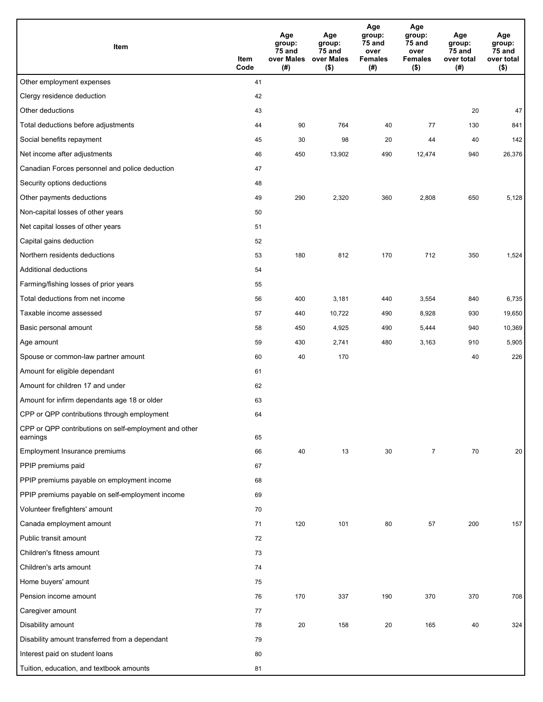| Item                                                              | Item<br>Code | Age<br>group:<br>75 and<br>over Males<br>(#) | Age<br>group:<br>75 and<br>over Males<br>$($ \$) | Age<br>group:<br>75 and<br>over<br><b>Females</b><br>(#) | Age<br>group:<br>75 and<br>over<br><b>Females</b><br>$($ \$) | Age<br>group:<br>75 and<br>over total<br>(#) | Age<br>group:<br>75 and<br>over total<br>$($ \$) |
|-------------------------------------------------------------------|--------------|----------------------------------------------|--------------------------------------------------|----------------------------------------------------------|--------------------------------------------------------------|----------------------------------------------|--------------------------------------------------|
| Other employment expenses                                         | 41           |                                              |                                                  |                                                          |                                                              |                                              |                                                  |
| Clergy residence deduction                                        | 42           |                                              |                                                  |                                                          |                                                              |                                              |                                                  |
| Other deductions                                                  | 43           |                                              |                                                  |                                                          |                                                              | 20                                           | 47                                               |
| Total deductions before adjustments                               | 44           | 90                                           | 764                                              | 40                                                       | 77                                                           | 130                                          | 841                                              |
| Social benefits repayment                                         | 45           | 30                                           | 98                                               | 20                                                       | 44                                                           | 40                                           | 142                                              |
| Net income after adjustments                                      | 46           | 450                                          | 13,902                                           | 490                                                      | 12,474                                                       | 940                                          | 26,376                                           |
| Canadian Forces personnel and police deduction                    | 47           |                                              |                                                  |                                                          |                                                              |                                              |                                                  |
| Security options deductions                                       | 48           |                                              |                                                  |                                                          |                                                              |                                              |                                                  |
| Other payments deductions                                         | 49           | 290                                          | 2,320                                            | 360                                                      | 2,808                                                        | 650                                          | 5,128                                            |
| Non-capital losses of other years                                 | 50           |                                              |                                                  |                                                          |                                                              |                                              |                                                  |
| Net capital losses of other years                                 | 51           |                                              |                                                  |                                                          |                                                              |                                              |                                                  |
| Capital gains deduction                                           | 52           |                                              |                                                  |                                                          |                                                              |                                              |                                                  |
| Northern residents deductions                                     | 53           | 180                                          | 812                                              | 170                                                      | 712                                                          | 350                                          | 1,524                                            |
| <b>Additional deductions</b>                                      | 54           |                                              |                                                  |                                                          |                                                              |                                              |                                                  |
| Farming/fishing losses of prior years                             | 55           |                                              |                                                  |                                                          |                                                              |                                              |                                                  |
| Total deductions from net income                                  | 56           | 400                                          | 3,181                                            | 440                                                      | 3,554                                                        | 840                                          | 6,735                                            |
| Taxable income assessed                                           | 57           | 440                                          | 10,722                                           | 490                                                      | 8,928                                                        | 930                                          | 19,650                                           |
| Basic personal amount                                             | 58           | 450                                          | 4,925                                            | 490                                                      | 5,444                                                        | 940                                          | 10,369                                           |
| Age amount                                                        | 59           | 430                                          | 2,741                                            | 480                                                      | 3,163                                                        | 910                                          | 5,905                                            |
| Spouse or common-law partner amount                               | 60           | 40                                           | 170                                              |                                                          |                                                              | 40                                           | 226                                              |
| Amount for eligible dependant                                     | 61           |                                              |                                                  |                                                          |                                                              |                                              |                                                  |
| Amount for children 17 and under                                  | 62           |                                              |                                                  |                                                          |                                                              |                                              |                                                  |
| Amount for infirm dependants age 18 or older                      | 63           |                                              |                                                  |                                                          |                                                              |                                              |                                                  |
| CPP or QPP contributions through employment                       | 64           |                                              |                                                  |                                                          |                                                              |                                              |                                                  |
| CPP or QPP contributions on self-employment and other<br>earnings | 65           |                                              |                                                  |                                                          |                                                              |                                              |                                                  |
| Employment Insurance premiums                                     | 66           | 40                                           | 13                                               | 30                                                       | $\overline{7}$                                               | 70                                           | 20                                               |
| PPIP premiums paid                                                | 67           |                                              |                                                  |                                                          |                                                              |                                              |                                                  |
| PPIP premiums payable on employment income                        | 68           |                                              |                                                  |                                                          |                                                              |                                              |                                                  |
| PPIP premiums payable on self-employment income                   | 69           |                                              |                                                  |                                                          |                                                              |                                              |                                                  |
| Volunteer firefighters' amount                                    | 70           |                                              |                                                  |                                                          |                                                              |                                              |                                                  |
| Canada employment amount                                          | 71           | 120                                          | 101                                              | 80                                                       | 57                                                           | 200                                          | 157                                              |
| Public transit amount                                             | 72           |                                              |                                                  |                                                          |                                                              |                                              |                                                  |
| Children's fitness amount                                         | 73           |                                              |                                                  |                                                          |                                                              |                                              |                                                  |
| Children's arts amount                                            | 74           |                                              |                                                  |                                                          |                                                              |                                              |                                                  |
| Home buyers' amount                                               | 75           |                                              |                                                  |                                                          |                                                              |                                              |                                                  |
| Pension income amount                                             | 76           | 170                                          | 337                                              | 190                                                      | 370                                                          | 370                                          | 708                                              |
| Caregiver amount                                                  | 77           |                                              |                                                  |                                                          |                                                              |                                              |                                                  |
| Disability amount                                                 | 78           | 20                                           | 158                                              | 20                                                       | 165                                                          | 40                                           | 324                                              |
| Disability amount transferred from a dependant                    | 79           |                                              |                                                  |                                                          |                                                              |                                              |                                                  |
| Interest paid on student loans                                    | 80           |                                              |                                                  |                                                          |                                                              |                                              |                                                  |
| Tuition, education, and textbook amounts                          | 81           |                                              |                                                  |                                                          |                                                              |                                              |                                                  |